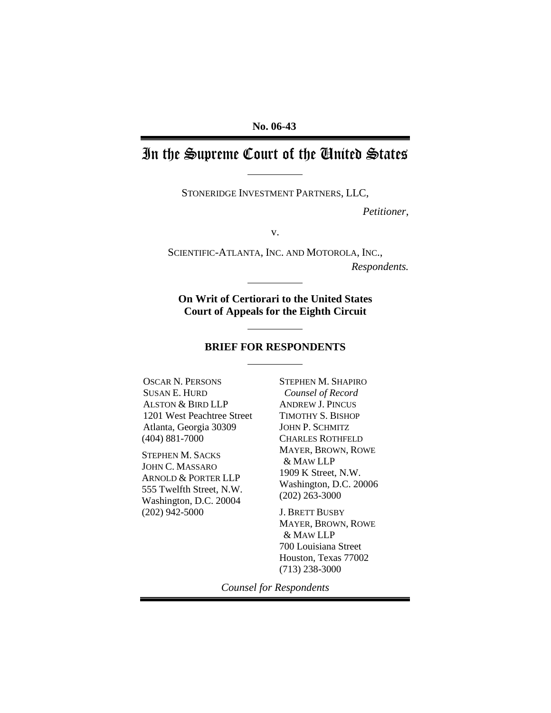# In the Supreme Court of the United States

STONERIDGE INVESTMENT PARTNERS, LLC,

*Petitioner*,

v.

SCIENTIFIC-ATLANTA, INC. AND MOTOROLA, INC., *Respondents.*

**On Writ of Certiorari to the United States Court of Appeals for the Eighth Circuit**

#### **BRIEF FOR RESPONDENTS**

OSCAR N. PERSONS SUSAN E. HURD ALSTON & BIRD LLP 1201 West Peachtree Street Atlanta, Georgia 30309 (404) 881-7000

STEPHEN M. SACKS JOHN C. MASSARO ARNOLD & PORTER LLP 555 Twelfth Street, N.W. Washington, D.C. 20004 (202) 942-5000

STEPHEN M. SHAPIRO *Counsel of Record* ANDREW J. PINCUS TIMOTHY S. BISHOP JOHN P. SCHMITZ CHARLES ROTHFELD MAYER, BROWN, ROWE & MAW LLP 1909 K Street, N.W. Washington, D.C. 20006 (202) 263-3000

J. BRETT BUSBY MAYER, BROWN, ROWE & MAW LLP 700 Louisiana Street Houston, Texas 77002 (713) 238-3000

*Counsel for Respondents*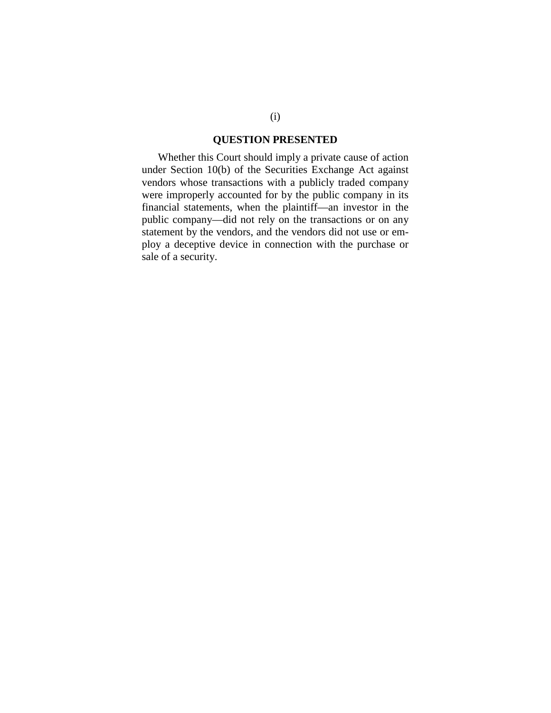#### **QUESTION PRESENTED**

Whether this Court should imply a private cause of action under Section 10(b) of the Securities Exchange Act against vendors whose transactions with a publicly traded company were improperly accounted for by the public company in its financial statements, when the plaintiff—an investor in the public company—did not rely on the transactions or on any statement by the vendors, and the vendors did not use or employ a deceptive device in connection with the purchase or sale of a security.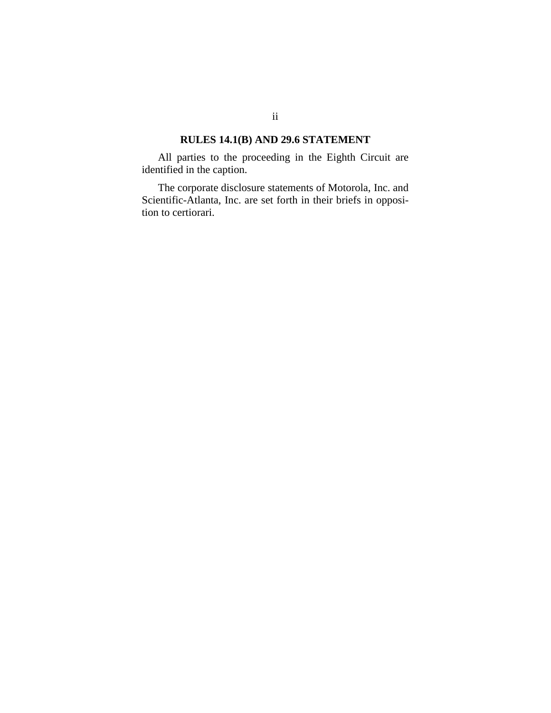#### **RULES 14.1(B) AND 29.6 STATEMENT**

All parties to the proceeding in the Eighth Circuit are identified in the caption.

The corporate disclosure statements of Motorola, Inc. and Scientific-Atlanta, Inc. are set forth in their briefs in opposition to certiorari.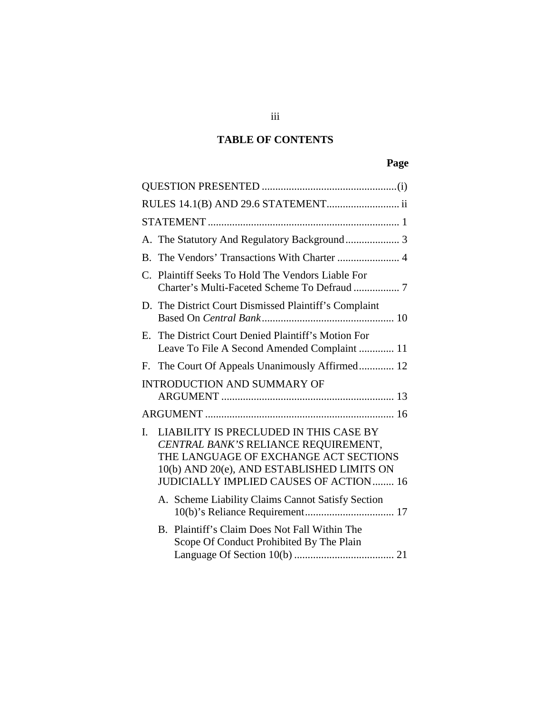## **TABLE OF CONTENTS**

# **Page**

|                | A. The Statutory And Regulatory Background 3                                                                                                                                                                            |
|----------------|-------------------------------------------------------------------------------------------------------------------------------------------------------------------------------------------------------------------------|
|                |                                                                                                                                                                                                                         |
|                | C. Plaintiff Seeks To Hold The Vendors Liable For                                                                                                                                                                       |
|                | D. The District Court Dismissed Plaintiff's Complaint                                                                                                                                                                   |
|                | E. The District Court Denied Plaintiff's Motion For<br>Leave To File A Second Amended Complaint  11                                                                                                                     |
|                | F. The Court Of Appeals Unanimously Affirmed 12                                                                                                                                                                         |
|                | <b>INTRODUCTION AND SUMMARY OF</b>                                                                                                                                                                                      |
|                |                                                                                                                                                                                                                         |
| $\mathbf{I}$ . | LIABILITY IS PRECLUDED IN THIS CASE BY<br>CENTRAL BANK'S RELIANCE REQUIREMENT,<br>THE LANGUAGE OF EXCHANGE ACT SECTIONS<br>10(b) AND 20(e), AND ESTABLISHED LIMITS ON<br><b>JUDICIALLY IMPLIED CAUSES OF ACTION  16</b> |
|                | A. Scheme Liability Claims Cannot Satisfy Section                                                                                                                                                                       |
|                | Plaintiff's Claim Does Not Fall Within The<br>$B_{-}$<br>Scope Of Conduct Prohibited By The Plain                                                                                                                       |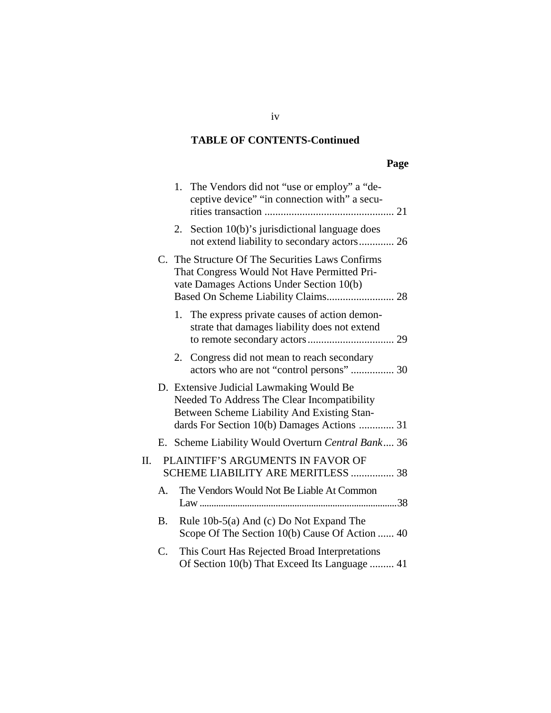#### **TABLE OF CONTENTS-Continued**

## **Page**

|    |           |    | 1. The Vendors did not "use or employ" a "de-<br>ceptive device" "in connection with" a secu-                                                                                         |
|----|-----------|----|---------------------------------------------------------------------------------------------------------------------------------------------------------------------------------------|
|    |           | 2. | Section 10(b)'s jurisdictional language does<br>not extend liability to secondary actors 26                                                                                           |
|    |           |    | C. The Structure Of The Securities Laws Confirms<br>That Congress Would Not Have Permitted Pri-<br>vate Damages Actions Under Section 10(b)<br>Based On Scheme Liability Claims 28    |
|    |           | 1. | The express private causes of action demon-<br>strate that damages liability does not extend                                                                                          |
|    |           |    | 2. Congress did not mean to reach secondary<br>actors who are not "control persons"  30                                                                                               |
|    |           |    | D. Extensive Judicial Lawmaking Would Be<br>Needed To Address The Clear Incompatibility<br>Between Scheme Liability And Existing Stan-<br>dards For Section 10(b) Damages Actions  31 |
|    |           |    | E. Scheme Liability Would Overturn Central Bank 36                                                                                                                                    |
| П. |           |    | PLAINTIFF'S ARGUMENTS IN FAVOR OF<br>SCHEME LIABILITY ARE MERITLESS  38                                                                                                               |
|    | А.        |    | The Vendors Would Not Be Liable At Common                                                                                                                                             |
|    | <b>B.</b> |    | Rule 10b-5(a) And (c) Do Not Expand The<br>Scope Of The Section 10(b) Cause Of Action  40                                                                                             |
|    | C.        |    | This Court Has Rejected Broad Interpretations<br>Of Section 10(b) That Exceed Its Language  41                                                                                        |

iv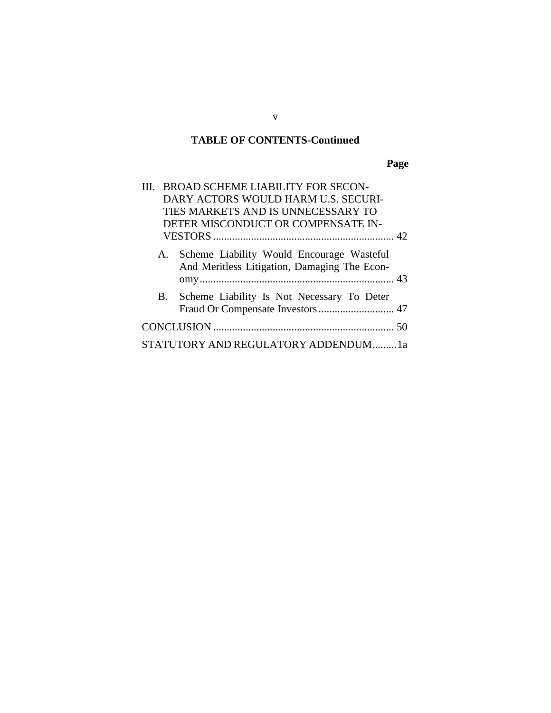#### **TABLE OF CONTENTS-Continued**

**Page**

| III. BROAD SCHEME LIABILITY FOR SECON-                                                          |  |
|-------------------------------------------------------------------------------------------------|--|
| DARY ACTORS WOULD HARM U.S. SECURI-                                                             |  |
| TIES MARKETS AND IS UNNECESSARY TO                                                              |  |
| DETER MISCONDUCT OR COMPENSATE IN-                                                              |  |
|                                                                                                 |  |
| Scheme Liability Would Encourage Wasteful<br>A.<br>And Meritless Litigation, Damaging The Econ- |  |
| Scheme Liability Is Not Necessary To Deter<br><b>B.</b>                                         |  |
|                                                                                                 |  |
| STATUTORY AND REGULATORY ADDENDUM1a                                                             |  |

v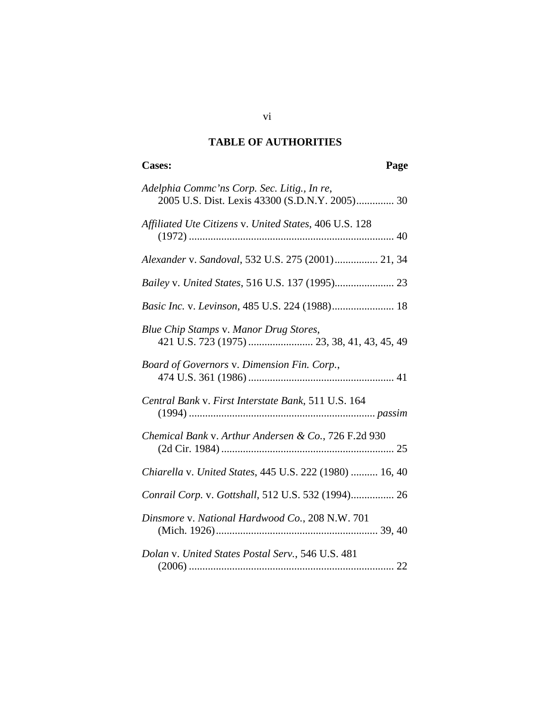## **TABLE OF AUTHORITIES**

# **Cases: Page**

| Adelphia Commc'ns Corp. Sec. Litig., In re,<br>2005 U.S. Dist. Lexis 43300 (S.D.N.Y. 2005) 30 |
|-----------------------------------------------------------------------------------------------|
| Affiliated Ute Citizens v. United States, 406 U.S. 128                                        |
| Alexander v. Sandoval, 532 U.S. 275 (2001) 21, 34                                             |
|                                                                                               |
| Basic Inc. v. Levinson, 485 U.S. 224 (1988) 18                                                |
| Blue Chip Stamps v. Manor Drug Stores,<br>421 U.S. 723 (1975)  23, 38, 41, 43, 45, 49         |
| Board of Governors v. Dimension Fin. Corp.,                                                   |
| Central Bank v. First Interstate Bank, 511 U.S. 164                                           |
| Chemical Bank v. Arthur Andersen & Co., 726 F.2d 930                                          |
| Chiarella v. United States, 445 U.S. 222 (1980)  16, 40                                       |
| Conrail Corp. v. Gottshall, 512 U.S. 532 (1994) 26                                            |
| Dinsmore v. National Hardwood Co., 208 N.W. 701                                               |
| Dolan v. United States Postal Serv., 546 U.S. 481                                             |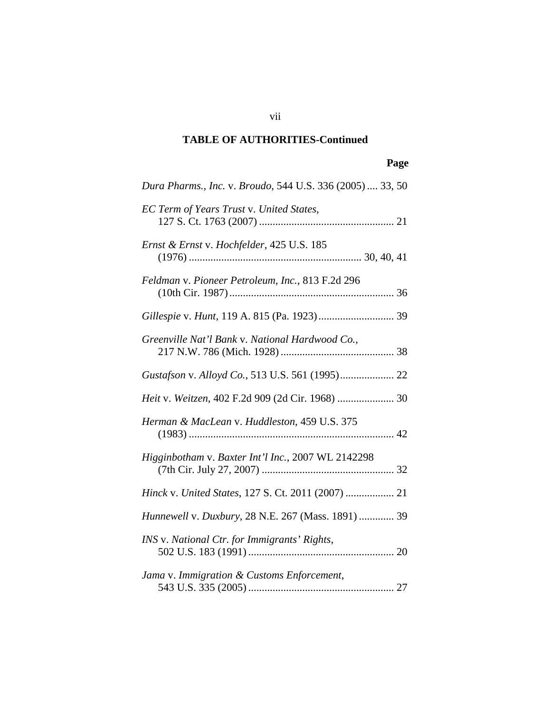## **Page**

| Dura Pharms., Inc. v. Broudo, 544 U.S. 336 (2005)  33, 50 |
|-----------------------------------------------------------|
| EC Term of Years Trust v. United States,                  |
| Ernst & Ernst v. Hochfelder, 425 U.S. 185                 |
| Feldman v. Pioneer Petroleum, Inc., 813 F.2d 296          |
|                                                           |
| Greenville Nat'l Bank v. National Hardwood Co.,           |
|                                                           |
| Heit v. Weitzen, 402 F.2d 909 (2d Cir. 1968)  30          |
| Herman & MacLean v. Huddleston, 459 U.S. 375              |
| Higginbotham v. Baxter Int'l Inc., 2007 WL 2142298        |
| Hinck v. United States, 127 S. Ct. 2011 (2007)  21        |
| Hunnewell v. Duxbury, 28 N.E. 267 (Mass. 1891)  39        |
| INS v. National Ctr. for Immigrants' Rights,              |
| Jama v. Immigration & Customs Enforcement,                |

vii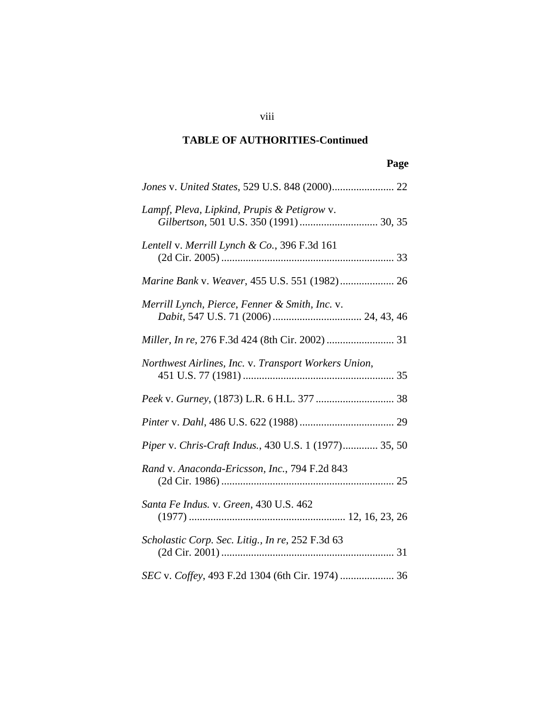## **Page**

| Lampf, Pleva, Lipkind, Prupis & Petigrow v.<br>Gilbertson, 501 U.S. 350 (1991)  30, 35 |
|----------------------------------------------------------------------------------------|
| Lentell v. Merrill Lynch & Co., 396 F.3d 161                                           |
| Marine Bank v. Weaver, 455 U.S. 551 (1982) 26                                          |
| Merrill Lynch, Pierce, Fenner & Smith, Inc. v.                                         |
| <i>Miller, In re, 276 F.3d 424 (8th Cir. 2002) </i> 31                                 |
| Northwest Airlines, Inc. v. Transport Workers Union,                                   |
|                                                                                        |
|                                                                                        |
| Piper v. Chris-Craft Indus., 430 U.S. 1 (1977) 35, 50                                  |
| Rand v. Anaconda-Ericsson, Inc., 794 F.2d 843                                          |
| Santa Fe Indus. v. Green, 430 U.S. 462                                                 |
| Scholastic Corp. Sec. Litig., In re, 252 F.3d 63                                       |
| SEC v. Coffey, 493 F.2d 1304 (6th Cir. 1974)  36                                       |

viii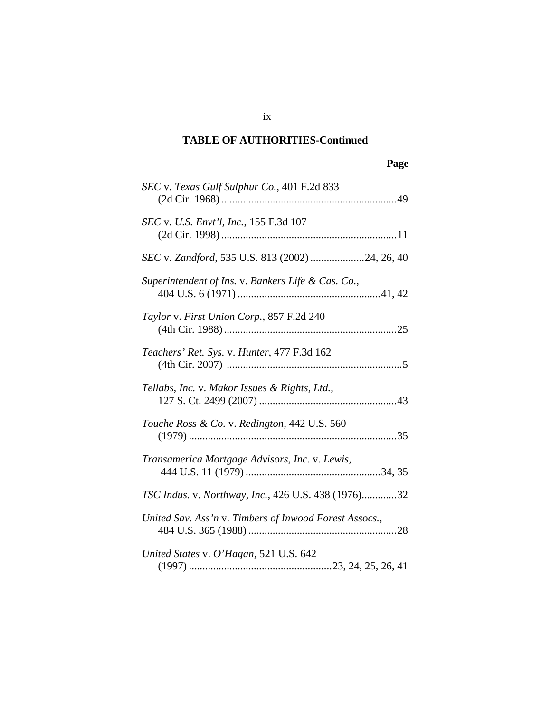| SEC v. Texas Gulf Sulphur Co., 401 F.2d 833            |
|--------------------------------------------------------|
| <i>SEC</i> v. <i>U.S. Envt'l, Inc.</i> , 155 F.3d 107  |
| SEC v. Zandford, 535 U.S. 813 (2002) 24, 26, 40        |
| Superintendent of Ins. v. Bankers Life & Cas. Co.,     |
| Taylor v. First Union Corp., 857 F.2d 240              |
| Teachers' Ret. Sys. v. Hunter, 477 F.3d 162            |
| Tellabs, Inc. v. Makor Issues & Rights, Ltd.,          |
| Touche Ross & Co. v. Redington, 442 U.S. 560           |
| Transamerica Mortgage Advisors, Inc. v. Lewis,         |
| TSC Indus. v. Northway, Inc., 426 U.S. 438 (1976)32    |
| United Sav. Ass'n v. Timbers of Inwood Forest Assocs., |
| United States v. O'Hagan, 521 U.S. 642                 |

ix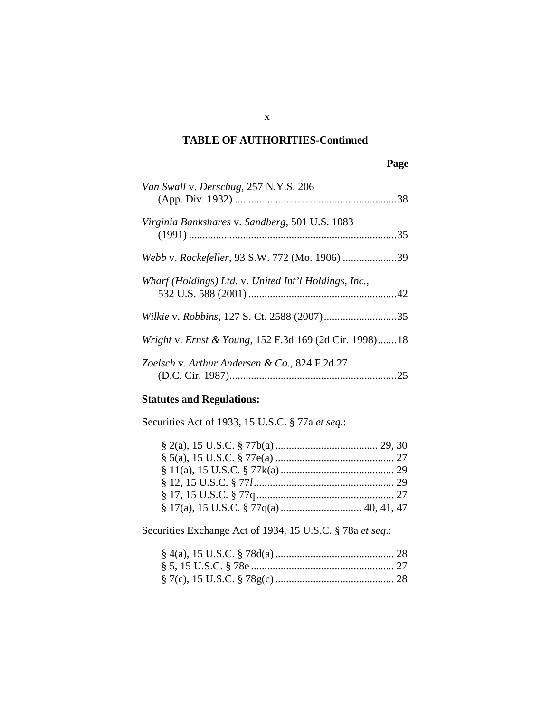| × |
|---|
|---|

| Van Swall v. Derschug, 257 N.Y.S. 206                  |  |
|--------------------------------------------------------|--|
| Virginia Bankshares v. Sandberg, 501 U.S. 1083         |  |
| Webb v. Rockefeller, 93 S.W. 772 (Mo. 1906) 39         |  |
| Wharf (Holdings) Ltd. v. United Int'l Holdings, Inc.,  |  |
|                                                        |  |
| Wright v. Ernst & Young, 152 F.3d 169 (2d Cir. 1998)18 |  |
| Zoelsch v. Arthur Andersen & Co., 824 F.2d 27          |  |

## **Statutes and Regulations:**

Securities Act of 1933, 15 U.S.C. § 77a *et seq.*:

Securities Exchange Act of 1934, 15 U.S.C. § 78a *et seq*.:

x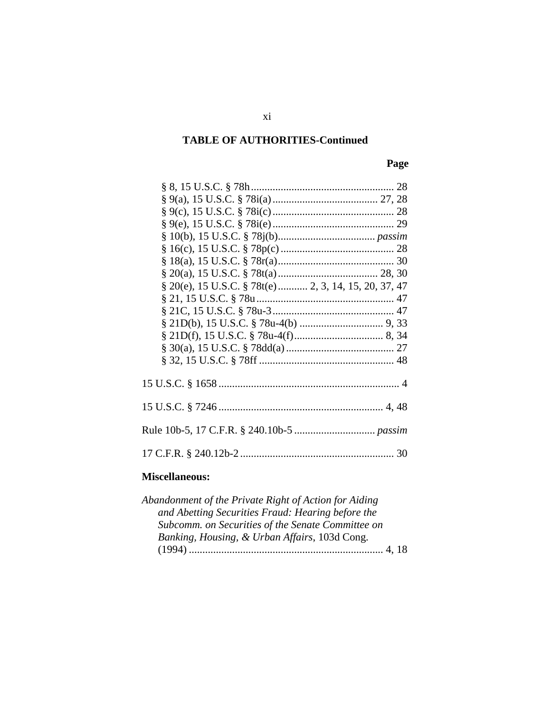## **Page**

| § 20(e), 15 U.S.C. § 78t(e)  2, 3, 14, 15, 20, 37, 47 |  |
|-------------------------------------------------------|--|
|                                                       |  |
|                                                       |  |
|                                                       |  |
|                                                       |  |
|                                                       |  |
|                                                       |  |
|                                                       |  |
|                                                       |  |
|                                                       |  |
|                                                       |  |

#### **Miscellaneous:**

| Abandonment of the Private Right of Action for Aiding |
|-------------------------------------------------------|
| and Abetting Securities Fraud: Hearing before the     |
| Subcomm. on Securities of the Senate Committee on     |
| Banking, Housing, & Urban Affairs, 103d Cong.         |
|                                                       |
|                                                       |

xi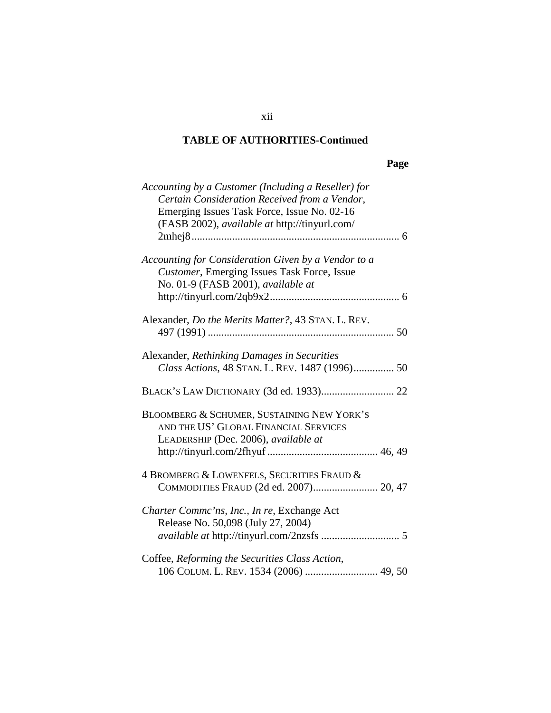## **Page**

| Accounting by a Customer (Including a Reseller) for |
|-----------------------------------------------------|
| Certain Consideration Received from a Vendor,       |
| Emerging Issues Task Force, Issue No. 02-16         |
| (FASB 2002), available at http://tinyurl.com/       |
|                                                     |
|                                                     |
| Accounting for Consideration Given by a Vendor to a |
| Customer, Emerging Issues Task Force, Issue         |
|                                                     |
| No. 01-9 (FASB 2001), available at                  |
|                                                     |
|                                                     |
| Alexander, Do the Merits Matter?, 43 STAN. L. REV.  |
|                                                     |
|                                                     |
| Alexander, Rethinking Damages in Securities         |
| Class Actions, 48 STAN. L. REV. 1487 (1996) 50      |
|                                                     |
|                                                     |
|                                                     |
| BLOOMBERG & SCHUMER, SUSTAINING NEW YORK'S          |
| AND THE US' GLOBAL FINANCIAL SERVICES               |
| LEADERSHIP (Dec. 2006), available at                |
|                                                     |
|                                                     |
| 4 BROMBERG & LOWENFELS, SECURITIES FRAUD &          |
| COMMODITIES FRAUD (2d ed. 2007) 20, 47              |
|                                                     |
| Charter Commc'ns, Inc., In re, Exchange Act         |
| Release No. 50,098 (July 27, 2004)                  |
|                                                     |
|                                                     |
| Coffee, Reforming the Securities Class Action,      |
|                                                     |
| 106 COLUM. L. REV. 1534 (2006)  49, 50              |

xii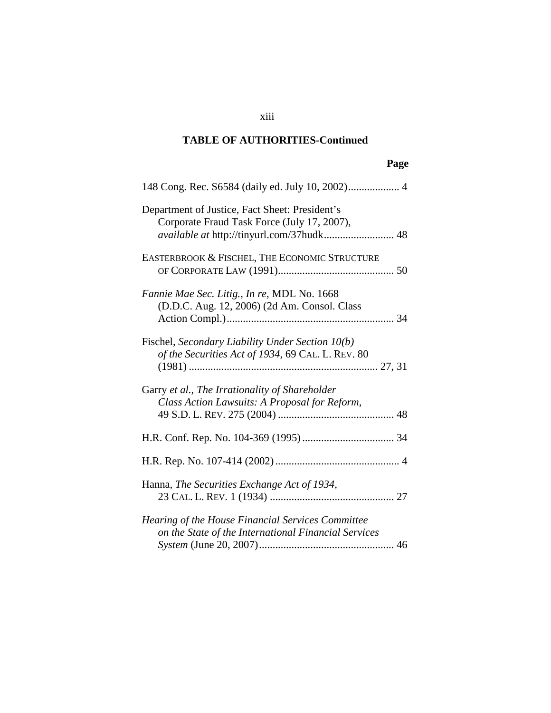xiii

## **Page**

| 148 Cong. Rec. S6584 (daily ed. July 10, 2002) 4                                                                                           |
|--------------------------------------------------------------------------------------------------------------------------------------------|
| Department of Justice, Fact Sheet: President's<br>Corporate Fraud Task Force (July 17, 2007),<br>available at http://tinyurl.com/37hudk 48 |
| EASTERBROOK & FISCHEL, THE ECONOMIC STRUCTURE                                                                                              |
| Fannie Mae Sec. Litig., In re, MDL No. 1668<br>(D.D.C. Aug. 12, 2006) (2d Am. Consol. Class                                                |
| Fischel, Secondary Liability Under Section 10(b)<br>of the Securities Act of 1934, 69 CAL. L. REV. 80                                      |
| Garry et al., The Irrationality of Shareholder<br>Class Action Lawsuits: A Proposal for Reform,                                            |
|                                                                                                                                            |
|                                                                                                                                            |
| Hanna, The Securities Exchange Act of 1934,                                                                                                |
| Hearing of the House Financial Services Committee<br>on the State of the International Financial Services                                  |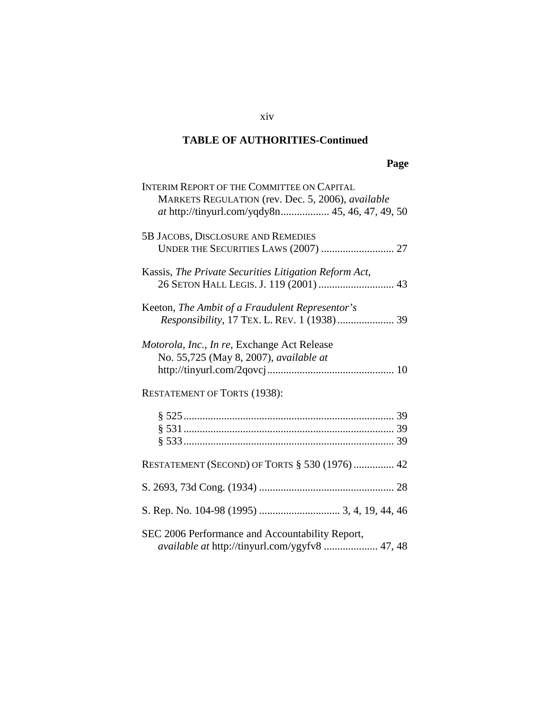## **Page**

| <b>INTERIM REPORT OF THE COMMITTEE ON CAPITAL</b>        |
|----------------------------------------------------------|
| MARKETS REGULATION (rev. Dec. 5, 2006), <i>available</i> |
|                                                          |
|                                                          |
|                                                          |
| 5B JACOBS, DISCLOSURE AND REMEDIES                       |
|                                                          |
|                                                          |
| Kassis, The Private Securities Litigation Reform Act,    |
|                                                          |
| 26 SETON HALL LEGIS. J. 119 (2001)  43                   |
|                                                          |
| Keeton, The Ambit of a Fraudulent Representor's          |
| Responsibility, 17 TEX. L. REV. 1 (1938)  39             |
|                                                          |
|                                                          |
| <i>Motorola, Inc., In re, Exchange Act Release</i>       |
| No. 55,725 (May 8, 2007), <i>available at</i>            |
|                                                          |
|                                                          |
|                                                          |
| <b>RESTATEMENT OF TORTS (1938):</b>                      |
|                                                          |
|                                                          |
|                                                          |
|                                                          |
|                                                          |
|                                                          |
| <b>RESTATEMENT (SECOND) OF TORTS § 530 (1976)  42</b>    |
|                                                          |
|                                                          |
|                                                          |
|                                                          |
|                                                          |
|                                                          |
| SEC 2006 Performance and Accountability Report,          |
| available at http://tinyurl.com/ygyfv8  47, 48           |

#### xiv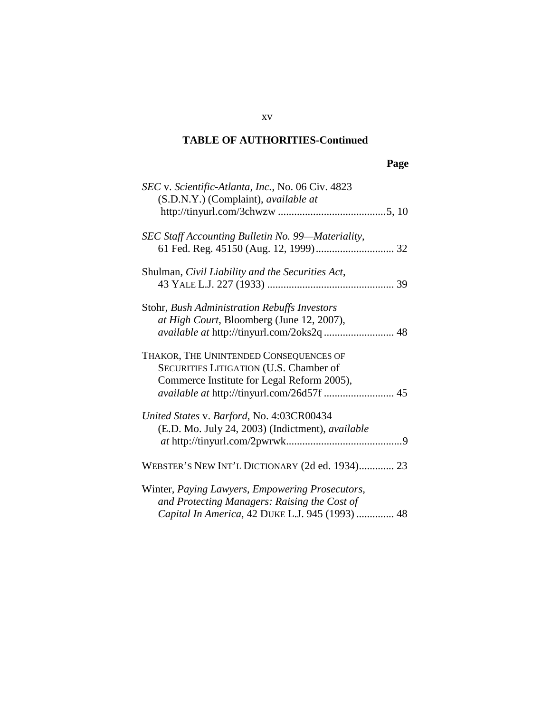## **Page**

| SEC v. Scientific-Atlanta, Inc., No. 06 Civ. 4823<br>(S.D.N.Y.) (Complaint), available at                                                          |
|----------------------------------------------------------------------------------------------------------------------------------------------------|
| SEC Staff Accounting Bulletin No. 99—Materiality,                                                                                                  |
| Shulman, Civil Liability and the Securities Act,                                                                                                   |
| Stohr, Bush Administration Rebuffs Investors<br>at High Court, Bloomberg (June 12, 2007),                                                          |
| THAKOR, THE UNINTENDED CONSEQUENCES OF<br>SECURITIES LITIGATION (U.S. Chamber of<br>Commerce Institute for Legal Reform 2005),                     |
| United States v. Barford, No. 4:03CR00434<br>(E.D. Mo. July 24, 2003) (Indictment), available                                                      |
| WEBSTER'S NEW INT'L DICTIONARY (2d ed. 1934) 23                                                                                                    |
| Winter, Paying Lawyers, Empowering Prosecutors,<br>and Protecting Managers: Raising the Cost of<br>Capital In America, 42 DUKE L.J. 945 (1993)  48 |

xv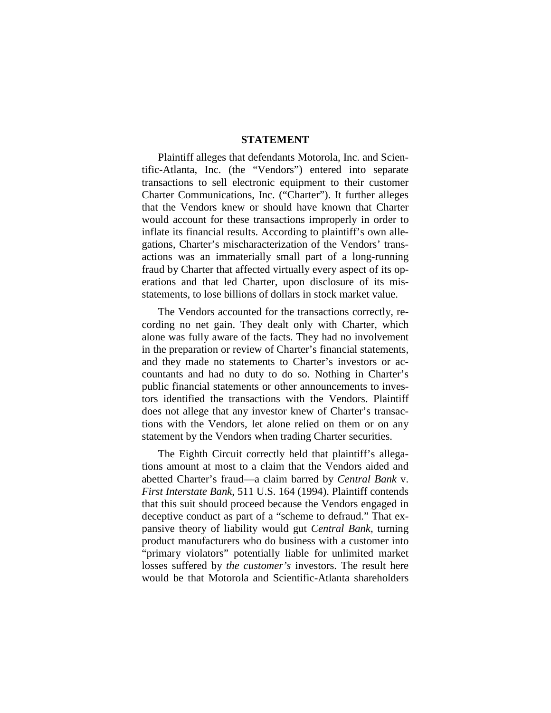#### **STATEMENT**

Plaintiff alleges that defendants Motorola, Inc. and Scientific-Atlanta, Inc. (the "Vendors") entered into separate transactions to sell electronic equipment to their customer Charter Communications, Inc. ("Charter"). It further alleges that the Vendors knew or should have known that Charter would account for these transactions improperly in order to inflate its financial results. According to plaintiff's own allegations, Charter's mischaracterization of the Vendors' transactions was an immaterially small part of a long-running fraud by Charter that affected virtually every aspect of its operations and that led Charter, upon disclosure of its misstatements, to lose billions of dollars in stock market value.

The Vendors accounted for the transactions correctly, recording no net gain. They dealt only with Charter, which alone was fully aware of the facts. They had no involvement in the preparation or review of Charter's financial statements, and they made no statements to Charter's investors or accountants and had no duty to do so. Nothing in Charter's public financial statements or other announcements to investors identified the transactions with the Vendors. Plaintiff does not allege that any investor knew of Charter's transactions with the Vendors, let alone relied on them or on any statement by the Vendors when trading Charter securities.

The Eighth Circuit correctly held that plaintiff's allegations amount at most to a claim that the Vendors aided and abetted Charter's fraud—a claim barred by *Central Bank* v. *First Interstate Bank*, 511 U.S. 164 (1994). Plaintiff contends that this suit should proceed because the Vendors engaged in deceptive conduct as part of a "scheme to defraud." That expansive theory of liability would gut *Central Bank*, turning product manufacturers who do business with a customer into "primary violators" potentially liable for unlimited market losses suffered by *the customer's* investors. The result here would be that Motorola and Scientific-Atlanta shareholders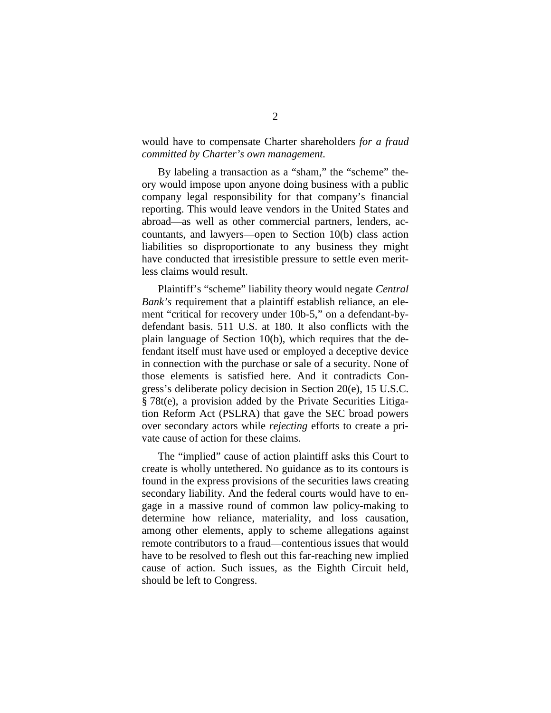would have to compensate Charter shareholders *for a fraud committed by Charter's own management.*

By labeling a transaction as a "sham," the "scheme" theory would impose upon anyone doing business with a public company legal responsibility for that company's financial reporting. This would leave vendors in the United States and abroad—as well as other commercial partners, lenders, accountants, and lawyers—open to Section 10(b) class action liabilities so disproportionate to any business they might have conducted that irresistible pressure to settle even meritless claims would result.

Plaintiff's "scheme" liability theory would negate *Central Bank's* requirement that a plaintiff establish reliance, an element "critical for recovery under 10b-5," on a defendant-bydefendant basis. 511 U.S. at 180. It also conflicts with the plain language of Section 10(b), which requires that the defendant itself must have used or employed a deceptive device in connection with the purchase or sale of a security. None of those elements is satisfied here. And it contradicts Congress's deliberate policy decision in Section 20(e), 15 U.S.C. § 78t(e), a provision added by the Private Securities Litigation Reform Act (PSLRA) that gave the SEC broad powers over secondary actors while *rejecting* efforts to create a private cause of action for these claims.

The "implied" cause of action plaintiff asks this Court to create is wholly untethered. No guidance as to its contours is found in the express provisions of the securities laws creating secondary liability. And the federal courts would have to engage in a massive round of common law policy-making to determine how reliance, materiality, and loss causation, among other elements, apply to scheme allegations against remote contributors to a fraud—contentious issues that would have to be resolved to flesh out this far-reaching new implied cause of action. Such issues, as the Eighth Circuit held, should be left to Congress.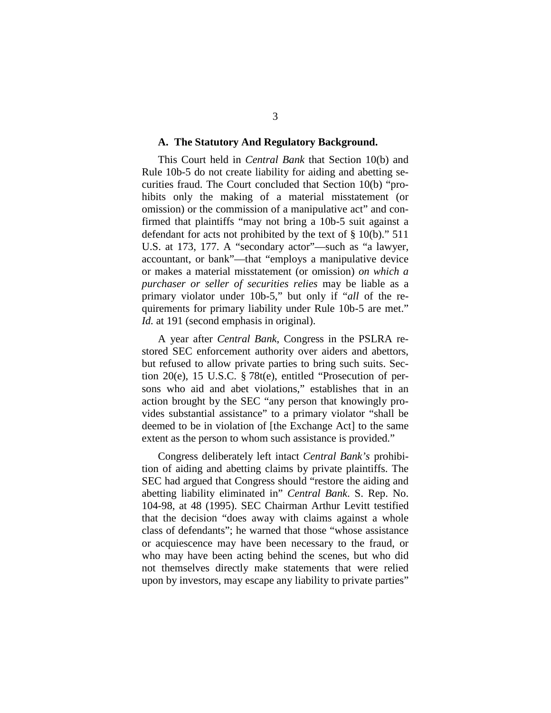#### **A. The Statutory And Regulatory Background.**

This Court held in *Central Bank* that Section 10(b) and Rule 10b-5 do not create liability for aiding and abetting securities fraud. The Court concluded that Section 10(b) "prohibits only the making of a material misstatement (or omission) or the commission of a manipulative act" and confirmed that plaintiffs "may not bring a 10b-5 suit against a defendant for acts not prohibited by the text of § 10(b)." 511 U.S. at 173, 177. A "secondary actor"—such as "a lawyer, accountant, or bank"—that "employs a manipulative device or makes a material misstatement (or omission) *on which a purchaser or seller of securities relies* may be liable as a primary violator under 10b-5," but only if "*all* of the requirements for primary liability under Rule 10b-5 are met." *Id.* at 191 (second emphasis in original).

A year after *Central Bank*, Congress in the PSLRA restored SEC enforcement authority over aiders and abettors, but refused to allow private parties to bring such suits. Section 20(e), 15 U.S.C. § 78t(e), entitled "Prosecution of persons who aid and abet violations," establishes that in an action brought by the SEC "any person that knowingly provides substantial assistance" to a primary violator "shall be deemed to be in violation of [the Exchange Act] to the same extent as the person to whom such assistance is provided."

Congress deliberately left intact *Central Bank's* prohibition of aiding and abetting claims by private plaintiffs. The SEC had argued that Congress should "restore the aiding and abetting liability eliminated in" *Central Bank*. S. Rep. No. 104-98, at 48 (1995). SEC Chairman Arthur Levitt testified that the decision "does away with claims against a whole class of defendants"; he warned that those "whose assistance or acquiescence may have been necessary to the fraud, or who may have been acting behind the scenes, but who did not themselves directly make statements that were relied upon by investors, may escape any liability to private parties"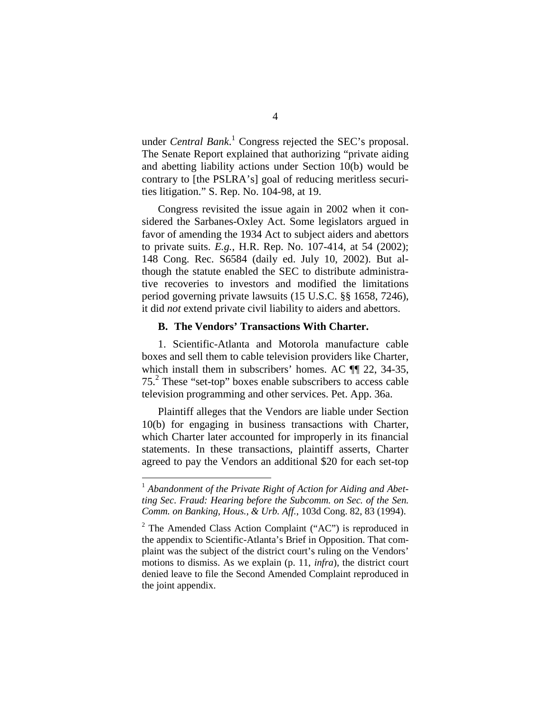under *Central Bank*. [1](#page-19-0) Congress rejected the SEC's proposal. The Senate Report explained that authorizing "private aiding and abetting liability actions under Section 10(b) would be contrary to [the PSLRA's] goal of reducing meritless securities litigation." S. Rep. No. 104-98, at 19.

Congress revisited the issue again in 2002 when it considered the Sarbanes-Oxley Act. Some legislators argued in favor of amending the 1934 Act to subject aiders and abettors to private suits. *E.g.*, H.R. Rep. No. 107-414, at 54 (2002); 148 Cong. Rec. S6584 (daily ed. July 10, 2002). But although the statute enabled the SEC to distribute administrative recoveries to investors and modified the limitations period governing private lawsuits (15 U.S.C. §§ 1658, 7246), it did *not* extend private civil liability to aiders and abettors.

#### **B. The Vendors' Transactions With Charter.**

1. Scientific-Atlanta and Motorola manufacture cable boxes and sell them to cable television providers like Charter, which install them in subscribers' homes. AC  $\P$  22, 34-35, 75.[2](#page-19-1) These "set-top" boxes enable subscribers to access cable television programming and other services. Pet. App. 36a.

Plaintiff alleges that the Vendors are liable under Section 10(b) for engaging in business transactions with Charter, which Charter later accounted for improperly in its financial statements. In these transactions, plaintiff asserts, Charter agreed to pay the Vendors an additional \$20 for each set-top

<span id="page-19-0"></span><sup>&</sup>lt;sup>1</sup> Abandonment of the Private Right of Action for Aiding and Abet*ting Sec. Fraud: Hearing before the Subcomm. on Sec. of the Sen. Comm. on Banking, Hous., & Urb. Aff.*, 103d Cong. 82, 83 (1994).

<span id="page-19-1"></span> $2$  The Amended Class Action Complaint ("AC") is reproduced in the appendix to Scientific-Atlanta's Brief in Opposition. That complaint was the subject of the district court's ruling on the Vendors' motions to dismiss. As we explain (p. 11, *infra*), the district court denied leave to file the Second Amended Complaint reproduced in the joint appendix.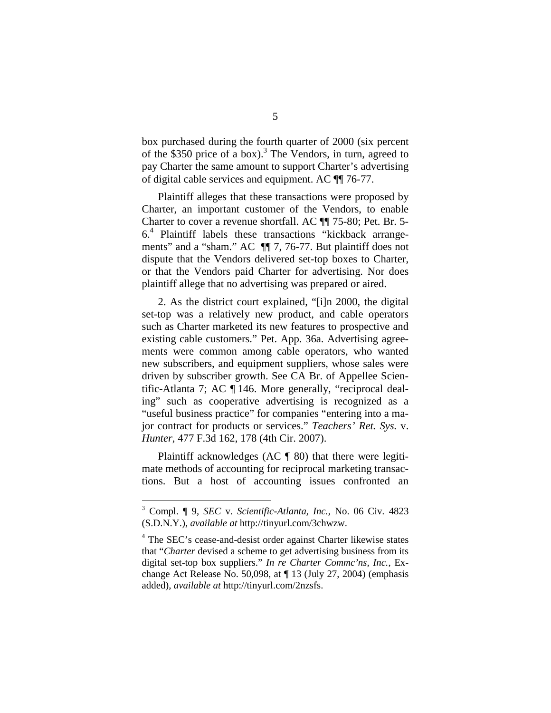box purchased during the fourth quarter of 2000 (six percent ofthe \$350 price of a box)[.](#page-20-0)<sup>3</sup> The Vendors, in turn, agreed to pay Charter the same amount to support Charter's advertising of digital cable services and equipment. AC ¶¶ 76-77.

Plaintiff alleges that these transactions were proposed by Charter, an important customer of the Vendors, to enable Charter to cover a revenue shortfall. AC ¶¶ 75-80; Pet. Br. 5- 6.[4](#page-20-1) Plaintiff labels these transactions "kickback arrangements" and a "sham." AC ¶¶ 7, 76-77. But plaintiff does not dispute that the Vendors delivered set-top boxes to Charter, or that the Vendors paid Charter for advertising. Nor does plaintiff allege that no advertising was prepared or aired.

2. As the district court explained, "[i]n 2000, the digital set-top was a relatively new product, and cable operators such as Charter marketed its new features to prospective and existing cable customers." Pet. App. 36a. Advertising agreements were common among cable operators, who wanted new subscribers, and equipment suppliers, whose sales were driven by subscriber growth. See CA Br. of Appellee Scientific-Atlanta 7; AC ¶ 146. More generally, "reciprocal dealing" such as cooperative advertising is recognized as a "useful business practice" for companies "entering into a major contract for products or services." *Teachers' Ret. Sys.* v. *Hunter*, 477 F.3d 162, 178 (4th Cir. 2007).

Plaintiff acknowledges (AC  $\parallel$  80) that there were legitimate methods of accounting for reciprocal marketing transactions. But a host of accounting issues confronted an

<span id="page-20-0"></span><sup>3</sup> Compl. ¶ 9, *SEC* v. *Scientific-Atlanta, Inc.*, No. 06 Civ. 4823 (S.D.N.Y.), *available at* http://tinyurl.com/3chwzw.

<span id="page-20-1"></span><sup>4</sup> The SEC's cease-and-desist order against Charter likewise states that "*Charter* devised a scheme to get advertising business from its digital set-top box suppliers." *In re Charter Commc'ns, Inc.*, Exchange Act Release No. 50,098, at ¶ 13 (July 27, 2004) (emphasis added), *available at* http://tinyurl.com/2nzsfs.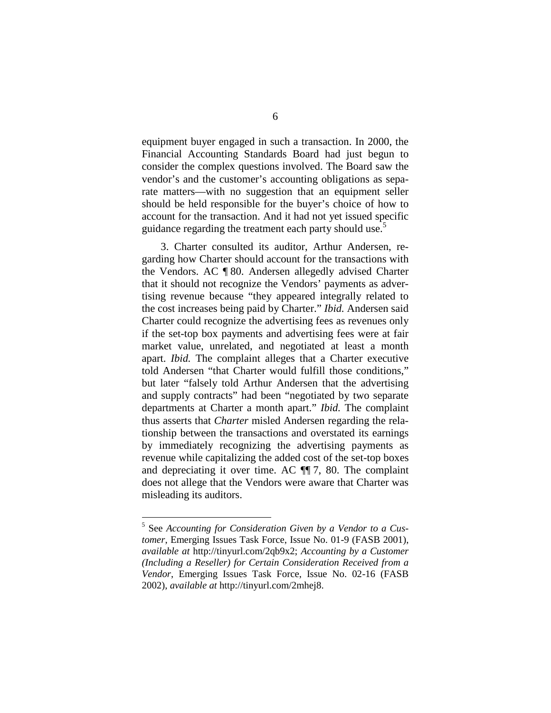equipment buyer engaged in such a transaction. In 2000, the Financial Accounting Standards Board had just begun to consider the complex questions involved. The Board saw the vendor's and the customer's accounting obligations as separate matters—with no suggestion that an equipment seller should be held responsible for the buyer's choice of how to account for the transaction. And it had not yet issued specific guidanceregarding the treatment each party should use[.](#page-21-0)<sup>5</sup>

3. Charter consulted its auditor, Arthur Andersen, regarding how Charter should account for the transactions with the Vendors. AC ¶ 80. Andersen allegedly advised Charter that it should not recognize the Vendors' payments as advertising revenue because "they appeared integrally related to the cost increases being paid by Charter." *Ibid.* Andersen said Charter could recognize the advertising fees as revenues only if the set-top box payments and advertising fees were at fair market value, unrelated, and negotiated at least a month apart. *Ibid.* The complaint alleges that a Charter executive told Andersen "that Charter would fulfill those conditions," but later "falsely told Arthur Andersen that the advertising and supply contracts" had been "negotiated by two separate departments at Charter a month apart." *Ibid.* The complaint thus asserts that *Charter* misled Andersen regarding the relationship between the transactions and overstated its earnings by immediately recognizing the advertising payments as revenue while capitalizing the added cost of the set-top boxes and depreciating it over time. AC ¶¶ 7, 80. The complaint does not allege that the Vendors were aware that Charter was misleading its auditors.

<span id="page-21-0"></span><sup>5</sup> See *Accounting for Consideration Given by a Vendor to a Customer*, Emerging Issues Task Force, Issue No. 01-9 (FASB 2001), *available at* http://tinyurl.com/2qb9x2; *Accounting by a Customer (Including a Reseller) for Certain Consideration Received from a Vendor*, Emerging Issues Task Force, Issue No. 02-16 (FASB 2002), *available at* http://tinyurl.com/2mhej8.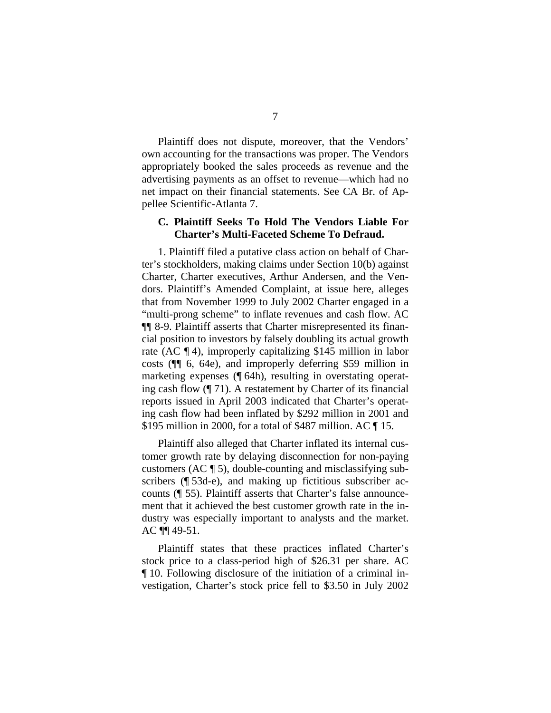Plaintiff does not dispute, moreover, that the Vendors' own accounting for the transactions was proper. The Vendors appropriately booked the sales proceeds as revenue and the advertising payments as an offset to revenue—which had no net impact on their financial statements. See CA Br. of Appellee Scientific-Atlanta 7.

#### **C. Plaintiff Seeks To Hold The Vendors Liable For Charter's Multi-Faceted Scheme To Defraud.**

1. Plaintiff filed a putative class action on behalf of Charter's stockholders, making claims under Section 10(b) against Charter, Charter executives, Arthur Andersen, and the Vendors. Plaintiff's Amended Complaint, at issue here, alleges that from November 1999 to July 2002 Charter engaged in a "multi-prong scheme" to inflate revenues and cash flow. AC ¶¶ 8-9. Plaintiff asserts that Charter misrepresented its financial position to investors by falsely doubling its actual growth rate (AC ¶ 4), improperly capitalizing \$145 million in labor costs (¶¶ 6, 64e), and improperly deferring \$59 million in marketing expenses (¶ 64h), resulting in overstating operating cash flow (¶ 71). A restatement by Charter of its financial reports issued in April 2003 indicated that Charter's operating cash flow had been inflated by \$292 million in 2001 and \$195 million in 2000, for a total of \$487 million. AC ¶ 15.

Plaintiff also alleged that Charter inflated its internal customer growth rate by delaying disconnection for non-paying customers (AC ¶ 5), double-counting and misclassifying subscribers (¶ 53d-e), and making up fictitious subscriber accounts (¶ 55). Plaintiff asserts that Charter's false announcement that it achieved the best customer growth rate in the industry was especially important to analysts and the market. AC ¶¶ 49-51.

Plaintiff states that these practices inflated Charter's stock price to a class-period high of \$26.31 per share. AC ¶ 10. Following disclosure of the initiation of a criminal investigation, Charter's stock price fell to \$3.50 in July 2002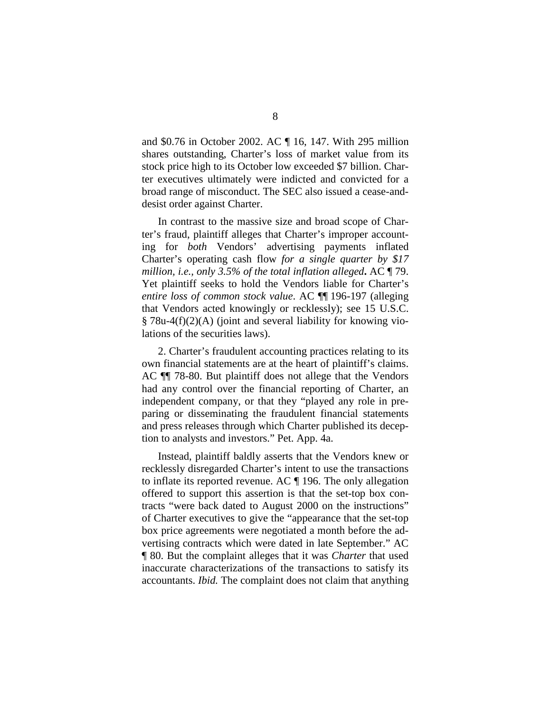and \$0.76 in October 2002. AC ¶ 16, 147. With 295 million shares outstanding, Charter's loss of market value from its stock price high to its October low exceeded \$7 billion. Charter executives ultimately were indicted and convicted for a broad range of misconduct. The SEC also issued a cease-anddesist order against Charter.

In contrast to the massive size and broad scope of Charter's fraud, plaintiff alleges that Charter's improper accounting for *both* Vendors' advertising payments inflated Charter's operating cash flow *for a single quarter by \$17 million, i.e., only 3.5% of the total inflation alleged***.** AC ¶ 79. Yet plaintiff seeks to hold the Vendors liable for Charter's *entire loss of common stock value*. AC ¶¶ 196-197 (alleging that Vendors acted knowingly or recklessly); see 15 U.S.C. § 78u-4(f)(2)(A) (joint and several liability for knowing violations of the securities laws).

2. Charter's fraudulent accounting practices relating to its own financial statements are at the heart of plaintiff's claims. AC ¶¶ 78-80. But plaintiff does not allege that the Vendors had any control over the financial reporting of Charter, an independent company, or that they "played any role in preparing or disseminating the fraudulent financial statements and press releases through which Charter published its deception to analysts and investors." Pet. App. 4a.

Instead, plaintiff baldly asserts that the Vendors knew or recklessly disregarded Charter's intent to use the transactions to inflate its reported revenue. AC ¶ 196. The only allegation offered to support this assertion is that the set-top box contracts "were back dated to August 2000 on the instructions" of Charter executives to give the "appearance that the set-top box price agreements were negotiated a month before the advertising contracts which were dated in late September." AC ¶ 80. But the complaint alleges that it was *Charter* that used inaccurate characterizations of the transactions to satisfy its accountants. *Ibid.* The complaint does not claim that anything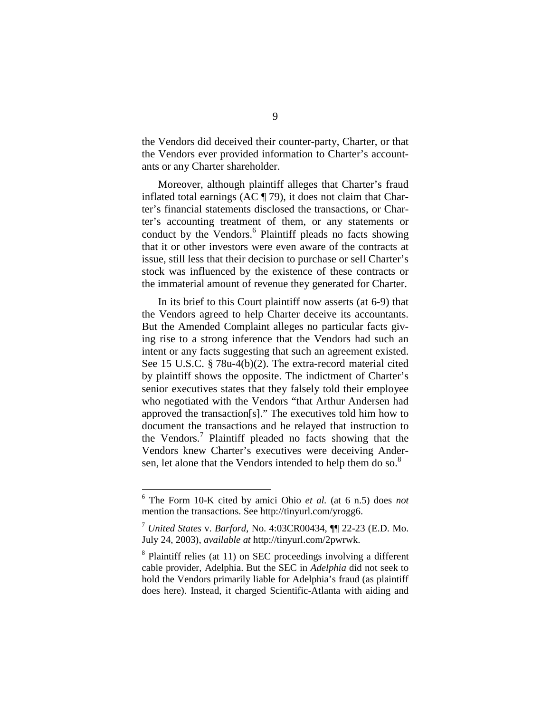the Vendors did deceived their counter-party, Charter, or that the Vendors ever provided information to Charter's accountants or any Charter shareholder.

Moreover, although plaintiff alleges that Charter's fraud inflated total earnings (AC ¶ 79), it does not claim that Charter's financial statements disclosed the transactions, or Charter's accounting treatment of them, or any statements or conduct by the Vendors.<sup>[6](#page-24-0)</sup> Plaintiff pleads no facts showing that it or other investors were even aware of the contracts at issue, still less that their decision to purchase or sell Charter's stock was influenced by the existence of these contracts or the immaterial amount of revenue they generated for Charter.

In its brief to this Court plaintiff now asserts (at 6-9) that the Vendors agreed to help Charter deceive its accountants. But the Amended Complaint alleges no particular facts giving rise to a strong inference that the Vendors had such an intent or any facts suggesting that such an agreement existed. See 15 U.S.C. § 78u-4(b)(2). The extra-record material cited by plaintiff shows the opposite. The indictment of Charter's senior executives states that they falsely told their employee who negotiated with the Vendors "that Arthur Andersen had approved the transaction[s]." The executives told him how to document the transactions and he relayed that instruction to the Vendors.[7](#page-24-1) Plaintiff pleaded no facts showing that the Vendors knew Charter's executives were deceiving Andersen,let alone that the Vendors intended to help them do so.<sup>8</sup>

<span id="page-24-0"></span><sup>6</sup> The Form 10-K cited by amici Ohio *et al.* (at 6 n.5) does *not* mention the transactions. See http://tinyurl.com/yrogg6.

<span id="page-24-1"></span><sup>7</sup> *United States* v. *Barford*, No. 4:03CR00434, ¶¶ 22-23 (E.D. Mo. July 24, 2003), *available at* http://tinyurl.com/2pwrwk.

<span id="page-24-2"></span><sup>&</sup>lt;sup>8</sup> Plaintiff relies (at 11) on SEC proceedings involving a different cable provider, Adelphia. But the SEC in *Adelphia* did not seek to hold the Vendors primarily liable for Adelphia's fraud (as plaintiff does here). Instead, it charged Scientific-Atlanta with aiding and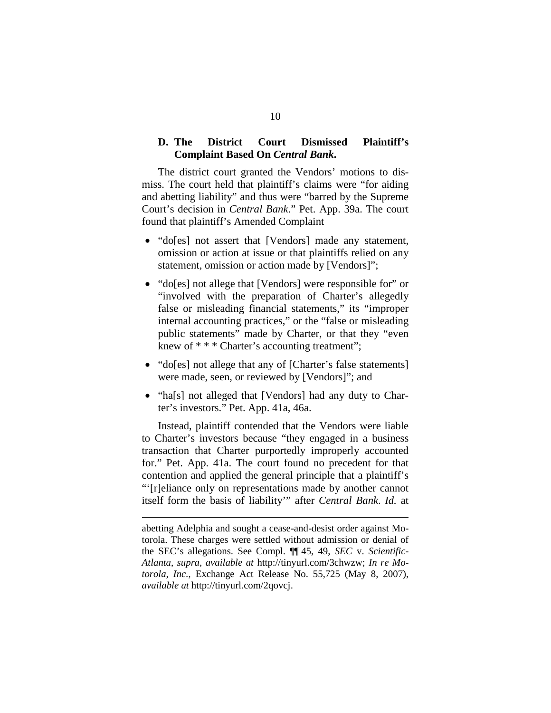#### **D. The District Court Dismissed Plaintiff's Complaint Based On** *Central Bank***.**

The district court granted the Vendors' motions to dismiss. The court held that plaintiff's claims were "for aiding and abetting liability" and thus were "barred by the Supreme Court's decision in *Central Bank*." Pet. App. 39a. The court found that plaintiff's Amended Complaint

- "do[es] not assert that [Vendors] made any statement, omission or action at issue or that plaintiffs relied on any statement, omission or action made by [Vendors]";
- "do[es] not allege that [Vendors] were responsible for" or "involved with the preparation of Charter's allegedly false or misleading financial statements," its "improper internal accounting practices," or the "false or misleading public statements" made by Charter, or that they "even knew of \* \* \* Charter's accounting treatment";
- "do[es] not allege that any of [Charter's false statements] were made, seen, or reviewed by [Vendors]"; and
- "ha[s] not alleged that [Vendors] had any duty to Charter's investors." Pet. App. 41a, 46a.

Instead, plaintiff contended that the Vendors were liable to Charter's investors because "they engaged in a business transaction that Charter purportedly improperly accounted for." Pet. App. 41a. The court found no precedent for that contention and applied the general principle that a plaintiff's "'[r]eliance only on representations made by another cannot itself form the basis of liability'" after *Central Bank*. *Id.* at

abetting Adelphia and sought a cease-and-desist order against Motorola. These charges were settled without admission or denial of the SEC's allegations. See Compl. ¶¶ 45, 49, *SEC* v. *Scientific-Atlanta*, *supra*, *available at* http://tinyurl.com/3chwzw; *In re Motorola, Inc.*, Exchange Act Release No. 55,725 (May 8, 2007), *available at* http://tinyurl.com/2qovcj.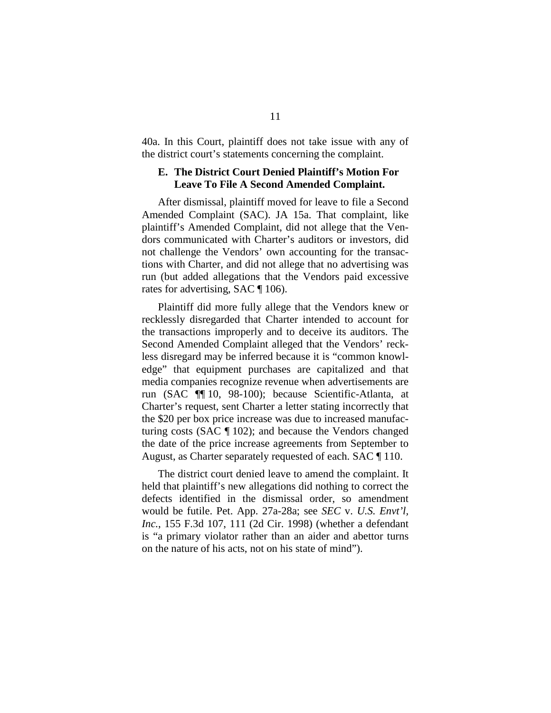40a. In this Court, plaintiff does not take issue with any of the district court's statements concerning the complaint.

#### **E. The District Court Denied Plaintiff's Motion For Leave To File A Second Amended Complaint.**

After dismissal, plaintiff moved for leave to file a Second Amended Complaint (SAC). JA 15a. That complaint, like plaintiff's Amended Complaint, did not allege that the Vendors communicated with Charter's auditors or investors, did not challenge the Vendors' own accounting for the transactions with Charter, and did not allege that no advertising was run (but added allegations that the Vendors paid excessive rates for advertising, SAC ¶ 106).

Plaintiff did more fully allege that the Vendors knew or recklessly disregarded that Charter intended to account for the transactions improperly and to deceive its auditors. The Second Amended Complaint alleged that the Vendors' reckless disregard may be inferred because it is "common knowledge" that equipment purchases are capitalized and that media companies recognize revenue when advertisements are run (SAC ¶¶ 10, 98-100); because Scientific-Atlanta, at Charter's request, sent Charter a letter stating incorrectly that the \$20 per box price increase was due to increased manufacturing costs (SAC ¶ 102); and because the Vendors changed the date of the price increase agreements from September to August, as Charter separately requested of each. SAC ¶ 110.

The district court denied leave to amend the complaint. It held that plaintiff's new allegations did nothing to correct the defects identified in the dismissal order, so amendment would be futile. Pet. App. 27a-28a; see *SEC* v. *U.S. Envt'l, Inc.*, 155 F.3d 107, 111 (2d Cir. 1998) (whether a defendant is "a primary violator rather than an aider and abettor turns on the nature of his acts, not on his state of mind").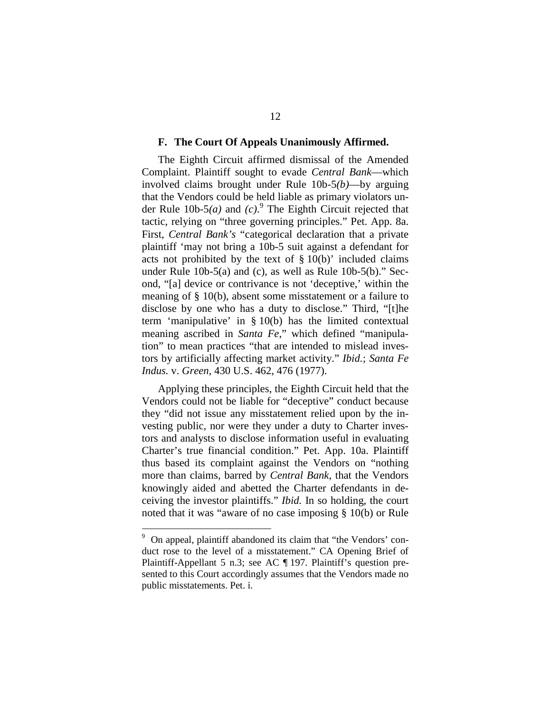#### **F. The Court Of Appeals Unanimously Affirmed.**

The Eighth Circuit affirmed dismissal of the Amended Complaint. Plaintiff sought to evade *Central Bank*—which involved claims brought under Rule 10b-5*(b)*—by arguing that the Vendors could be held liable as primary violators under Rule 10b-5*(a)* and *(c)*. [9](#page-27-0) The Eighth Circuit rejected that tactic, relying on "three governing principles." Pet. App. 8a. First, *Central Bank's* "categorical declaration that a private plaintiff 'may not bring a 10b-5 suit against a defendant for acts not prohibited by the text of  $\S 10(b)$  included claims under Rule 10b-5(a) and (c), as well as Rule 10b-5(b)." Second, "[a] device or contrivance is not 'deceptive,' within the meaning of § 10(b), absent some misstatement or a failure to disclose by one who has a duty to disclose." Third, "[t]he term 'manipulative' in § 10(b) has the limited contextual meaning ascribed in *Santa Fe*," which defined "manipulation" to mean practices "that are intended to mislead investors by artificially affecting market activity." *Ibid.*; *Santa Fe Indus.* v. *Green*, 430 U.S. 462, 476 (1977).

Applying these principles, the Eighth Circuit held that the Vendors could not be liable for "deceptive" conduct because they "did not issue any misstatement relied upon by the investing public, nor were they under a duty to Charter investors and analysts to disclose information useful in evaluating Charter's true financial condition." Pet. App. 10a. Plaintiff thus based its complaint against the Vendors on "nothing more than claims, barred by *Central Bank*, that the Vendors knowingly aided and abetted the Charter defendants in deceiving the investor plaintiffs." *Ibid.* In so holding, the court noted that it was "aware of no case imposing § 10(b) or Rule

<span id="page-27-0"></span><sup>9</sup> On appeal, plaintiff abandoned its claim that "the Vendors' conduct rose to the level of a misstatement." CA Opening Brief of Plaintiff-Appellant 5 n.3; see AC ¶ 197. Plaintiff's question presented to this Court accordingly assumes that the Vendors made no public misstatements. Pet. i.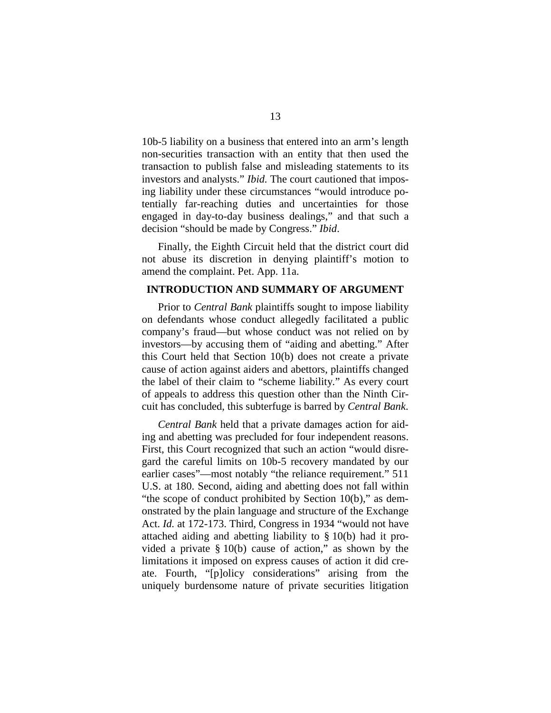10b-5 liability on a business that entered into an arm's length non-securities transaction with an entity that then used the transaction to publish false and misleading statements to its investors and analysts." *Ibid.* The court cautioned that imposing liability under these circumstances "would introduce potentially far-reaching duties and uncertainties for those engaged in day-to-day business dealings," and that such a decision "should be made by Congress." *Ibid*.

Finally, the Eighth Circuit held that the district court did not abuse its discretion in denying plaintiff's motion to amend the complaint. Pet. App. 11a.

#### **INTRODUCTION AND SUMMARY OF ARGUMENT**

Prior to *Central Bank* plaintiffs sought to impose liability on defendants whose conduct allegedly facilitated a public company's fraud—but whose conduct was not relied on by investors—by accusing them of "aiding and abetting." After this Court held that Section 10(b) does not create a private cause of action against aiders and abettors, plaintiffs changed the label of their claim to "scheme liability." As every court of appeals to address this question other than the Ninth Circuit has concluded, this subterfuge is barred by *Central Bank*.

*Central Bank* held that a private damages action for aiding and abetting was precluded for four independent reasons. First, this Court recognized that such an action "would disregard the careful limits on 10b-5 recovery mandated by our earlier cases"—most notably "the reliance requirement." 511 U.S. at 180. Second, aiding and abetting does not fall within "the scope of conduct prohibited by Section 10(b)," as demonstrated by the plain language and structure of the Exchange Act. *Id.* at 172-173. Third, Congress in 1934 "would not have attached aiding and abetting liability to § 10(b) had it provided a private § 10(b) cause of action," as shown by the limitations it imposed on express causes of action it did create. Fourth, "[p]olicy considerations" arising from the uniquely burdensome nature of private securities litigation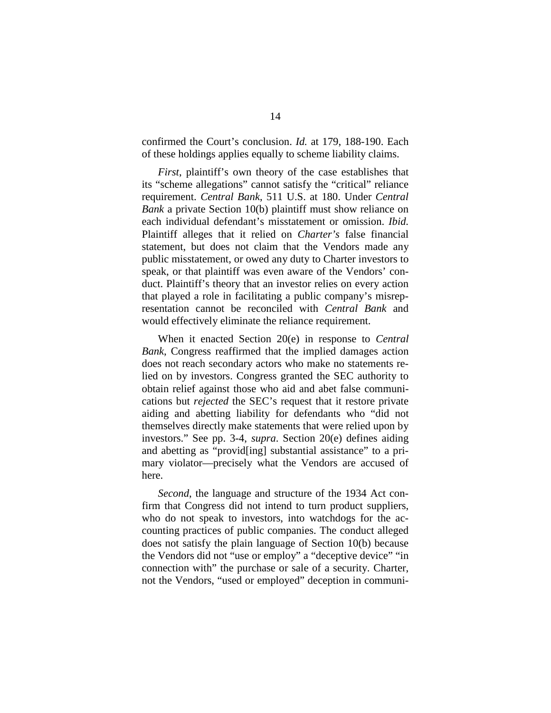confirmed the Court's conclusion. *Id.* at 179, 188-190. Each of these holdings applies equally to scheme liability claims.

*First*, plaintiff's own theory of the case establishes that its "scheme allegations" cannot satisfy the "critical" reliance requirement. *Central Bank*, 511 U.S. at 180. Under *Central Bank* a private Section 10(b) plaintiff must show reliance on each individual defendant's misstatement or omission. *Ibid.* Plaintiff alleges that it relied on *Charter's* false financial statement, but does not claim that the Vendors made any public misstatement, or owed any duty to Charter investors to speak, or that plaintiff was even aware of the Vendors' conduct. Plaintiff's theory that an investor relies on every action that played a role in facilitating a public company's misrepresentation cannot be reconciled with *Central Bank* and would effectively eliminate the reliance requirement.

When it enacted Section 20(e) in response to *Central Bank*, Congress reaffirmed that the implied damages action does not reach secondary actors who make no statements relied on by investors. Congress granted the SEC authority to obtain relief against those who aid and abet false communications but *rejected* the SEC's request that it restore private aiding and abetting liability for defendants who "did not themselves directly make statements that were relied upon by investors." See pp. 3-4, *supra*. Section 20(e) defines aiding and abetting as "provid[ing] substantial assistance" to a primary violator—precisely what the Vendors are accused of here.

*Second*, the language and structure of the 1934 Act confirm that Congress did not intend to turn product suppliers, who do not speak to investors, into watchdogs for the accounting practices of public companies. The conduct alleged does not satisfy the plain language of Section 10(b) because the Vendors did not "use or employ" a "deceptive device" "in connection with" the purchase or sale of a security. Charter, not the Vendors, "used or employed" deception in communi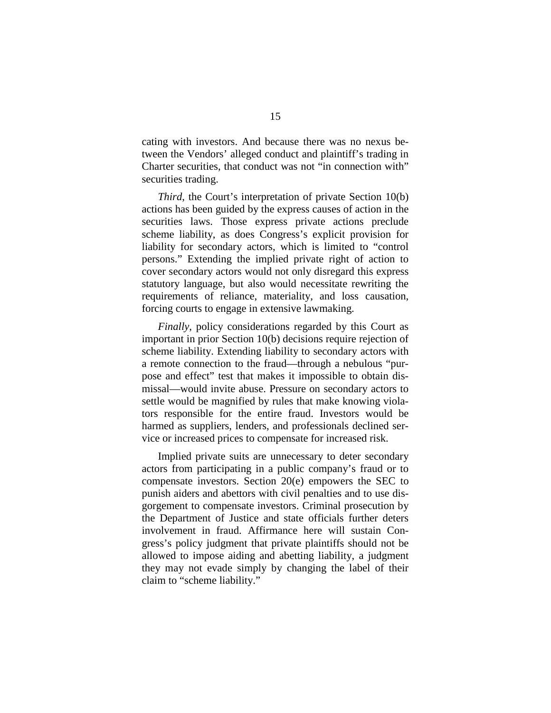cating with investors. And because there was no nexus between the Vendors' alleged conduct and plaintiff's trading in Charter securities, that conduct was not "in connection with" securities trading.

*Third*, the Court's interpretation of private Section 10(b) actions has been guided by the express causes of action in the securities laws. Those express private actions preclude scheme liability, as does Congress's explicit provision for liability for secondary actors, which is limited to "control persons." Extending the implied private right of action to cover secondary actors would not only disregard this express statutory language, but also would necessitate rewriting the requirements of reliance, materiality, and loss causation, forcing courts to engage in extensive lawmaking.

*Finally*, policy considerations regarded by this Court as important in prior Section 10(b) decisions require rejection of scheme liability. Extending liability to secondary actors with a remote connection to the fraud—through a nebulous "purpose and effect" test that makes it impossible to obtain dismissal—would invite abuse. Pressure on secondary actors to settle would be magnified by rules that make knowing violators responsible for the entire fraud. Investors would be harmed as suppliers, lenders, and professionals declined service or increased prices to compensate for increased risk.

Implied private suits are unnecessary to deter secondary actors from participating in a public company's fraud or to compensate investors. Section 20(e) empowers the SEC to punish aiders and abettors with civil penalties and to use disgorgement to compensate investors. Criminal prosecution by the Department of Justice and state officials further deters involvement in fraud. Affirmance here will sustain Congress's policy judgment that private plaintiffs should not be allowed to impose aiding and abetting liability, a judgment they may not evade simply by changing the label of their claim to "scheme liability."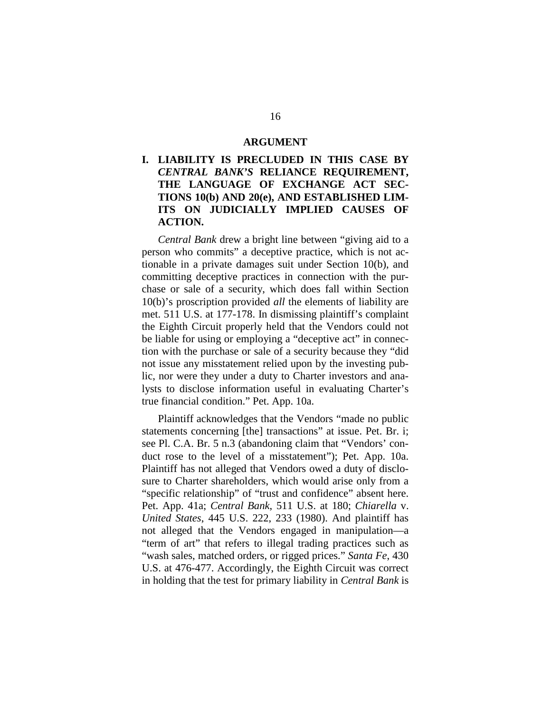#### **ARGUMENT**

#### **I. LIABILITY IS PRECLUDED IN THIS CASE BY** *CENTRAL BANK'S* **RELIANCE REQUIREMENT, THE LANGUAGE OF EXCHANGE ACT SEC-TIONS 10(b) AND 20(e), AND ESTABLISHED LIM-ITS ON JUDICIALLY IMPLIED CAUSES OF ACTION.**

*Central Bank* drew a bright line between "giving aid to a person who commits" a deceptive practice, which is not actionable in a private damages suit under Section 10(b), and committing deceptive practices in connection with the purchase or sale of a security, which does fall within Section 10(b)'s proscription provided *all* the elements of liability are met. 511 U.S. at 177-178. In dismissing plaintiff's complaint the Eighth Circuit properly held that the Vendors could not be liable for using or employing a "deceptive act" in connection with the purchase or sale of a security because they "did not issue any misstatement relied upon by the investing public, nor were they under a duty to Charter investors and analysts to disclose information useful in evaluating Charter's true financial condition." Pet. App. 10a.

Plaintiff acknowledges that the Vendors "made no public statements concerning [the] transactions" at issue. Pet. Br. i; see Pl. C.A. Br. 5 n.3 (abandoning claim that "Vendors' conduct rose to the level of a misstatement"); Pet. App. 10a. Plaintiff has not alleged that Vendors owed a duty of disclosure to Charter shareholders, which would arise only from a "specific relationship" of "trust and confidence" absent here. Pet. App. 41a; *Central Bank*, 511 U.S. at 180; *Chiarella* v. *United States*, 445 U.S. 222, 233 (1980). And plaintiff has not alleged that the Vendors engaged in manipulation—a "term of art" that refers to illegal trading practices such as "wash sales, matched orders, or rigged prices." *Santa Fe*, 430 U.S. at 476-477. Accordingly, the Eighth Circuit was correct in holding that the test for primary liability in *Central Bank* is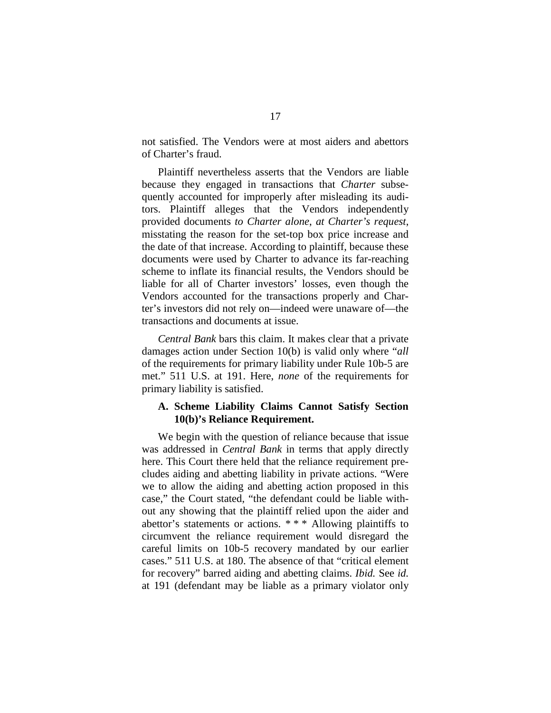not satisfied. The Vendors were at most aiders and abettors of Charter's fraud.

Plaintiff nevertheless asserts that the Vendors are liable because they engaged in transactions that *Charter* subsequently accounted for improperly after misleading its auditors. Plaintiff alleges that the Vendors independently provided documents *to Charter alone*, *at Charter's request*, misstating the reason for the set-top box price increase and the date of that increase. According to plaintiff, because these documents were used by Charter to advance its far-reaching scheme to inflate its financial results, the Vendors should be liable for all of Charter investors' losses, even though the Vendors accounted for the transactions properly and Charter's investors did not rely on—indeed were unaware of—the transactions and documents at issue.

*Central Bank* bars this claim. It makes clear that a private damages action under Section 10(b) is valid only where "*all* of the requirements for primary liability under Rule 10b-5 are met." 511 U.S. at 191. Here, *none* of the requirements for primary liability is satisfied.

#### **A. Scheme Liability Claims Cannot Satisfy Section 10(b)'s Reliance Requirement.**

We begin with the question of reliance because that issue was addressed in *Central Bank* in terms that apply directly here. This Court there held that the reliance requirement precludes aiding and abetting liability in private actions. "Were we to allow the aiding and abetting action proposed in this case," the Court stated, "the defendant could be liable without any showing that the plaintiff relied upon the aider and abettor's statements or actions. \* \* \* Allowing plaintiffs to circumvent the reliance requirement would disregard the careful limits on 10b-5 recovery mandated by our earlier cases." 511 U.S. at 180. The absence of that "critical element for recovery" barred aiding and abetting claims. *Ibid.* See *id.* at 191 (defendant may be liable as a primary violator only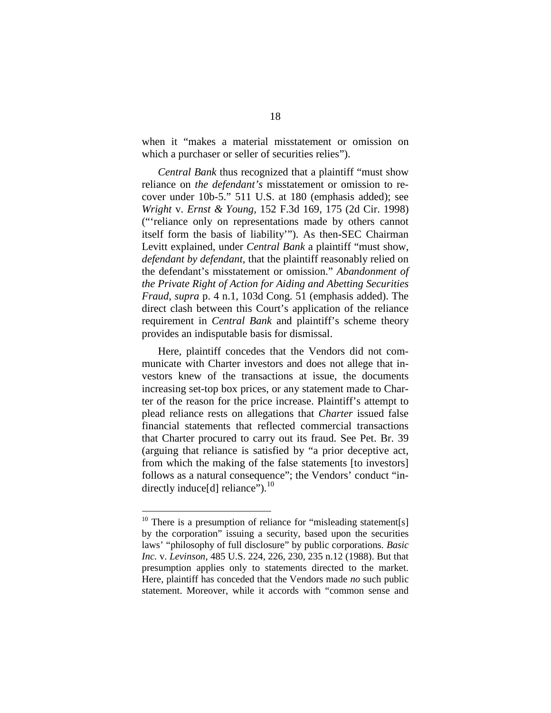when it "makes a material misstatement or omission on which a purchaser or seller of securities relies".

*Central Bank* thus recognized that a plaintiff "must show reliance on *the defendant's* misstatement or omission to recover under 10b-5." 511 U.S. at 180 (emphasis added); see *Wright* v. *Ernst & Young*, 152 F.3d 169, 175 (2d Cir. 1998) ("'reliance only on representations made by others cannot itself form the basis of liability'"). As then-SEC Chairman Levitt explained, under *Central Bank* a plaintiff "must show, *defendant by defendant*, that the plaintiff reasonably relied on the defendant's misstatement or omission." *Abandonment of the Private Right of Action for Aiding and Abetting Securities Fraud*, *supra* p. 4 n.1, 103d Cong. 51 (emphasis added). The direct clash between this Court's application of the reliance requirement in *Central Bank* and plaintiff's scheme theory provides an indisputable basis for dismissal.

Here, plaintiff concedes that the Vendors did not communicate with Charter investors and does not allege that investors knew of the transactions at issue, the documents increasing set-top box prices, or any statement made to Charter of the reason for the price increase. Plaintiff's attempt to plead reliance rests on allegations that *Charter* issued false financial statements that reflected commercial transactions that Charter procured to carry out its fraud. See Pet. Br. 39 (arguing that reliance is satisfied by "a prior deceptive act, from which the making of the false statements [to investors] follows as a natural consequence"; the Vendors' conduct "in-directly induce[d] reliance").<sup>[10](#page-33-0)</sup>

<span id="page-33-0"></span><sup>&</sup>lt;sup>10</sup> There is a presumption of reliance for "misleading statement[s] by the corporation" issuing a security, based upon the securities laws' "philosophy of full disclosure" by public corporations. *Basic Inc.* v. *Levinson*, 485 U.S. 224, 226, 230, 235 n.12 (1988). But that presumption applies only to statements directed to the market. Here, plaintiff has conceded that the Vendors made *no* such public statement. Moreover, while it accords with "common sense and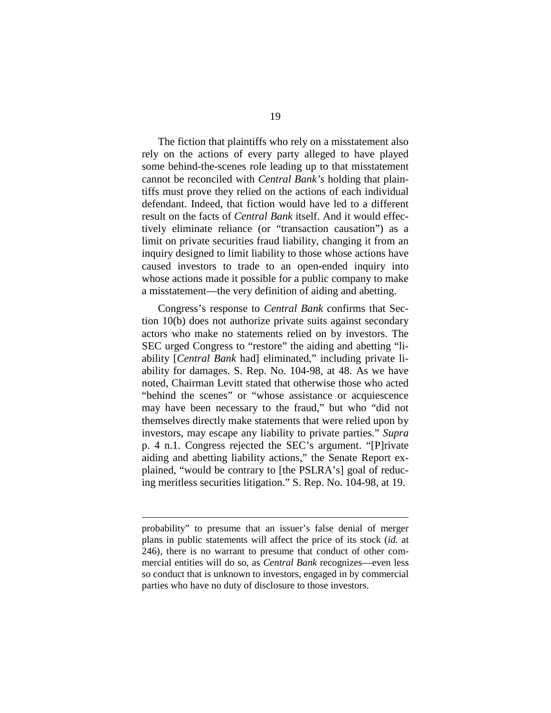The fiction that plaintiffs who rely on a misstatement also rely on the actions of every party alleged to have played some behind-the-scenes role leading up to that misstatement cannot be reconciled with *Central Bank's* holding that plaintiffs must prove they relied on the actions of each individual defendant. Indeed, that fiction would have led to a different result on the facts of *Central Bank* itself. And it would effectively eliminate reliance (or "transaction causation") as a limit on private securities fraud liability, changing it from an inquiry designed to limit liability to those whose actions have caused investors to trade to an open-ended inquiry into whose actions made it possible for a public company to make a misstatement—the very definition of aiding and abetting.

Congress's response to *Central Bank* confirms that Section 10(b) does not authorize private suits against secondary actors who make no statements relied on by investors. The SEC urged Congress to "restore" the aiding and abetting "liability [*Central Bank* had] eliminated," including private liability for damages. S. Rep. No. 104-98, at 48. As we have noted, Chairman Levitt stated that otherwise those who acted "behind the scenes" or "whose assistance or acquiescence may have been necessary to the fraud," but who "did not themselves directly make statements that were relied upon by investors, may escape any liability to private parties." *Supra* p. 4 n.1. Congress rejected the SEC's argument. "[P]rivate aiding and abetting liability actions," the Senate Report explained, "would be contrary to [the PSLRA's] goal of reducing meritless securities litigation." S. Rep. No. 104-98, at 19.

probability" to presume that an issuer's false denial of merger plans in public statements will affect the price of its stock (*id.* at 246), there is no warrant to presume that conduct of other commercial entities will do so, as *Central Bank* recognizes—even less so conduct that is unknown to investors, engaged in by commercial parties who have no duty of disclosure to those investors.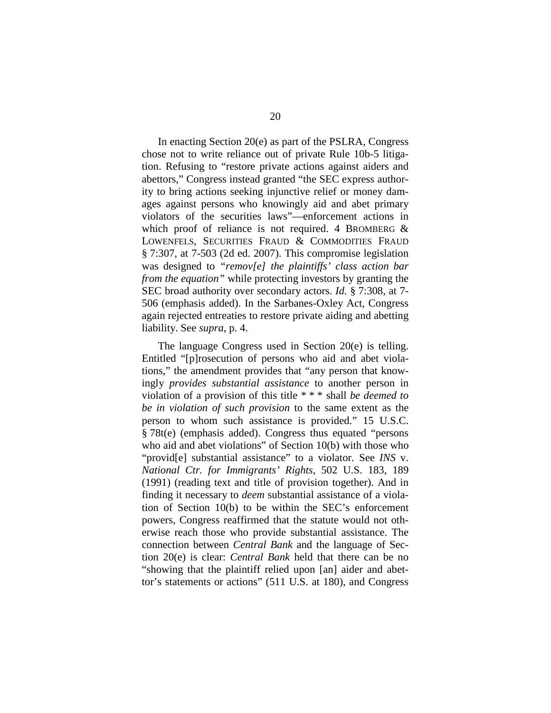In enacting Section 20(e) as part of the PSLRA, Congress chose not to write reliance out of private Rule 10b-5 litigation. Refusing to "restore private actions against aiders and abettors," Congress instead granted "the SEC express authority to bring actions seeking injunctive relief or money damages against persons who knowingly aid and abet primary violators of the securities laws"—enforcement actions in which proof of reliance is not required. 4 BROMBERG & LOWENFELS, SECURITIES FRAUD & COMMODITIES FRAUD § 7:307, at 7-503 (2d ed. 2007). This compromise legislation was designed to *"remov[e] the plaintiffs' class action bar from the equation"* while protecting investors by granting the SEC broad authority over secondary actors. *Id.* § 7:308, at 7- 506 (emphasis added). In the Sarbanes-Oxley Act, Congress again rejected entreaties to restore private aiding and abetting liability. See *supra*, p. 4.

The language Congress used in Section 20(e) is telling. Entitled "[p]rosecution of persons who aid and abet violations," the amendment provides that "any person that knowingly *provides substantial assistance* to another person in violation of a provision of this title \* \* \* shall *be deemed to be in violation of such provision* to the same extent as the person to whom such assistance is provided." 15 U.S.C. § 78t(e) (emphasis added). Congress thus equated "persons who aid and abet violations" of Section 10(b) with those who "provid[e] substantial assistance" to a violator. See *INS* v. *National Ctr. for Immigrants' Rights*, 502 U.S. 183, 189 (1991) (reading text and title of provision together). And in finding it necessary to *deem* substantial assistance of a violation of Section 10(b) to be within the SEC's enforcement powers, Congress reaffirmed that the statute would not otherwise reach those who provide substantial assistance. The connection between *Central Bank* and the language of Section 20(e) is clear: *Central Bank* held that there can be no "showing that the plaintiff relied upon [an] aider and abettor's statements or actions" (511 U.S. at 180), and Congress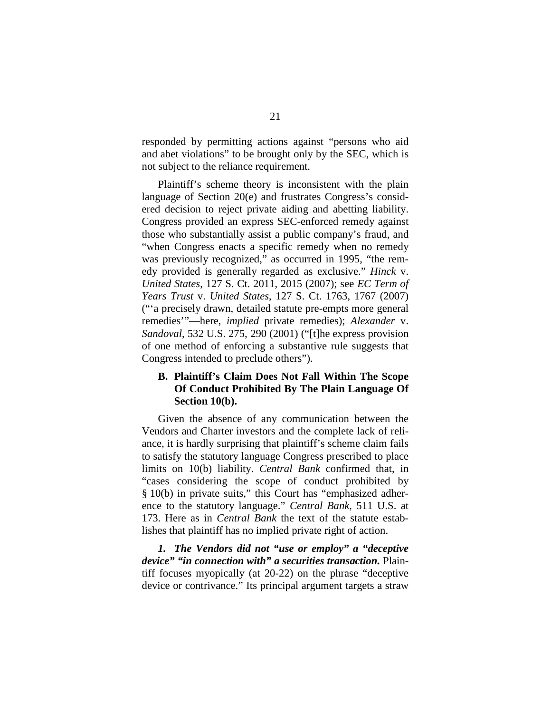responded by permitting actions against "persons who aid and abet violations" to be brought only by the SEC, which is not subject to the reliance requirement.

Plaintiff's scheme theory is inconsistent with the plain language of Section 20(e) and frustrates Congress's considered decision to reject private aiding and abetting liability. Congress provided an express SEC-enforced remedy against those who substantially assist a public company's fraud, and "when Congress enacts a specific remedy when no remedy was previously recognized," as occurred in 1995, "the remedy provided is generally regarded as exclusive." *Hinck* v. *United States*, 127 S. Ct. 2011, 2015 (2007); see *EC Term of Years Trust* v. *United States*, 127 S. Ct. 1763, 1767 (2007) ("'a precisely drawn, detailed statute pre-empts more general remedies'"—here, *implied* private remedies); *Alexander* v. *Sandoval*, 532 U.S. 275, 290 (2001) ("[t]he express provision of one method of enforcing a substantive rule suggests that Congress intended to preclude others").

# **B. Plaintiff's Claim Does Not Fall Within The Scope Of Conduct Prohibited By The Plain Language Of Section 10(b).**

Given the absence of any communication between the Vendors and Charter investors and the complete lack of reliance, it is hardly surprising that plaintiff's scheme claim fails to satisfy the statutory language Congress prescribed to place limits on 10(b) liability. *Central Bank* confirmed that, in "cases considering the scope of conduct prohibited by § 10(b) in private suits," this Court has "emphasized adherence to the statutory language." *Central Bank*, 511 U.S. at 173. Here as in *Central Bank* the text of the statute establishes that plaintiff has no implied private right of action.

*1. The Vendors did not "use or employ" a "deceptive device" "in connection with" a securities transaction.* Plaintiff focuses myopically (at 20-22) on the phrase "deceptive device or contrivance." Its principal argument targets a straw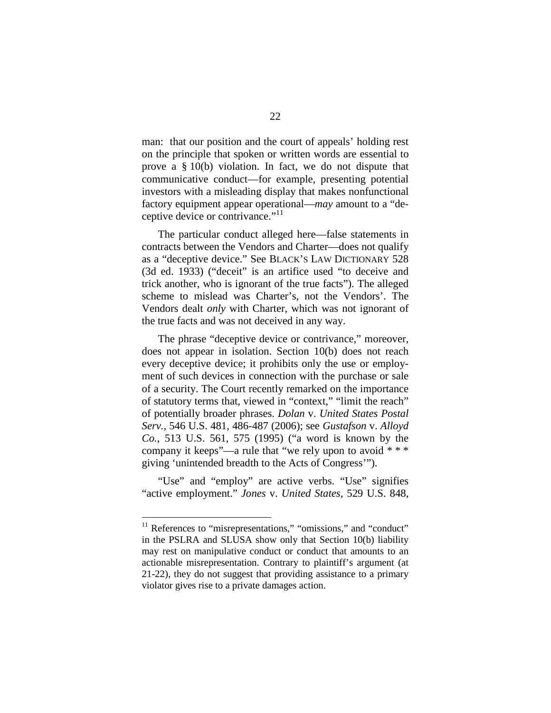man: that our position and the court of appeals' holding rest on the principle that spoken or written words are essential to prove a § 10(b) violation. In fact, we do not dispute that communicative conduct—for example, presenting potential investors with a misleading display that makes nonfunctional factory equipment appear operational—*may* amount to a "de-ceptive device or contrivance."<sup>[11](#page-37-0)</sup>

The particular conduct alleged here—false statements in contracts between the Vendors and Charter—does not qualify as a "deceptive device." See BLACK'S LAW DICTIONARY 528 (3d ed. 1933) ("deceit" is an artifice used "to deceive and trick another, who is ignorant of the true facts"). The alleged scheme to mislead was Charter's, not the Vendors'. The Vendors dealt *only* with Charter, which was not ignorant of the true facts and was not deceived in any way.

The phrase "deceptive device or contrivance," moreover, does not appear in isolation. Section 10(b) does not reach every deceptive device; it prohibits only the use or employment of such devices in connection with the purchase or sale of a security. The Court recently remarked on the importance of statutory terms that, viewed in "context," "limit the reach" of potentially broader phrases. *Dolan* v. *United States Postal Serv.*, 546 U.S. 481, 486-487 (2006); see *Gustafson* v. *Alloyd Co.*, 513 U.S. 561, 575 (1995) ("a word is known by the company it keeps"—a rule that "we rely upon to avoid  $***$ giving 'unintended breadth to the Acts of Congress'").

"Use" and "employ" are active verbs. "Use" signifies "active employment." *Jones* v. *United States*, 529 U.S. 848,

<span id="page-37-0"></span> $11$  References to "misrepresentations," "omissions," and "conduct" in the PSLRA and SLUSA show only that Section 10(b) liability may rest on manipulative conduct or conduct that amounts to an actionable misrepresentation. Contrary to plaintiff's argument (at 21-22), they do not suggest that providing assistance to a primary violator gives rise to a private damages action.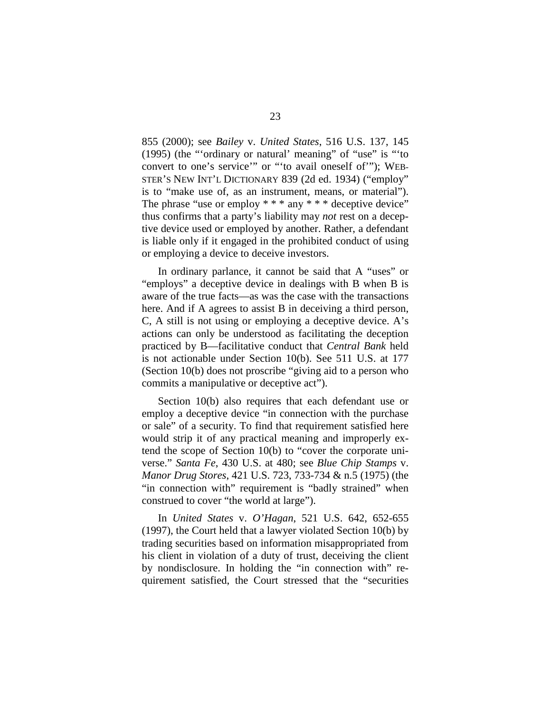855 (2000); see *Bailey* v. *United States*, 516 U.S. 137, 145 (1995) (the "'ordinary or natural' meaning" of "use" is "'to convert to one's service'" or "'to avail oneself of'"); WEB-STER'S NEW INT'L DICTIONARY 839 (2d ed. 1934) ("employ" is to "make use of, as an instrument, means, or material"). The phrase "use or employ  $***$  any  $***$  deceptive device" thus confirms that a party's liability may *not* rest on a deceptive device used or employed by another. Rather, a defendant is liable only if it engaged in the prohibited conduct of using or employing a device to deceive investors.

In ordinary parlance, it cannot be said that A "uses" or "employs" a deceptive device in dealings with B when B is aware of the true facts—as was the case with the transactions here. And if A agrees to assist B in deceiving a third person, C, A still is not using or employing a deceptive device. A's actions can only be understood as facilitating the deception practiced by B—facilitative conduct that *Central Bank* held is not actionable under Section 10(b). See 511 U.S. at 177 (Section 10(b) does not proscribe "giving aid to a person who commits a manipulative or deceptive act").

Section 10(b) also requires that each defendant use or employ a deceptive device "in connection with the purchase or sale" of a security. To find that requirement satisfied here would strip it of any practical meaning and improperly extend the scope of Section 10(b) to "cover the corporate universe." *Santa Fe*, 430 U.S. at 480; see *Blue Chip Stamps* v. *Manor Drug Stores*, 421 U.S. 723, 733-734 & n.5 (1975) (the "in connection with" requirement is "badly strained" when construed to cover "the world at large").

In *United States* v. *O'Hagan*, 521 U.S. 642, 652-655 (1997), the Court held that a lawyer violated Section 10(b) by trading securities based on information misappropriated from his client in violation of a duty of trust, deceiving the client by nondisclosure. In holding the "in connection with" requirement satisfied, the Court stressed that the "securities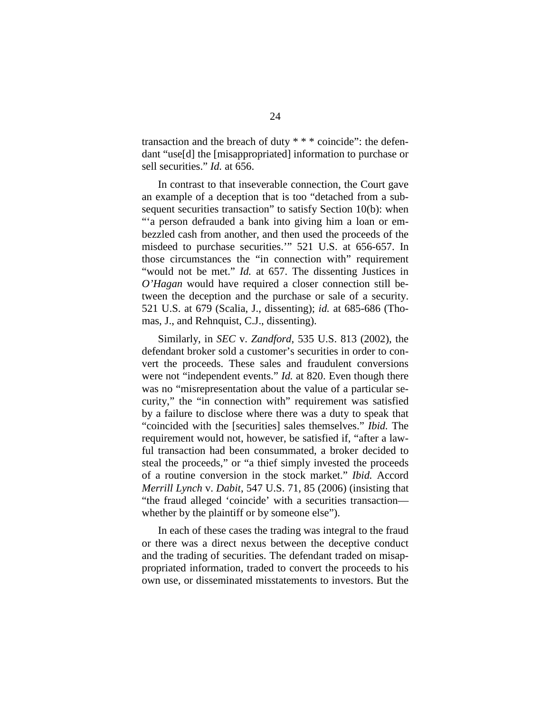transaction and the breach of duty \* \* \* coincide": the defendant "use[d] the [misappropriated] information to purchase or sell securities." *Id.* at 656.

In contrast to that inseverable connection, the Court gave an example of a deception that is too "detached from a subsequent securities transaction" to satisfy Section 10(b): when "'a person defrauded a bank into giving him a loan or embezzled cash from another, and then used the proceeds of the misdeed to purchase securities.'" 521 U.S. at 656-657. In those circumstances the "in connection with" requirement "would not be met." *Id.* at 657. The dissenting Justices in *O'Hagan* would have required a closer connection still between the deception and the purchase or sale of a security. 521 U.S. at 679 (Scalia, J., dissenting); *id.* at 685-686 (Thomas, J., and Rehnquist, C.J., dissenting).

Similarly, in *SEC* v. *Zandford*, 535 U.S. 813 (2002), the defendant broker sold a customer's securities in order to convert the proceeds. These sales and fraudulent conversions were not "independent events." *Id.* at 820. Even though there was no "misrepresentation about the value of a particular security," the "in connection with" requirement was satisfied by a failure to disclose where there was a duty to speak that "coincided with the [securities] sales themselves." *Ibid.* The requirement would not, however, be satisfied if, "after a lawful transaction had been consummated, a broker decided to steal the proceeds," or "a thief simply invested the proceeds of a routine conversion in the stock market." *Ibid.* Accord *Merrill Lynch* v. *Dabit*, 547 U.S. 71, 85 (2006) (insisting that "the fraud alleged 'coincide' with a securities transaction whether by the plaintiff or by someone else").

In each of these cases the trading was integral to the fraud or there was a direct nexus between the deceptive conduct and the trading of securities. The defendant traded on misappropriated information, traded to convert the proceeds to his own use, or disseminated misstatements to investors. But the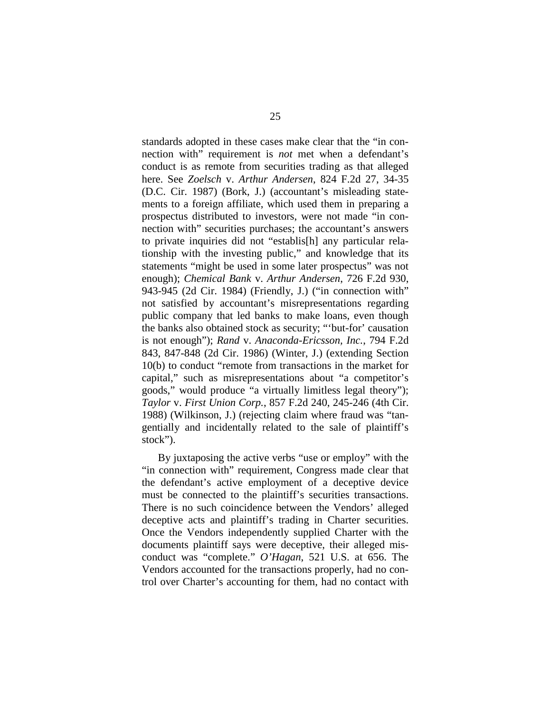standards adopted in these cases make clear that the "in connection with" requirement is *not* met when a defendant's conduct is as remote from securities trading as that alleged here. See *Zoelsch* v. *Arthur Andersen*, 824 F.2d 27, 34-35 (D.C. Cir. 1987) (Bork, J.) (accountant's misleading statements to a foreign affiliate, which used them in preparing a prospectus distributed to investors, were not made "in connection with" securities purchases; the accountant's answers to private inquiries did not "establis[h] any particular relationship with the investing public," and knowledge that its statements "might be used in some later prospectus" was not enough); *Chemical Bank* v. *Arthur Andersen*, 726 F.2d 930, 943-945 (2d Cir. 1984) (Friendly, J.) ("in connection with" not satisfied by accountant's misrepresentations regarding public company that led banks to make loans, even though the banks also obtained stock as security; "'but-for' causation is not enough"); *Rand* v. *Anaconda-Ericsson, Inc.*, 794 F.2d 843, 847-848 (2d Cir. 1986) (Winter, J.) (extending Section 10(b) to conduct "remote from transactions in the market for capital," such as misrepresentations about "a competitor's goods," would produce "a virtually limitless legal theory"); *Taylor* v. *First Union Corp.*, 857 F.2d 240, 245-246 (4th Cir. 1988) (Wilkinson, J.) (rejecting claim where fraud was "tangentially and incidentally related to the sale of plaintiff's stock").

By juxtaposing the active verbs "use or employ" with the "in connection with" requirement, Congress made clear that the defendant's active employment of a deceptive device must be connected to the plaintiff's securities transactions. There is no such coincidence between the Vendors' alleged deceptive acts and plaintiff's trading in Charter securities. Once the Vendors independently supplied Charter with the documents plaintiff says were deceptive, their alleged misconduct was "complete." *O'Hagan*, 521 U.S. at 656. The Vendors accounted for the transactions properly, had no control over Charter's accounting for them, had no contact with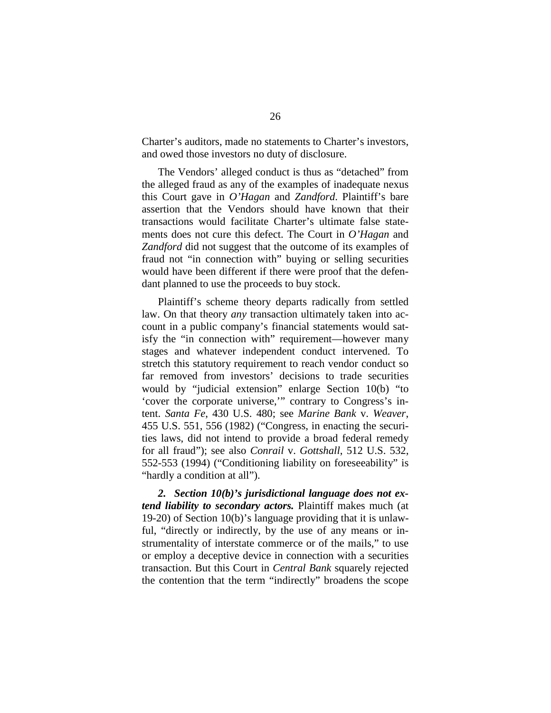Charter's auditors, made no statements to Charter's investors, and owed those investors no duty of disclosure.

The Vendors' alleged conduct is thus as "detached" from the alleged fraud as any of the examples of inadequate nexus this Court gave in *O'Hagan* and *Zandford*. Plaintiff's bare assertion that the Vendors should have known that their transactions would facilitate Charter's ultimate false statements does not cure this defect. The Court in *O'Hagan* and *Zandford* did not suggest that the outcome of its examples of fraud not "in connection with" buying or selling securities would have been different if there were proof that the defendant planned to use the proceeds to buy stock.

Plaintiff's scheme theory departs radically from settled law. On that theory *any* transaction ultimately taken into account in a public company's financial statements would satisfy the "in connection with" requirement—however many stages and whatever independent conduct intervened. To stretch this statutory requirement to reach vendor conduct so far removed from investors' decisions to trade securities would by "judicial extension" enlarge Section 10(b) "to 'cover the corporate universe,'" contrary to Congress's intent. *Santa Fe*, 430 U.S. 480; see *Marine Bank* v. *Weaver*, 455 U.S. 551, 556 (1982) ("Congress, in enacting the securities laws, did not intend to provide a broad federal remedy for all fraud"); see also *Conrail* v. *Gottshall*, 512 U.S. 532, 552-553 (1994) ("Conditioning liability on foreseeability" is "hardly a condition at all").

*2. Section 10(b)'s jurisdictional language does not extend liability to secondary actors.* Plaintiff makes much (at 19-20) of Section 10(b)'s language providing that it is unlawful, "directly or indirectly, by the use of any means or instrumentality of interstate commerce or of the mails," to use or employ a deceptive device in connection with a securities transaction. But this Court in *Central Bank* squarely rejected the contention that the term "indirectly" broadens the scope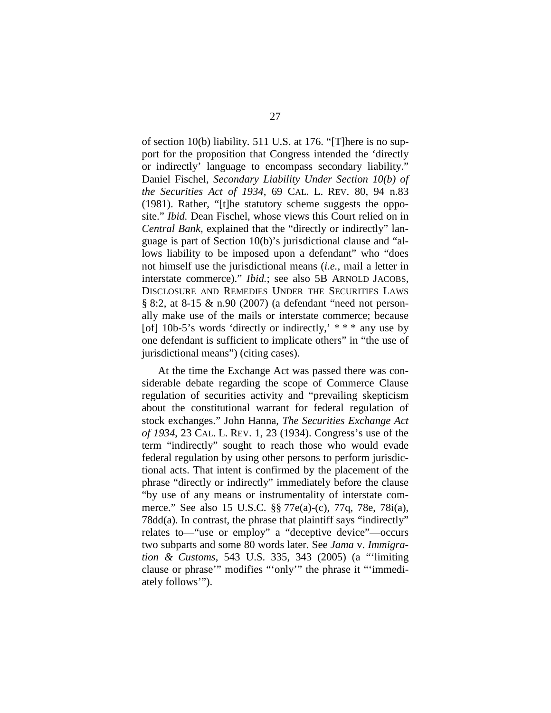of section 10(b) liability. 511 U.S. at 176. "[T]here is no support for the proposition that Congress intended the 'directly or indirectly' language to encompass secondary liability." Daniel Fischel, *Secondary Liability Under Section 10(b) of the Securities Act of 1934*, 69 CAL. L. REV. 80, 94 n.83 (1981). Rather, "[t]he statutory scheme suggests the opposite." *Ibid.* Dean Fischel, whose views this Court relied on in *Central Bank*, explained that the "directly or indirectly" language is part of Section 10(b)'s jurisdictional clause and "allows liability to be imposed upon a defendant" who "does not himself use the jurisdictional means (*i.e.*, mail a letter in interstate commerce)." *Ibid.*; see also 5B ARNOLD JACOBS, DISCLOSURE AND REMEDIES UNDER THE SECURITIES LAWS § 8:2, at 8-15 & n.90 (2007) (a defendant "need not personally make use of the mails or interstate commerce; because [of] 10b-5's words 'directly or indirectly,' \* \* \* any use by one defendant is sufficient to implicate others" in "the use of jurisdictional means") (citing cases).

At the time the Exchange Act was passed there was considerable debate regarding the scope of Commerce Clause regulation of securities activity and "prevailing skepticism about the constitutional warrant for federal regulation of stock exchanges." John Hanna, *The Securities Exchange Act of 1934*, 23 CAL. L. REV. 1, 23 (1934). Congress's use of the term "indirectly" sought to reach those who would evade federal regulation by using other persons to perform jurisdictional acts. That intent is confirmed by the placement of the phrase "directly or indirectly" immediately before the clause "by use of any means or instrumentality of interstate commerce." See also 15 U.S.C. §§ 77e(a)-(c), 77q, 78e, 78i(a), 78dd(a). In contrast, the phrase that plaintiff says "indirectly" relates to—"use or employ" a "deceptive device"—occurs two subparts and some 80 words later. See *Jama* v. *Immigration & Customs*, 543 U.S. 335, 343 (2005) (a "'limiting clause or phrase'" modifies "'only'" the phrase it "'immediately follows'").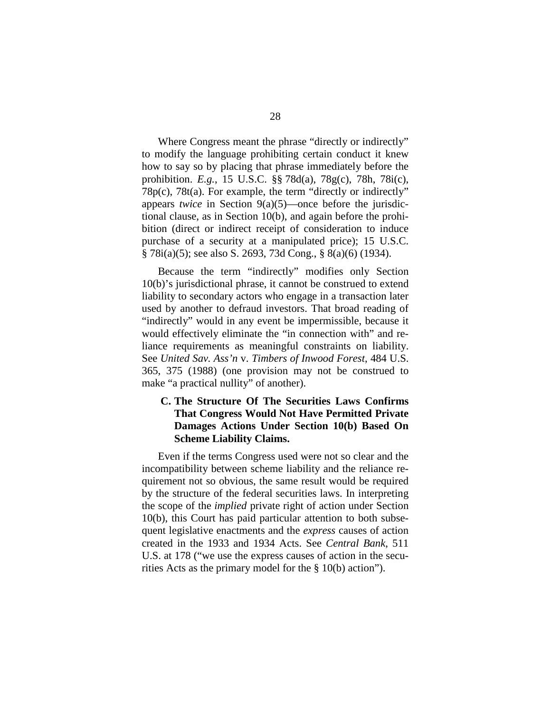Where Congress meant the phrase "directly or indirectly" to modify the language prohibiting certain conduct it knew how to say so by placing that phrase immediately before the prohibition. *E.g.*, 15 U.S.C. §§ 78d(a), 78g(c), 78h, 78i(c), 78p(c), 78t(a). For example, the term "directly or indirectly" appears *twice* in Section 9(a)(5)—once before the jurisdictional clause, as in Section 10(b), and again before the prohibition (direct or indirect receipt of consideration to induce purchase of a security at a manipulated price); 15 U.S.C. § 78i(a)(5); see also S. 2693, 73d Cong., § 8(a)(6) (1934).

Because the term "indirectly" modifies only Section 10(b)'s jurisdictional phrase, it cannot be construed to extend liability to secondary actors who engage in a transaction later used by another to defraud investors. That broad reading of "indirectly" would in any event be impermissible, because it would effectively eliminate the "in connection with" and reliance requirements as meaningful constraints on liability. See *United Sav. Ass'n* v. *Timbers of Inwood Forest*, 484 U.S. 365, 375 (1988) (one provision may not be construed to make "a practical nullity" of another).

# **C. The Structure Of The Securities Laws Confirms That Congress Would Not Have Permitted Private Damages Actions Under Section 10(b) Based On Scheme Liability Claims.**

Even if the terms Congress used were not so clear and the incompatibility between scheme liability and the reliance requirement not so obvious, the same result would be required by the structure of the federal securities laws. In interpreting the scope of the *implied* private right of action under Section 10(b), this Court has paid particular attention to both subsequent legislative enactments and the *express* causes of action created in the 1933 and 1934 Acts. See *Central Bank*, 511 U.S. at 178 ("we use the express causes of action in the securities Acts as the primary model for the § 10(b) action").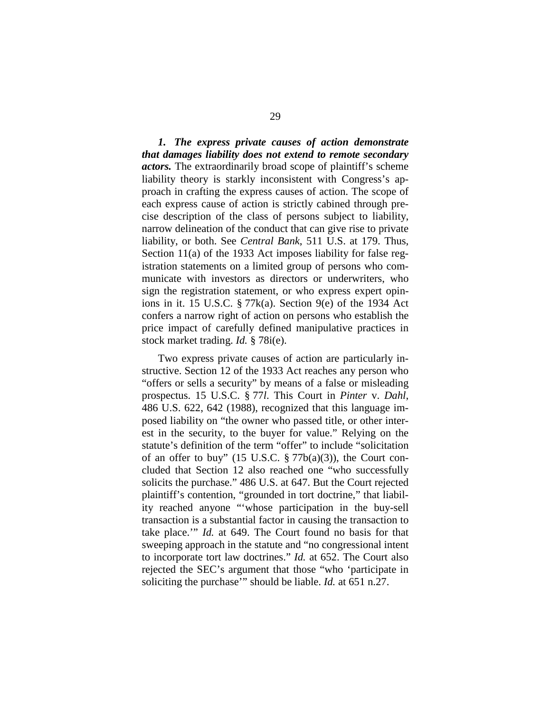*1. The express private causes of action demonstrate that damages liability does not extend to remote secondary actors.* The extraordinarily broad scope of plaintiff's scheme liability theory is starkly inconsistent with Congress's approach in crafting the express causes of action. The scope of each express cause of action is strictly cabined through precise description of the class of persons subject to liability, narrow delineation of the conduct that can give rise to private liability, or both. See *Central Bank*, 511 U.S. at 179. Thus, Section 11(a) of the 1933 Act imposes liability for false registration statements on a limited group of persons who communicate with investors as directors or underwriters, who sign the registration statement, or who express expert opinions in it. 15 U.S.C. § 77k(a). Section 9(e) of the 1934 Act confers a narrow right of action on persons who establish the price impact of carefully defined manipulative practices in stock market trading. *Id.* § 78i(e).

Two express private causes of action are particularly instructive. Section 12 of the 1933 Act reaches any person who "offers or sells a security" by means of a false or misleading prospectus. 15 U.S.C. § 77*l*. This Court in *Pinter* v. *Dahl*, 486 U.S. 622, 642 (1988), recognized that this language imposed liability on "the owner who passed title, or other interest in the security, to the buyer for value." Relying on the statute's definition of the term "offer" to include "solicitation of an offer to buy" (15 U.S.C.  $\S 77b(a)(3)$ ), the Court concluded that Section 12 also reached one "who successfully solicits the purchase." 486 U.S. at 647. But the Court rejected plaintiff's contention, "grounded in tort doctrine," that liability reached anyone "'whose participation in the buy-sell transaction is a substantial factor in causing the transaction to take place.'" *Id.* at 649. The Court found no basis for that sweeping approach in the statute and "no congressional intent to incorporate tort law doctrines." *Id.* at 652. The Court also rejected the SEC's argument that those "who 'participate in soliciting the purchase'" should be liable. *Id.* at 651 n.27.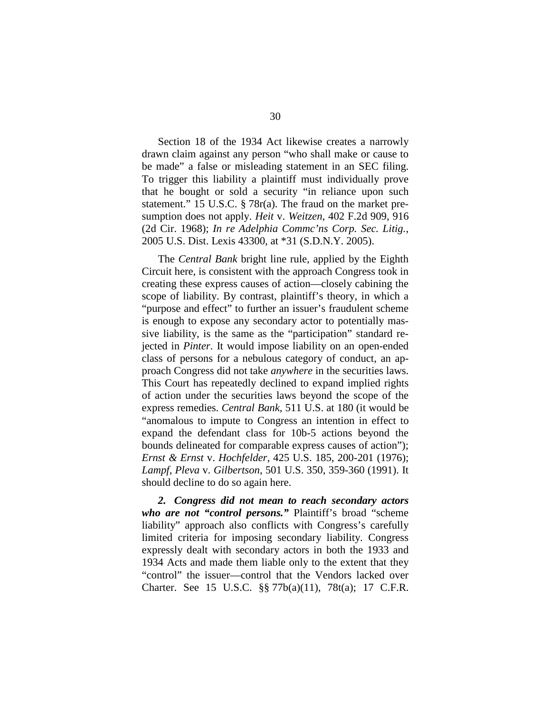Section 18 of the 1934 Act likewise creates a narrowly drawn claim against any person "who shall make or cause to be made" a false or misleading statement in an SEC filing. To trigger this liability a plaintiff must individually prove that he bought or sold a security "in reliance upon such statement." 15 U.S.C. § 78r(a). The fraud on the market presumption does not apply. *Heit* v. *Weitzen*, 402 F.2d 909, 916 (2d Cir. 1968); *In re Adelphia Commc'ns Corp. Sec. Litig.*, 2005 U.S. Dist. Lexis 43300, at \*31 (S.D.N.Y. 2005).

The *Central Bank* bright line rule, applied by the Eighth Circuit here, is consistent with the approach Congress took in creating these express causes of action—closely cabining the scope of liability. By contrast, plaintiff's theory, in which a "purpose and effect" to further an issuer's fraudulent scheme is enough to expose any secondary actor to potentially massive liability, is the same as the "participation" standard rejected in *Pinter*. It would impose liability on an open-ended class of persons for a nebulous category of conduct, an approach Congress did not take *anywhere* in the securities laws. This Court has repeatedly declined to expand implied rights of action under the securities laws beyond the scope of the express remedies. *Central Bank*, 511 U.S. at 180 (it would be "anomalous to impute to Congress an intention in effect to expand the defendant class for 10b-5 actions beyond the bounds delineated for comparable express causes of action"); *Ernst & Ernst* v. *Hochfelder*, 425 U.S. 185, 200-201 (1976); *Lampf, Pleva* v. *Gilbertson*, 501 U.S. 350, 359-360 (1991). It should decline to do so again here.

*2. Congress did not mean to reach secondary actors who are not "control persons."* Plaintiff's broad "scheme liability" approach also conflicts with Congress's carefully limited criteria for imposing secondary liability. Congress expressly dealt with secondary actors in both the 1933 and 1934 Acts and made them liable only to the extent that they "control" the issuer—control that the Vendors lacked over Charter. See 15 U.S.C. §§ 77b(a)(11), 78t(a); 17 C.F.R.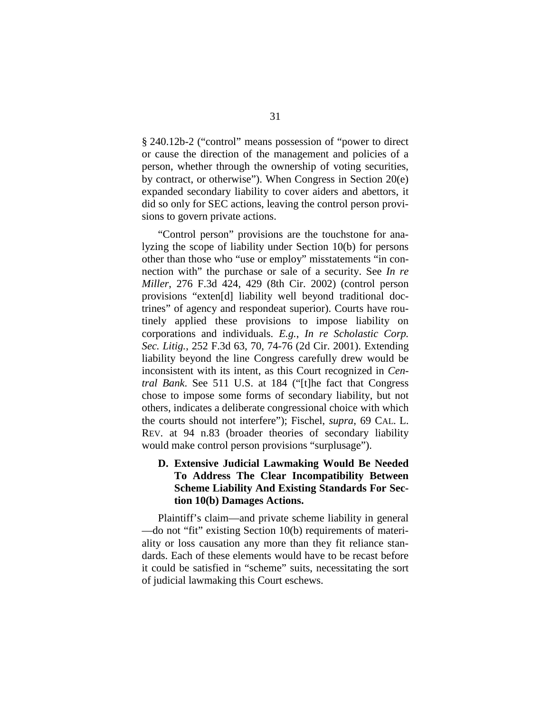§ 240.12b-2 ("control" means possession of "power to direct or cause the direction of the management and policies of a person, whether through the ownership of voting securities, by contract, or otherwise"). When Congress in Section 20(e) expanded secondary liability to cover aiders and abettors, it did so only for SEC actions, leaving the control person provisions to govern private actions.

"Control person" provisions are the touchstone for analyzing the scope of liability under Section 10(b) for persons other than those who "use or employ" misstatements "in connection with" the purchase or sale of a security. See *In re Miller*, 276 F.3d 424, 429 (8th Cir. 2002) (control person provisions "exten[d] liability well beyond traditional doctrines" of agency and respondeat superior). Courts have routinely applied these provisions to impose liability on corporations and individuals. *E.g.*, *In re Scholastic Corp. Sec. Litig.*, 252 F.3d 63, 70, 74-76 (2d Cir. 2001). Extending liability beyond the line Congress carefully drew would be inconsistent with its intent, as this Court recognized in *Central Bank*. See 511 U.S. at 184 ("[t]he fact that Congress chose to impose some forms of secondary liability, but not others, indicates a deliberate congressional choice with which the courts should not interfere"); Fischel, *supra*, 69 CAL. L. REV. at 94 n.83 (broader theories of secondary liability would make control person provisions "surplusage").

# **D. Extensive Judicial Lawmaking Would Be Needed To Address The Clear Incompatibility Between Scheme Liability And Existing Standards For Section 10(b) Damages Actions.**

Plaintiff's claim—and private scheme liability in general —do not "fit" existing Section 10(b) requirements of materiality or loss causation any more than they fit reliance standards. Each of these elements would have to be recast before it could be satisfied in "scheme" suits, necessitating the sort of judicial lawmaking this Court eschews.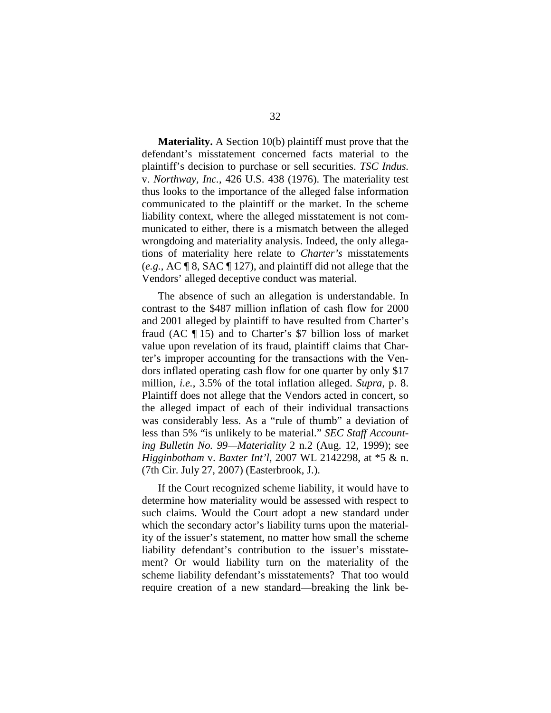**Materiality.** A Section 10(b) plaintiff must prove that the defendant's misstatement concerned facts material to the plaintiff's decision to purchase or sell securities. *TSC Indus.* v. *Northway, Inc.*, 426 U.S. 438 (1976). The materiality test thus looks to the importance of the alleged false information communicated to the plaintiff or the market. In the scheme liability context, where the alleged misstatement is not communicated to either, there is a mismatch between the alleged wrongdoing and materiality analysis. Indeed, the only allegations of materiality here relate to *Charter's* misstatements (*e.g.*, AC ¶ 8, SAC ¶ 127), and plaintiff did not allege that the Vendors' alleged deceptive conduct was material.

The absence of such an allegation is understandable. In contrast to the \$487 million inflation of cash flow for 2000 and 2001 alleged by plaintiff to have resulted from Charter's fraud (AC ¶ 15) and to Charter's \$7 billion loss of market value upon revelation of its fraud, plaintiff claims that Charter's improper accounting for the transactions with the Vendors inflated operating cash flow for one quarter by only \$17 million, *i.e.*, 3.5% of the total inflation alleged. *Supra*, p. 8. Plaintiff does not allege that the Vendors acted in concert, so the alleged impact of each of their individual transactions was considerably less. As a "rule of thumb" a deviation of less than 5% "is unlikely to be material." *SEC Staff Accounting Bulletin No. 99—Materiality* 2 n.2 (Aug. 12, 1999); see *Higginbotham* v. *Baxter Int'l*, 2007 WL 2142298, at \*5 & n. (7th Cir. July 27, 2007) (Easterbrook, J.).

If the Court recognized scheme liability, it would have to determine how materiality would be assessed with respect to such claims. Would the Court adopt a new standard under which the secondary actor's liability turns upon the materiality of the issuer's statement, no matter how small the scheme liability defendant's contribution to the issuer's misstatement? Or would liability turn on the materiality of the scheme liability defendant's misstatements? That too would require creation of a new standard—breaking the link be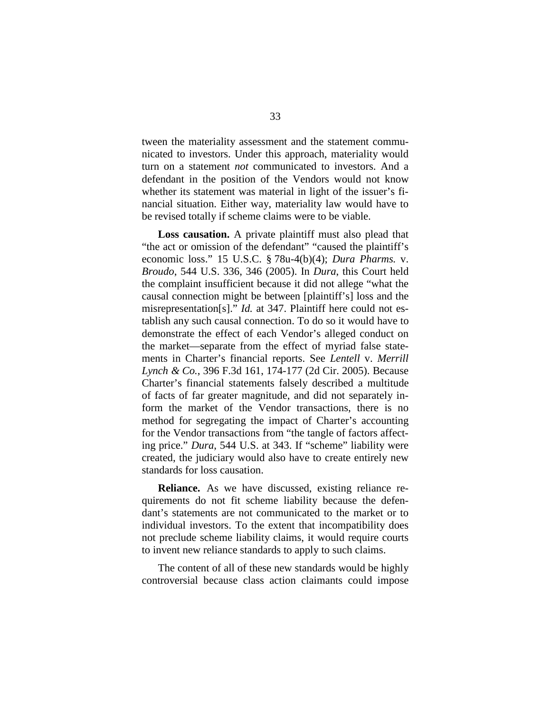tween the materiality assessment and the statement communicated to investors. Under this approach, materiality would turn on a statement *not* communicated to investors. And a defendant in the position of the Vendors would not know whether its statement was material in light of the issuer's financial situation. Either way, materiality law would have to be revised totally if scheme claims were to be viable.

**Loss causation.** A private plaintiff must also plead that "the act or omission of the defendant" "caused the plaintiff's economic loss." 15 U.S.C. § 78u-4(b)(4); *Dura Pharms.* v. *Broudo*, 544 U.S. 336, 346 (2005). In *Dura*, this Court held the complaint insufficient because it did not allege "what the causal connection might be between [plaintiff's] loss and the misrepresentation[s]." *Id.* at 347. Plaintiff here could not establish any such causal connection. To do so it would have to demonstrate the effect of each Vendor's alleged conduct on the market—separate from the effect of myriad false statements in Charter's financial reports. See *Lentell* v. *Merrill Lynch & Co.*, 396 F.3d 161, 174-177 (2d Cir. 2005). Because Charter's financial statements falsely described a multitude of facts of far greater magnitude, and did not separately inform the market of the Vendor transactions, there is no method for segregating the impact of Charter's accounting for the Vendor transactions from "the tangle of factors affecting price." *Dura*, 544 U.S. at 343. If "scheme" liability were created, the judiciary would also have to create entirely new standards for loss causation.

**Reliance.** As we have discussed, existing reliance requirements do not fit scheme liability because the defendant's statements are not communicated to the market or to individual investors. To the extent that incompatibility does not preclude scheme liability claims, it would require courts to invent new reliance standards to apply to such claims.

The content of all of these new standards would be highly controversial because class action claimants could impose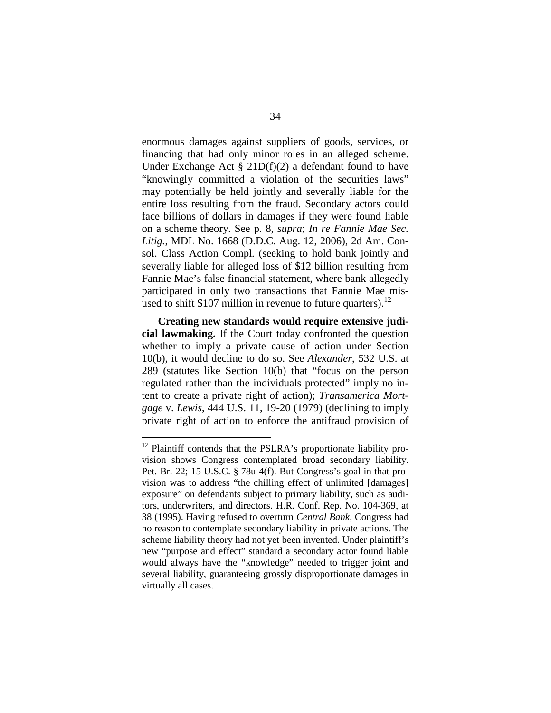enormous damages against suppliers of goods, services, or financing that had only minor roles in an alleged scheme. Under Exchange Act  $\S$  21D(f)(2) a defendant found to have "knowingly committed a violation of the securities laws" may potentially be held jointly and severally liable for the entire loss resulting from the fraud. Secondary actors could face billions of dollars in damages if they were found liable on a scheme theory. See p. 8, *supra*; *In re Fannie Mae Sec. Litig.*, MDL No. 1668 (D.D.C. Aug. 12, 2006), 2d Am. Consol. Class Action Compl. (seeking to hold bank jointly and severally liable for alleged loss of \$12 billion resulting from Fannie Mae's false financial statement, where bank allegedly participated in only two transactions that Fannie Mae misused to shift \$107 million in revenue to future quarters).  $12$ 

**Creating new standards would require extensive judicial lawmaking.** If the Court today confronted the question whether to imply a private cause of action under Section 10(b), it would decline to do so. See *Alexander*, 532 U.S. at 289 (statutes like Section 10(b) that "focus on the person regulated rather than the individuals protected" imply no intent to create a private right of action); *Transamerica Mortgage* v. *Lewis*, 444 U.S. 11, 19-20 (1979) (declining to imply private right of action to enforce the antifraud provision of

<span id="page-49-0"></span><sup>&</sup>lt;sup>12</sup> Plaintiff contends that the PSLRA's proportionate liability provision shows Congress contemplated broad secondary liability. Pet. Br. 22; 15 U.S.C. § 78u-4(f). But Congress's goal in that provision was to address "the chilling effect of unlimited [damages] exposure" on defendants subject to primary liability, such as auditors, underwriters, and directors. H.R. Conf. Rep. No. 104-369, at 38 (1995). Having refused to overturn *Central Bank*, Congress had no reason to contemplate secondary liability in private actions. The scheme liability theory had not yet been invented. Under plaintiff's new "purpose and effect" standard a secondary actor found liable would always have the "knowledge" needed to trigger joint and several liability, guaranteeing grossly disproportionate damages in virtually all cases.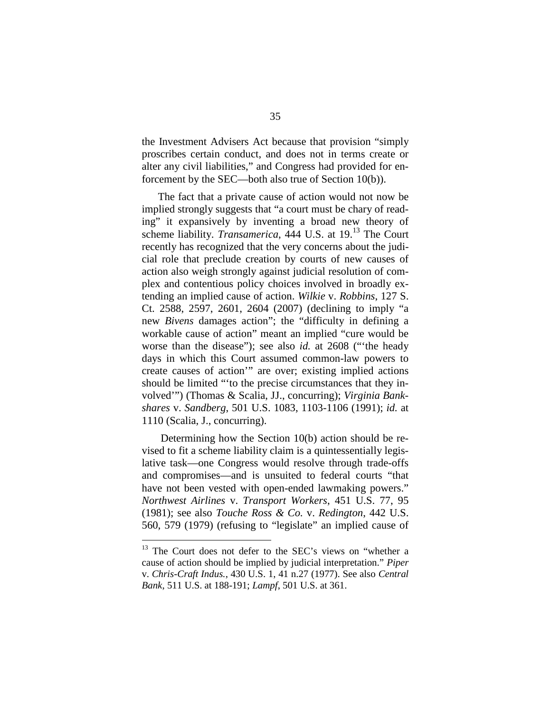the Investment Advisers Act because that provision "simply proscribes certain conduct, and does not in terms create or alter any civil liabilities," and Congress had provided for enforcement by the SEC—both also true of Section 10(b)).

The fact that a private cause of action would not now be implied strongly suggests that "a court must be chary of reading" it expansively by inventing a broad new theory of scheme liability. *Transamerica*, 444 U.S.at19.<sup>13</sup> The Court recently has recognized that the very concerns about the judicial role that preclude creation by courts of new causes of action also weigh strongly against judicial resolution of complex and contentious policy choices involved in broadly extending an implied cause of action. *Wilkie* v. *Robbins*, 127 S. Ct. 2588, 2597, 2601, 2604 (2007) (declining to imply "a new *Bivens* damages action"; the "difficulty in defining a workable cause of action" meant an implied "cure would be worse than the disease"); see also *id.* at 2608 ("'the heady days in which this Court assumed common-law powers to create causes of action'" are over; existing implied actions should be limited "'to the precise circumstances that they involved'") (Thomas & Scalia, JJ., concurring); *Virginia Bankshares* v. *Sandberg*, 501 U.S. 1083, 1103-1106 (1991); *id.* at 1110 (Scalia, J., concurring).

Determining how the Section 10(b) action should be revised to fit a scheme liability claim is a quintessentially legislative task—one Congress would resolve through trade-offs and compromises—and is unsuited to federal courts "that have not been vested with open-ended lawmaking powers." *Northwest Airlines* v. *Transport Workers*, 451 U.S. 77, 95 (1981); see also *Touche Ross & Co.* v. *Redington*, 442 U.S. 560, 579 (1979) (refusing to "legislate" an implied cause of

<span id="page-50-0"></span> $13$  The Court does not defer to the SEC's views on "whether a cause of action should be implied by judicial interpretation." *Piper* v. *Chris-Craft Indus.*, 430 U.S. 1, 41 n.27 (1977). See also *Central Bank*, 511 U.S. at 188-191; *Lampf*, 501 U.S. at 361.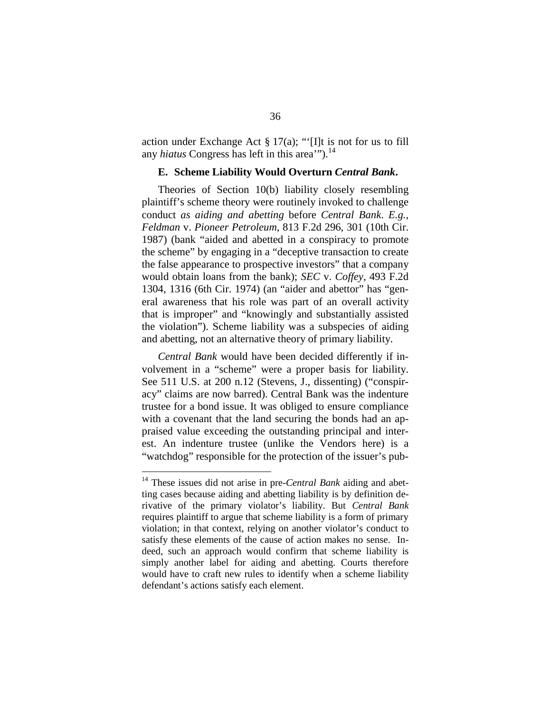action under Exchange Act § 17(a); "'[I]t is not for us to fill any *hiatus* Congress has left in this area'").<sup>[14](#page-51-0)</sup>

#### **E. Scheme Liability Would Overturn** *Central Bank***.**

Theories of Section 10(b) liability closely resembling plaintiff's scheme theory were routinely invoked to challenge conduct *as aiding and abetting* before *Central Bank*. *E.g.*, *Feldman* v. *Pioneer Petroleum*, 813 F.2d 296, 301 (10th Cir. 1987) (bank "aided and abetted in a conspiracy to promote the scheme" by engaging in a "deceptive transaction to create the false appearance to prospective investors" that a company would obtain loans from the bank); *SEC* v. *Coffey*, 493 F.2d 1304, 1316 (6th Cir. 1974) (an "aider and abettor" has "general awareness that his role was part of an overall activity that is improper" and "knowingly and substantially assisted the violation"). Scheme liability was a subspecies of aiding and abetting, not an alternative theory of primary liability.

*Central Bank* would have been decided differently if involvement in a "scheme" were a proper basis for liability. See 511 U.S. at 200 n.12 (Stevens, J., dissenting) ("conspiracy" claims are now barred). Central Bank was the indenture trustee for a bond issue. It was obliged to ensure compliance with a covenant that the land securing the bonds had an appraised value exceeding the outstanding principal and interest. An indenture trustee (unlike the Vendors here) is a "watchdog" responsible for the protection of the issuer's pub-

<span id="page-51-0"></span><sup>14</sup> These issues did not arise in pre-*Central Bank* aiding and abetting cases because aiding and abetting liability is by definition derivative of the primary violator's liability. But *Central Bank* requires plaintiff to argue that scheme liability is a form of primary violation; in that context, relying on another violator's conduct to satisfy these elements of the cause of action makes no sense. Indeed, such an approach would confirm that scheme liability is simply another label for aiding and abetting. Courts therefore would have to craft new rules to identify when a scheme liability defendant's actions satisfy each element.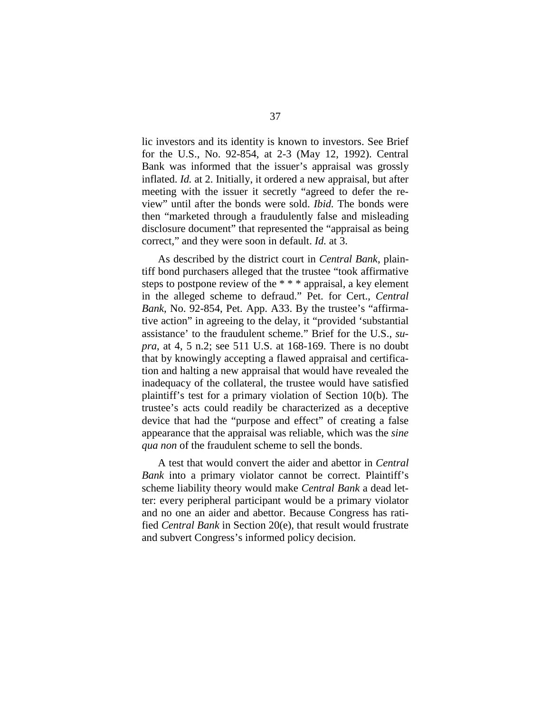lic investors and its identity is known to investors. See Brief for the U.S., No. 92-854, at 2-3 (May 12, 1992). Central Bank was informed that the issuer's appraisal was grossly inflated. *Id.* at 2. Initially, it ordered a new appraisal, but after meeting with the issuer it secretly "agreed to defer the review" until after the bonds were sold. *Ibid.* The bonds were then "marketed through a fraudulently false and misleading disclosure document" that represented the "appraisal as being correct," and they were soon in default. *Id.* at 3.

As described by the district court in *Central Bank*, plaintiff bond purchasers alleged that the trustee "took affirmative steps to postpone review of the \* \* \* appraisal, a key element in the alleged scheme to defraud." Pet. for Cert., *Central Bank*, No. 92-854, Pet. App. A33. By the trustee's "affirmative action" in agreeing to the delay, it "provided 'substantial assistance' to the fraudulent scheme." Brief for the U.S., *supra*, at 4, 5 n.2; see 511 U.S. at 168-169. There is no doubt that by knowingly accepting a flawed appraisal and certification and halting a new appraisal that would have revealed the inadequacy of the collateral, the trustee would have satisfied plaintiff's test for a primary violation of Section 10(b). The trustee's acts could readily be characterized as a deceptive device that had the "purpose and effect" of creating a false appearance that the appraisal was reliable, which was the *sine qua non* of the fraudulent scheme to sell the bonds.

A test that would convert the aider and abettor in *Central Bank* into a primary violator cannot be correct. Plaintiff's scheme liability theory would make *Central Bank* a dead letter: every peripheral participant would be a primary violator and no one an aider and abettor. Because Congress has ratified *Central Bank* in Section 20(e), that result would frustrate and subvert Congress's informed policy decision.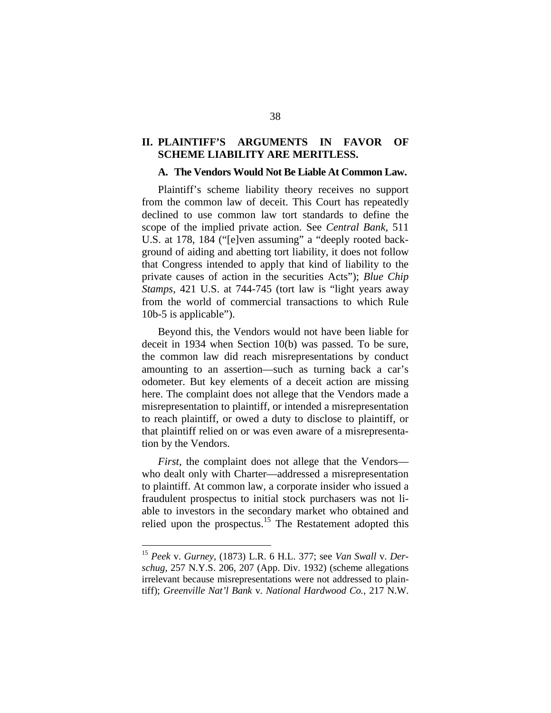## **II. PLAINTIFF'S ARGUMENTS IN FAVOR OF SCHEME LIABILITY ARE MERITLESS.**

#### **A. The Vendors Would Not Be Liable At Common Law.**

Plaintiff's scheme liability theory receives no support from the common law of deceit. This Court has repeatedly declined to use common law tort standards to define the scope of the implied private action. See *Central Bank*, 511 U.S. at 178, 184 ("[e]ven assuming" a "deeply rooted background of aiding and abetting tort liability, it does not follow that Congress intended to apply that kind of liability to the private causes of action in the securities Acts"); *Blue Chip Stamps*, 421 U.S. at 744-745 (tort law is "light years away from the world of commercial transactions to which Rule 10b-5 is applicable").

Beyond this, the Vendors would not have been liable for deceit in 1934 when Section 10(b) was passed. To be sure, the common law did reach misrepresentations by conduct amounting to an assertion—such as turning back a car's odometer. But key elements of a deceit action are missing here. The complaint does not allege that the Vendors made a misrepresentation to plaintiff, or intended a misrepresentation to reach plaintiff, or owed a duty to disclose to plaintiff, or that plaintiff relied on or was even aware of a misrepresentation by the Vendors.

*First*, the complaint does not allege that the Vendors who dealt only with Charter—addressed a misrepresentation to plaintiff. At common law, a corporate insider who issued a fraudulent prospectus to initial stock purchasers was not liable to investors in the secondary market who obtained and relied upon the prospectus.<sup>[15](#page-53-0)</sup> The Restatement adopted this

<span id="page-53-0"></span><sup>15</sup> *Peek* v. *Gurney*, (1873) L.R. 6 H.L. 377; see *Van Swall* v. *Derschug*, 257 N.Y.S. 206, 207 (App. Div. 1932) (scheme allegations irrelevant because misrepresentations were not addressed to plaintiff); *Greenville Nat'l Bank* v. *National Hardwood Co.*, 217 N.W.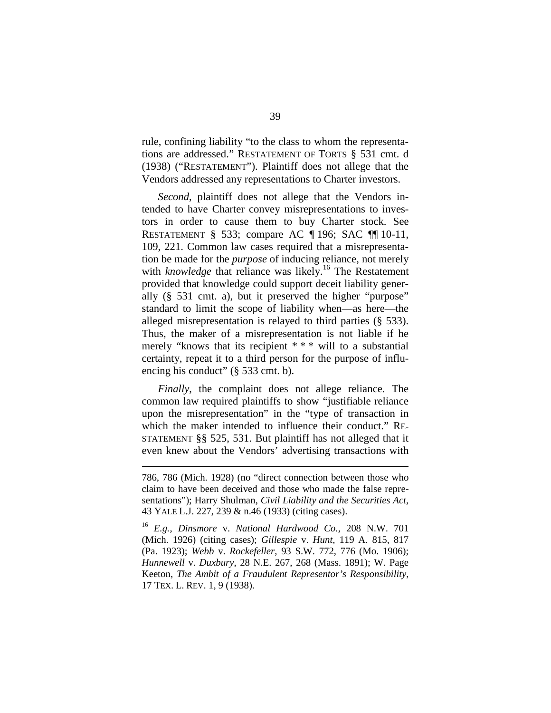rule, confining liability "to the class to whom the representations are addressed." RESTATEMENT OF TORTS § 531 cmt. d (1938) ("RESTATEMENT"). Plaintiff does not allege that the Vendors addressed any representations to Charter investors.

*Second*, plaintiff does not allege that the Vendors intended to have Charter convey misrepresentations to investors in order to cause them to buy Charter stock. See RESTATEMENT § 533; compare AC ¶ 196; SAC ¶¶ 10-11, 109, 221. Common law cases required that a misrepresentation be made for the *purpose* of inducing reliance, not merely with *knowledge* that reliance was likely.<sup>[16](#page-54-0)</sup> The Restatement provided that knowledge could support deceit liability generally (§ 531 cmt. a), but it preserved the higher "purpose" standard to limit the scope of liability when—as here—the alleged misrepresentation is relayed to third parties (§ 533). Thus, the maker of a misrepresentation is not liable if he merely "knows that its recipient \* \* \* will to a substantial certainty, repeat it to a third person for the purpose of influencing his conduct" (§ 533 cmt. b).

*Finally*, the complaint does not allege reliance. The common law required plaintiffs to show "justifiable reliance upon the misrepresentation" in the "type of transaction in which the maker intended to influence their conduct." RE-STATEMENT §§ 525, 531. But plaintiff has not alleged that it even knew about the Vendors' advertising transactions with

<sup>786, 786 (</sup>Mich. 1928) (no "direct connection between those who claim to have been deceived and those who made the false representations"); Harry Shulman, *Civil Liability and the Securities Act*, 43 YALE L.J. 227, 239 & n.46 (1933) (citing cases).

<span id="page-54-0"></span><sup>16</sup> *E.g.*, *Dinsmore* v. *National Hardwood Co.*, 208 N.W. 701 (Mich. 1926) (citing cases); *Gillespie* v. *Hunt*, 119 A. 815, 817 (Pa. 1923); *Webb* v. *Rockefeller*, 93 S.W. 772, 776 (Mo. 1906); *Hunnewell* v. *Duxbury*, 28 N.E. 267, 268 (Mass. 1891); W. Page Keeton, *The Ambit of a Fraudulent Representor's Responsibility*, 17 TEX. L. REV. 1, 9 (1938).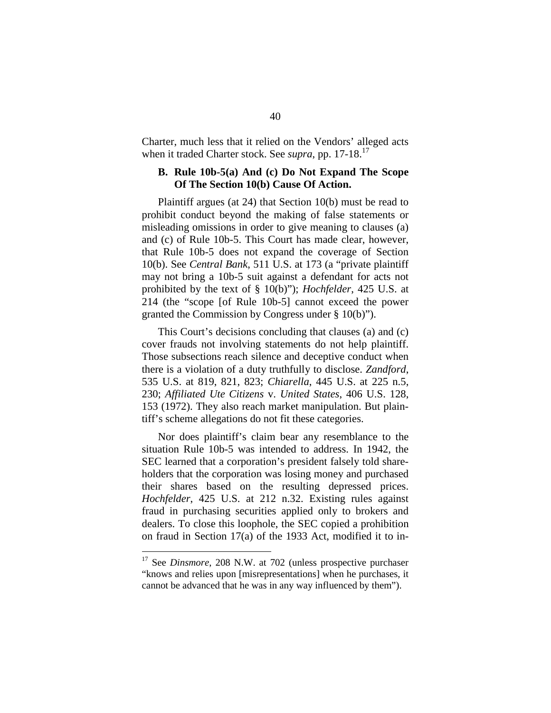Charter, much less that it relied on the Vendors' alleged acts when it traded Charter stock. See *supra*, pp. [17](#page-55-0)-18.<sup>17</sup>

# **B. Rule 10b-5(a) And (c) Do Not Expand The Scope Of The Section 10(b) Cause Of Action.**

Plaintiff argues (at 24) that Section 10(b) must be read to prohibit conduct beyond the making of false statements or misleading omissions in order to give meaning to clauses (a) and (c) of Rule 10b-5. This Court has made clear, however, that Rule 10b-5 does not expand the coverage of Section 10(b). See *Central Bank*, 511 U.S. at 173 (a "private plaintiff may not bring a 10b-5 suit against a defendant for acts not prohibited by the text of § 10(b)"); *Hochfelder*, 425 U.S. at 214 (the "scope [of Rule 10b-5] cannot exceed the power granted the Commission by Congress under § 10(b)").

This Court's decisions concluding that clauses (a) and (c) cover frauds not involving statements do not help plaintiff. Those subsections reach silence and deceptive conduct when there is a violation of a duty truthfully to disclose. *Zandford*, 535 U.S. at 819, 821, 823; *Chiarella*, 445 U.S. at 225 n.5, 230; *Affiliated Ute Citizens* v. *United States*, 406 U.S. 128, 153 (1972). They also reach market manipulation. But plaintiff's scheme allegations do not fit these categories.

Nor does plaintiff's claim bear any resemblance to the situation Rule 10b-5 was intended to address. In 1942, the SEC learned that a corporation's president falsely told shareholders that the corporation was losing money and purchased their shares based on the resulting depressed prices. *Hochfelder*, 425 U.S. at 212 n.32. Existing rules against fraud in purchasing securities applied only to brokers and dealers. To close this loophole, the SEC copied a prohibition on fraud in Section 17(a) of the 1933 Act, modified it to in-

<span id="page-55-0"></span><sup>&</sup>lt;sup>17</sup> See *Dinsmore*, 208 N.W. at 702 (unless prospective purchaser "knows and relies upon [misrepresentations] when he purchases, it cannot be advanced that he was in any way influenced by them").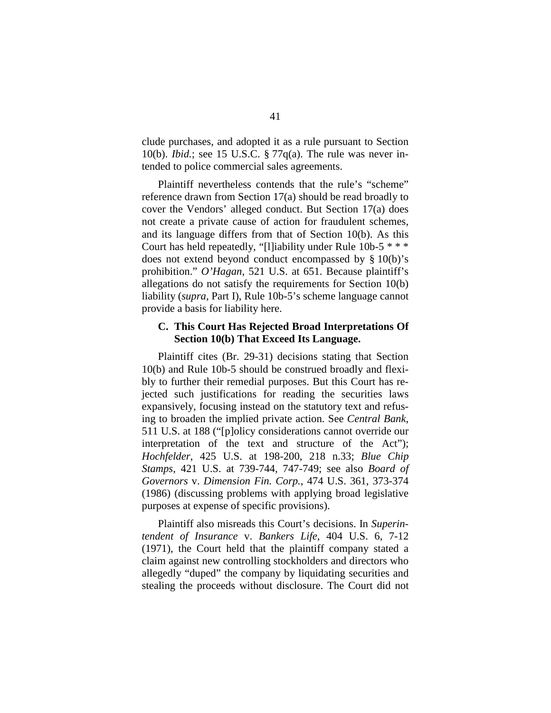clude purchases, and adopted it as a rule pursuant to Section 10(b). *Ibid.*; see 15 U.S.C. § 77q(a). The rule was never intended to police commercial sales agreements.

Plaintiff nevertheless contends that the rule's "scheme" reference drawn from Section 17(a) should be read broadly to cover the Vendors' alleged conduct. But Section 17(a) does not create a private cause of action for fraudulent schemes, and its language differs from that of Section 10(b). As this Court has held repeatedly, "[l]iability under Rule 10b-5 \* \* \* does not extend beyond conduct encompassed by § 10(b)'s prohibition." *O'Hagan*, 521 U.S. at 651. Because plaintiff's allegations do not satisfy the requirements for Section 10(b) liability (*supra*, Part I), Rule 10b-5's scheme language cannot provide a basis for liability here.

## **C. This Court Has Rejected Broad Interpretations Of Section 10(b) That Exceed Its Language.**

Plaintiff cites (Br. 29-31) decisions stating that Section 10(b) and Rule 10b-5 should be construed broadly and flexibly to further their remedial purposes. But this Court has rejected such justifications for reading the securities laws expansively, focusing instead on the statutory text and refusing to broaden the implied private action. See *Central Bank*, 511 U.S. at 188 ("[p]olicy considerations cannot override our interpretation of the text and structure of the Act"); *Hochfelder*, 425 U.S. at 198-200, 218 n.33; *Blue Chip Stamps*, 421 U.S. at 739-744, 747-749; see also *Board of Governors* v. *Dimension Fin. Corp.*, 474 U.S. 361, 373-374 (1986) (discussing problems with applying broad legislative purposes at expense of specific provisions).

Plaintiff also misreads this Court's decisions. In *Superintendent of Insurance* v. *Bankers Life*, 404 U.S. 6, 7-12 (1971), the Court held that the plaintiff company stated a claim against new controlling stockholders and directors who allegedly "duped" the company by liquidating securities and stealing the proceeds without disclosure. The Court did not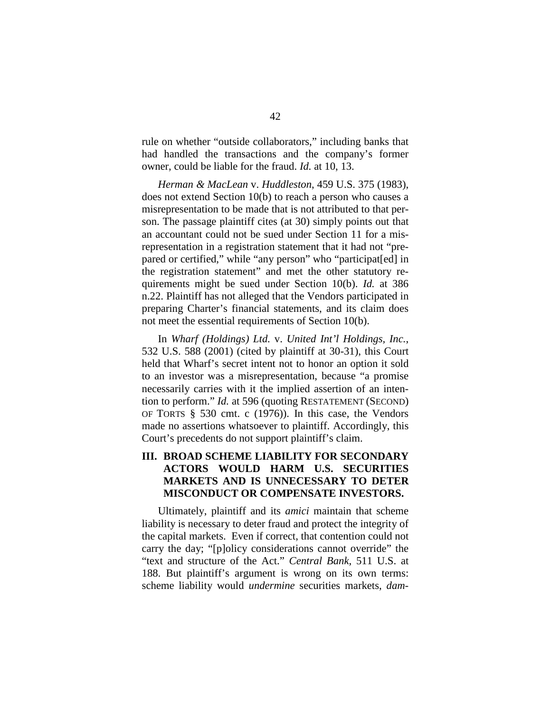rule on whether "outside collaborators," including banks that had handled the transactions and the company's former owner, could be liable for the fraud. *Id.* at 10, 13.

*Herman & MacLean* v. *Huddleston*, 459 U.S. 375 (1983), does not extend Section 10(b) to reach a person who causes a misrepresentation to be made that is not attributed to that person. The passage plaintiff cites (at 30) simply points out that an accountant could not be sued under Section 11 for a misrepresentation in a registration statement that it had not "prepared or certified," while "any person" who "participat[ed] in the registration statement" and met the other statutory requirements might be sued under Section 10(b). *Id.* at 386 n.22. Plaintiff has not alleged that the Vendors participated in preparing Charter's financial statements, and its claim does not meet the essential requirements of Section 10(b).

In *Wharf (Holdings) Ltd.* v. *United Int'l Holdings, Inc.*, 532 U.S. 588 (2001) (cited by plaintiff at 30-31), this Court held that Wharf's secret intent not to honor an option it sold to an investor was a misrepresentation, because "a promise necessarily carries with it the implied assertion of an intention to perform." *Id.* at 596 (quoting RESTATEMENT (SECOND) OF TORTS § 530 cmt. c (1976)). In this case, the Vendors made no assertions whatsoever to plaintiff. Accordingly, this Court's precedents do not support plaintiff's claim.

# **III. BROAD SCHEME LIABILITY FOR SECONDARY ACTORS WOULD HARM U.S. SECURITIES MARKETS AND IS UNNECESSARY TO DETER MISCONDUCT OR COMPENSATE INVESTORS.**

Ultimately, plaintiff and its *amici* maintain that scheme liability is necessary to deter fraud and protect the integrity of the capital markets. Even if correct, that contention could not carry the day; "[p]olicy considerations cannot override" the "text and structure of the Act." *Central Bank*, 511 U.S. at 188. But plaintiff's argument is wrong on its own terms: scheme liability would *undermine* securities markets, *dam-*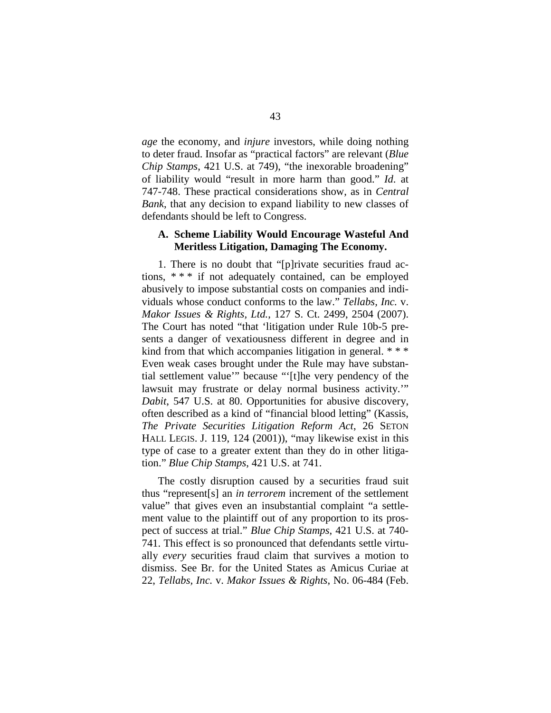*age* the economy, and *injure* investors, while doing nothing to deter fraud. Insofar as "practical factors" are relevant (*Blue Chip Stamps*, 421 U.S. at 749), "the inexorable broadening" of liability would "result in more harm than good." *Id*. at 747-748. These practical considerations show, as in *Central Bank*, that any decision to expand liability to new classes of defendants should be left to Congress.

## **A. Scheme Liability Would Encourage Wasteful And Meritless Litigation, Damaging The Economy.**

1. There is no doubt that "[p]rivate securities fraud actions, \* \* \* if not adequately contained, can be employed abusively to impose substantial costs on companies and individuals whose conduct conforms to the law." *Tellabs, Inc.* v. *Makor Issues & Rights, Ltd.*, 127 S. Ct. 2499, 2504 (2007). The Court has noted "that 'litigation under Rule 10b-5 presents a danger of vexatiousness different in degree and in kind from that which accompanies litigation in general. \*\*\* Even weak cases brought under the Rule may have substantial settlement value'" because "'[t]he very pendency of the lawsuit may frustrate or delay normal business activity.'" *Dabit*, 547 U.S. at 80. Opportunities for abusive discovery, often described as a kind of "financial blood letting" (Kassis, *The Private Securities Litigation Reform Act*, 26 SETON HALL LEGIS. J. 119, 124 (2001)), "may likewise exist in this type of case to a greater extent than they do in other litigation." *Blue Chip Stamps*, 421 U.S. at 741.

The costly disruption caused by a securities fraud suit thus "represent[s] an *in terrorem* increment of the settlement value" that gives even an insubstantial complaint "a settlement value to the plaintiff out of any proportion to its prospect of success at trial." *Blue Chip Stamps*, 421 U.S. at 740- 741. This effect is so pronounced that defendants settle virtually *every* securities fraud claim that survives a motion to dismiss. See Br. for the United States as Amicus Curiae at 22, *Tellabs, Inc.* v. *Makor Issues & Rights*, No. 06-484 (Feb.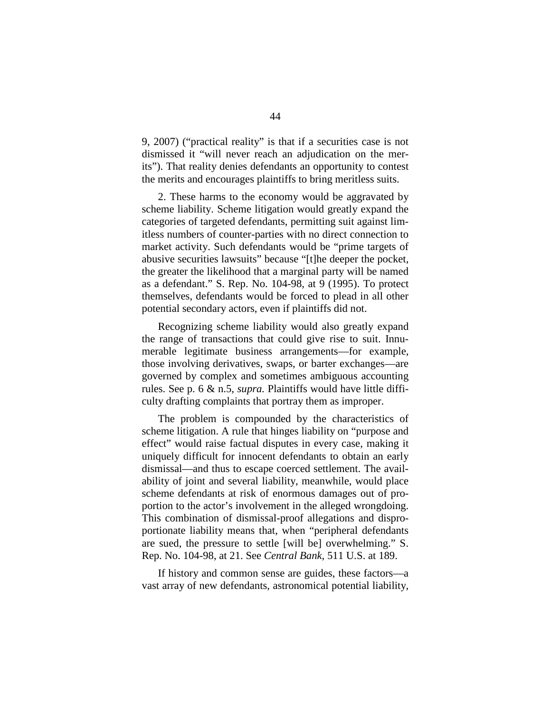9, 2007) ("practical reality" is that if a securities case is not dismissed it "will never reach an adjudication on the merits"). That reality denies defendants an opportunity to contest the merits and encourages plaintiffs to bring meritless suits.

2. These harms to the economy would be aggravated by scheme liability. Scheme litigation would greatly expand the categories of targeted defendants, permitting suit against limitless numbers of counter-parties with no direct connection to market activity. Such defendants would be "prime targets of abusive securities lawsuits" because "[t]he deeper the pocket, the greater the likelihood that a marginal party will be named as a defendant." S. Rep. No. 104-98, at 9 (1995). To protect themselves, defendants would be forced to plead in all other potential secondary actors, even if plaintiffs did not.

Recognizing scheme liability would also greatly expand the range of transactions that could give rise to suit. Innumerable legitimate business arrangements—for example, those involving derivatives, swaps, or barter exchanges—are governed by complex and sometimes ambiguous accounting rules. See p. 6 & n.5, *supra.* Plaintiffs would have little difficulty drafting complaints that portray them as improper.

The problem is compounded by the characteristics of scheme litigation. A rule that hinges liability on "purpose and effect" would raise factual disputes in every case, making it uniquely difficult for innocent defendants to obtain an early dismissal—and thus to escape coerced settlement. The availability of joint and several liability, meanwhile, would place scheme defendants at risk of enormous damages out of proportion to the actor's involvement in the alleged wrongdoing. This combination of dismissal-proof allegations and disproportionate liability means that, when "peripheral defendants are sued, the pressure to settle [will be] overwhelming." S. Rep. No. 104-98, at 21. See *Central Bank*, 511 U.S. at 189.

If history and common sense are guides, these factors—a vast array of new defendants, astronomical potential liability,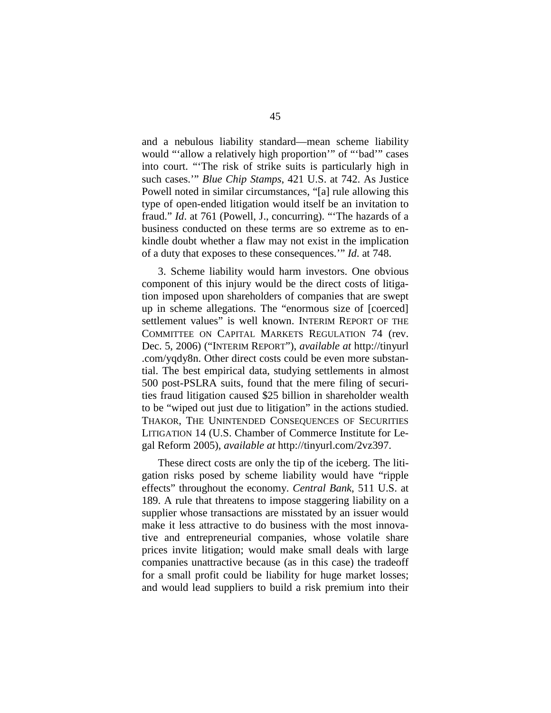and a nebulous liability standard—mean scheme liability would "'allow a relatively high proportion'" of "'bad'" cases into court. "'The risk of strike suits is particularly high in such cases.'" *Blue Chip Stamps*, 421 U.S. at 742. As Justice Powell noted in similar circumstances, "[a] rule allowing this type of open-ended litigation would itself be an invitation to fraud." *Id*. at 761 (Powell, J., concurring). "'The hazards of a business conducted on these terms are so extreme as to enkindle doubt whether a flaw may not exist in the implication of a duty that exposes to these consequences.'" *Id*. at 748.

3. Scheme liability would harm investors. One obvious component of this injury would be the direct costs of litigation imposed upon shareholders of companies that are swept up in scheme allegations. The "enormous size of [coerced] settlement values" is well known. INTERIM REPORT OF THE COMMITTEE ON CAPITAL MARKETS REGULATION 74 (rev. Dec. 5, 2006) ("INTERIM REPORT"), *available at* [http://tinyurl](http://tinyurl .com/yqdy8n) [.com/yqdy8n.](http://tinyurl .com/yqdy8n) Other direct costs could be even more substantial. The best empirical data, studying settlements in almost 500 post-PSLRA suits, found that the mere filing of securities fraud litigation caused \$25 billion in shareholder wealth to be "wiped out just due to litigation" in the actions studied. THAKOR, THE UNINTENDED CONSEQUENCES OF SECURITIES LITIGATION 14 (U.S. Chamber of Commerce Institute for Legal Reform 2005), *available at* [http://tinyurl.](http://tinyurl/)com/2vz397.

These direct costs are only the tip of the iceberg. The litigation risks posed by scheme liability would have "ripple effects" throughout the economy. *Central Bank*, 511 U.S. at 189. A rule that threatens to impose staggering liability on a supplier whose transactions are misstated by an issuer would make it less attractive to do business with the most innovative and entrepreneurial companies, whose volatile share prices invite litigation; would make small deals with large companies unattractive because (as in this case) the tradeoff for a small profit could be liability for huge market losses; and would lead suppliers to build a risk premium into their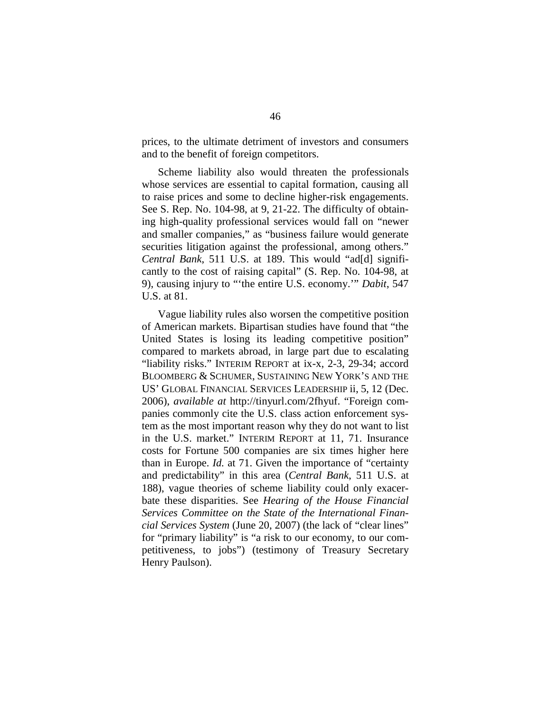prices, to the ultimate detriment of investors and consumers and to the benefit of foreign competitors.

Scheme liability also would threaten the professionals whose services are essential to capital formation, causing all to raise prices and some to decline higher-risk engagements. See S. Rep. No. 104-98, at 9, 21-22. The difficulty of obtaining high-quality professional services would fall on "newer and smaller companies," as "business failure would generate securities litigation against the professional, among others." *Central Bank*, 511 U.S. at 189. This would "ad[d] significantly to the cost of raising capital" (S. Rep. No. 104-98, at 9), causing injury to "'the entire U.S. economy.'" *Dabit*, 547 U.S. at 81.

Vague liability rules also worsen the competitive position of American markets. Bipartisan studies have found that "the United States is losing its leading competitive position" compared to markets abroad, in large part due to escalating "liability risks." INTERIM REPORT at ix-x, 2-3, 29-34; accord BLOOMBERG & SCHUMER, SUSTAINING NEW YORK'S AND THE US' GLOBAL FINANCIAL SERVICES LEADERSHIP ii, 5, 12 (Dec. 2006), *available at* [http://](http:///)tinyurl.com/2fhyuf. "Foreign companies commonly cite the U.S. class action enforcement system as the most important reason why they do not want to list in the U.S. market." INTERIM REPORT at 11, 71. Insurance costs for Fortune 500 companies are six times higher here than in Europe. *Id.* at 71. Given the importance of "certainty and predictability" in this area (*Central Bank*, 511 U.S. at 188), vague theories of scheme liability could only exacerbate these disparities. See *Hearing of the House Financial Services Committee on the State of the International Financial Services System* (June 20, 2007) (the lack of "clear lines" for "primary liability" is "a risk to our economy, to our competitiveness, to jobs") (testimony of Treasury Secretary Henry Paulson).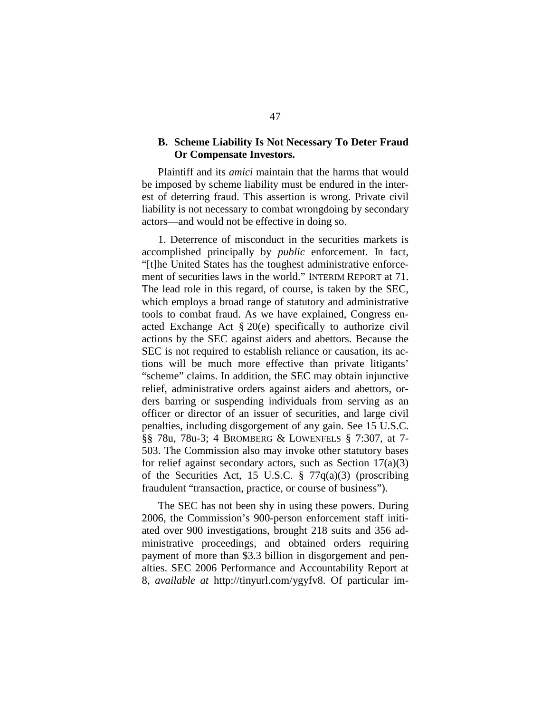## **B. Scheme Liability Is Not Necessary To Deter Fraud Or Compensate Investors.**

Plaintiff and its *amici* maintain that the harms that would be imposed by scheme liability must be endured in the interest of deterring fraud. This assertion is wrong. Private civil liability is not necessary to combat wrongdoing by secondary actors—and would not be effective in doing so.

1. Deterrence of misconduct in the securities markets is accomplished principally by *public* enforcement. In fact, "[t]he United States has the toughest administrative enforcement of securities laws in the world." INTERIM REPORT at 71. The lead role in this regard, of course, is taken by the SEC, which employs a broad range of statutory and administrative tools to combat fraud. As we have explained, Congress enacted Exchange Act § 20(e) specifically to authorize civil actions by the SEC against aiders and abettors. Because the SEC is not required to establish reliance or causation, its actions will be much more effective than private litigants' "scheme" claims. In addition, the SEC may obtain injunctive relief, administrative orders against aiders and abettors, orders barring or suspending individuals from serving as an officer or director of an issuer of securities, and large civil penalties, including disgorgement of any gain. See 15 U.S.C. §§ 78u, 78u-3; 4 BROMBERG & LOWENFELS § 7:307, at 7- 503. The Commission also may invoke other statutory bases for relief against secondary actors, such as Section  $17(a)(3)$ of the Securities Act, 15 U.S.C.  $\S$  77 $q(a)(3)$  (proscribing fraudulent "transaction, practice, or course of business").

The SEC has not been shy in using these powers. During 2006, the Commission's 900-person enforcement staff initiated over 900 investigations, brought 218 suits and 356 administrative proceedings, and obtained orders requiring payment of more than \$3.3 billion in disgorgement and penalties. SEC 2006 Performance and Accountability Report at 8, *available at* <http://tinyurl.com/>ygyfv8. Of particular im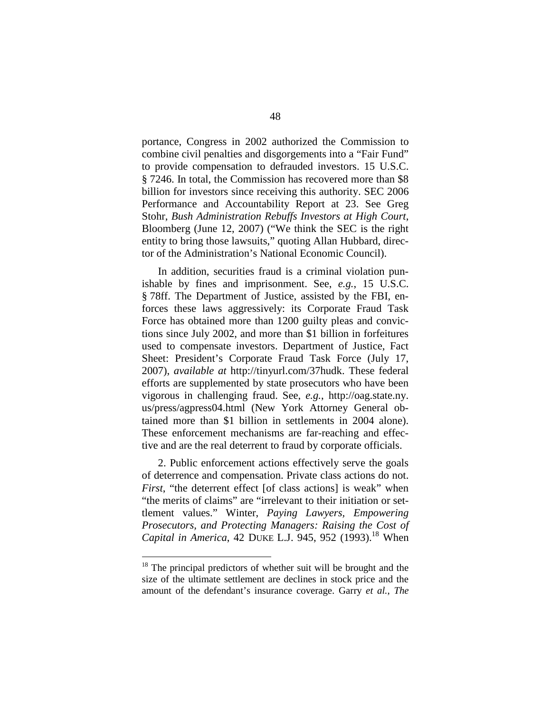portance, Congress in 2002 authorized the Commission to combine civil penalties and disgorgements into a "Fair Fund" to provide compensation to defrauded investors. 15 U.S.C. § 7246. In total, the Commission has recovered more than \$8 billion for investors since receiving this authority. SEC 2006 Performance and Accountability Report at 23. See Greg Stohr, *Bush Administration Rebuffs Investors at High Court*, Bloomberg (June 12, 2007) ("We think the SEC is the right entity to bring those lawsuits," quoting Allan Hubbard, director of the Administration's National Economic Council).

In addition, securities fraud is a criminal violation punishable by fines and imprisonment. See, *e.g.*, 15 U.S.C. § 78ff. The Department of Justice, assisted by the FBI, enforces these laws aggressively: its Corporate Fraud Task Force has obtained more than 1200 guilty pleas and convictions since July 2002, and more than \$1 billion in forfeitures used to compensate investors. Department of Justice, Fact Sheet: President's Corporate Fraud Task Force (July 17, 2007), *available at* http://tinyurl.com/37hudk. These federal efforts are supplemented by state prosecutors who have been vigorous in challenging fraud. See, *e.g.*, [http://oag.state.ny.](http://oag.state.ny. us/press/) [us/press/a](http://oag.state.ny. us/press/)gpress04.html (New York Attorney General obtained more than \$1 billion in settlements in 2004 alone). These enforcement mechanisms are far-reaching and effective and are the real deterrent to fraud by corporate officials.

2. Public enforcement actions effectively serve the goals of deterrence and compensation. Private class actions do not. *First*, "the deterrent effect [of class actions] is weak" when "the merits of claims" are "irrelevant to their initiation or settlement values." Winter, *Paying Lawyers, Empowering Prosecutors, and Protecting Managers: Raising the Cost of Capital in America*, 42 DUKE L.J. 945, 952 (1993). [18](#page-63-0) When

<span id="page-63-0"></span><sup>&</sup>lt;sup>18</sup> The principal predictors of whether suit will be brought and the size of the ultimate settlement are declines in stock price and the amount of the defendant's insurance coverage. Garry *et al.*, *The*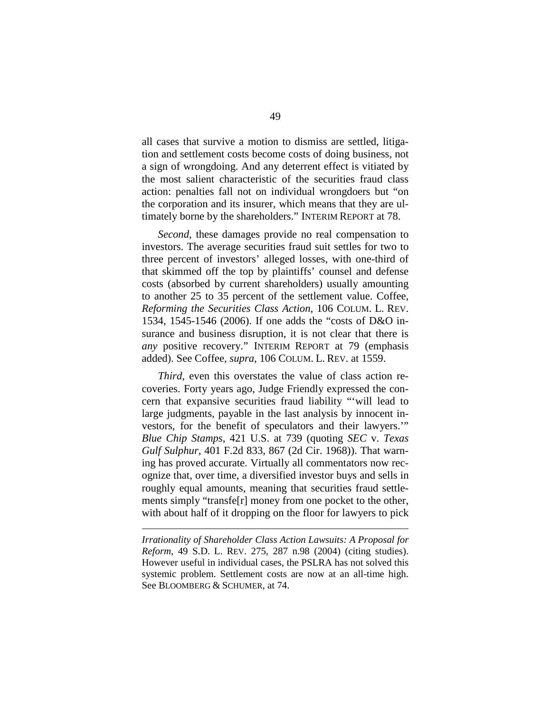all cases that survive a motion to dismiss are settled, litigation and settlement costs become costs of doing business, not a sign of wrongdoing. And any deterrent effect is vitiated by the most salient characteristic of the securities fraud class action: penalties fall not on individual wrongdoers but "on the corporation and its insurer, which means that they are ultimately borne by the shareholders." INTERIM REPORT at 78.

*Second*, these damages provide no real compensation to investors. The average securities fraud suit settles for two to three percent of investors' alleged losses, with one-third of that skimmed off the top by plaintiffs' counsel and defense costs (absorbed by current shareholders) usually amounting to another 25 to 35 percent of the settlement value. Coffee, *Reforming the Securities Class Action*, 106 COLUM. L. REV. 1534, 1545-1546 (2006). If one adds the "costs of D&O insurance and business disruption, it is not clear that there is *any* positive recovery." INTERIM REPORT at 79 (emphasis added). See Coffee, *supra*, 106 COLUM. L. REV. at 1559.

*Third*, even this overstates the value of class action recoveries. Forty years ago, Judge Friendly expressed the concern that expansive securities fraud liability "'will lead to large judgments, payable in the last analysis by innocent investors, for the benefit of speculators and their lawyers.'" *Blue Chip Stamps*, 421 U.S. at 739 (quoting *SEC* v. *Texas Gulf Sulphur*, 401 F.2d 833, 867 (2d Cir. 1968)). That warning has proved accurate. Virtually all commentators now recognize that, over time, a diversified investor buys and sells in roughly equal amounts, meaning that securities fraud settlements simply "transfe[r] money from one pocket to the other, with about half of it dropping on the floor for lawyers to pick

*Irrationality of Shareholder Class Action Lawsuits: A Proposal for Reform*, 49 S.D. L. REV. 275, 287 n.98 (2004) (citing studies). However useful in individual cases, the PSLRA has not solved this systemic problem. Settlement costs are now at an all-time high. See BLOOMBERG & SCHUMER, at 74.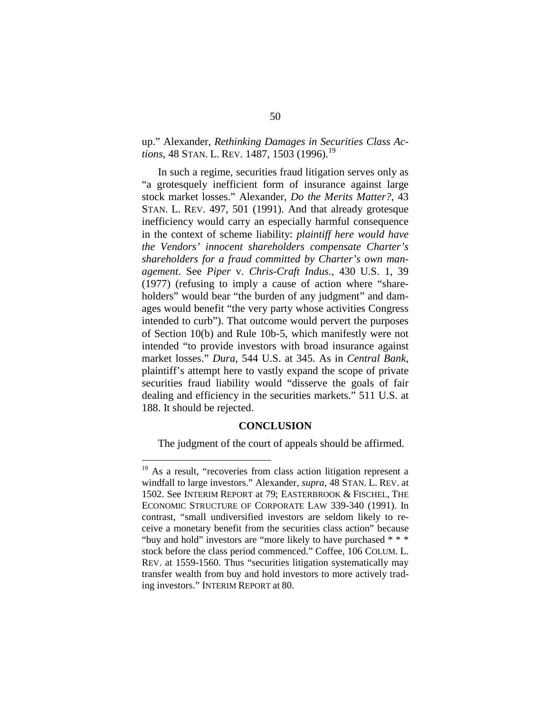# up." Alexander, *Rethinking Damages in Securities Class Actions*, 48 STAN. L. REV. 1487, 1503 ([19](#page-65-0)96).<sup>19</sup>

In such a regime, securities fraud litigation serves only as "a grotesquely inefficient form of insurance against large stock market losses." Alexander, *Do the Merits Matter?*, 43 STAN. L. REV. 497, 501 (1991). And that already grotesque inefficiency would carry an especially harmful consequence in the context of scheme liability: *plaintiff here would have the Vendors' innocent shareholders compensate Charter's shareholders for a fraud committed by Charter's own management*. See *Piper* v. *Chris-Craft Indus.*, 430 U.S. 1, 39 (1977) (refusing to imply a cause of action where "shareholders" would bear "the burden of any judgment" and damages would benefit "the very party whose activities Congress intended to curb"). That outcome would pervert the purposes of Section 10(b) and Rule 10b-5, which manifestly were not intended "to provide investors with broad insurance against market losses." *Dura*, 544 U.S. at 345. As in *Central Bank*, plaintiff's attempt here to vastly expand the scope of private securities fraud liability would "disserve the goals of fair dealing and efficiency in the securities markets." 511 U.S. at 188. It should be rejected.

#### **CONCLUSION**

The judgment of the court of appeals should be affirmed.

<span id="page-65-0"></span><sup>&</sup>lt;sup>19</sup> As a result, "recoveries from class action litigation represent a windfall to large investors." Alexander, *supra*, 48 STAN. L. REV. at 1502. See INTERIM REPORT at 79; EASTERBROOK & FISCHEL, THE ECONOMIC STRUCTURE OF CORPORATE LAW 339-340 (1991). In contrast, "small undiversified investors are seldom likely to receive a monetary benefit from the securities class action" because "buy and hold" investors are "more likely to have purchased \* \* \* stock before the class period commenced." Coffee, 106 COLUM. L. REV. at 1559-1560. Thus "securities litigation systematically may transfer wealth from buy and hold investors to more actively trading investors." INTERIM REPORT at 80.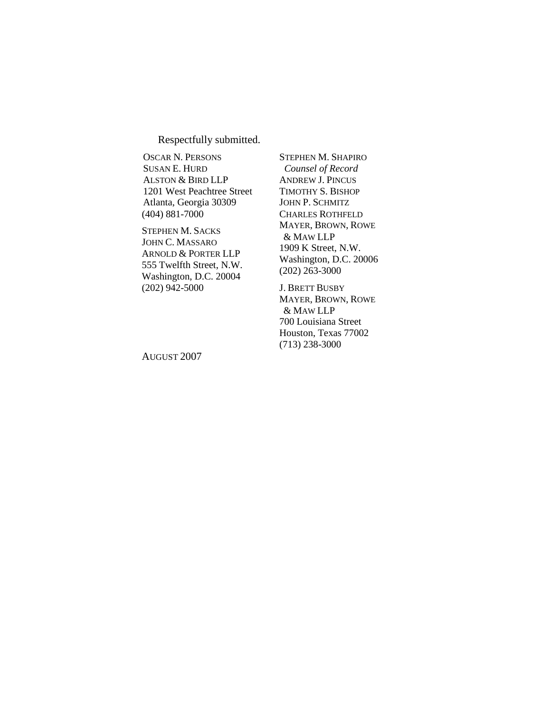Respectfully submitted.

OSCAR N. PERSONS SUSAN E. HURD ALSTON & BIRD LLP 1201 West Peachtree Street Atlanta, Georgia 30309 (404) 881-7000

STEPHEN M. SACKS JOHN C. MASSARO ARNOLD & PORTER LLP 555 Twelfth Street, N.W. Washington, D.C. 20004 (202) 942-5000

STEPHEN M. SHAPIRO *Counsel of Record* ANDREW J. PINCUS TIMOTHY S. BISHOP JOHN P. SCHMITZ CHARLES ROTHFELD MAYER, BROWN, ROWE & MAW LLP 1909 K Street, N.W. Washington, D.C. 20006 (202) 263-3000

J. BRETT BUSBY MAYER, BROWN, ROWE & MAW LLP 700 Louisiana Street Houston, Texas 77002 (713) 238-3000

AUGUST 2007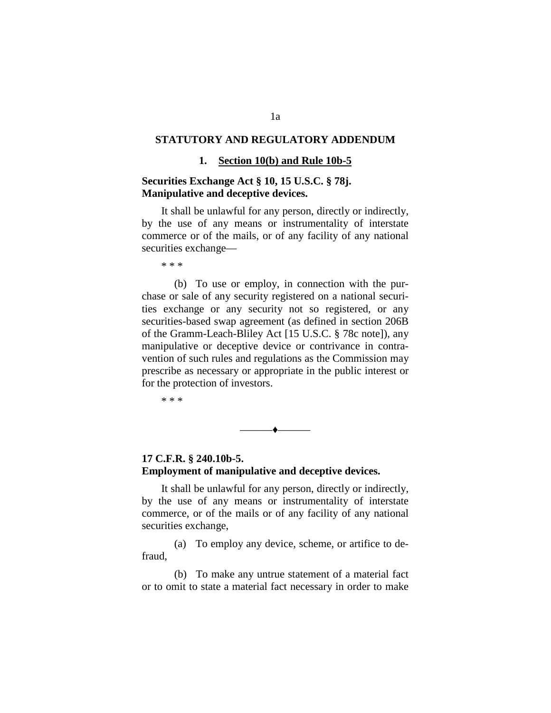## **STATUTORY AND REGULATORY ADDENDUM**

#### **1. Section 10(b) and Rule 10b-5**

## **Securities Exchange Act § 10, 15 U.S.C. § 78j. Manipulative and deceptive devices.**

It shall be unlawful for any person, directly or indirectly, by the use of any means or instrumentality of interstate commerce or of the mails, or of any facility of any national securities exchange—

\* \* \*

(b) To use or employ, in connection with the purchase or sale of any security registered on a national securities exchange or any security not so registered, or any securities-based swap agreement (as defined in section 206B of the Gramm-Leach-Bliley Act [15 U.S.C. § 78c note]), any manipulative or deceptive device or contrivance in contravention of such rules and regulations as the Commission may prescribe as necessary or appropriate in the public interest or for the protection of investors.

\* \* \*

# **17 C.F.R. § 240.10b-5. Employment of manipulative and deceptive devices.**

It shall be unlawful for any person, directly or indirectly, by the use of any means or instrumentality of interstate commerce, or of the mails or of any facility of any national securities exchange,

———♦———

(a) To employ any device, scheme, or artifice to defraud,

(b) To make any untrue statement of a material fact or to omit to state a material fact necessary in order to make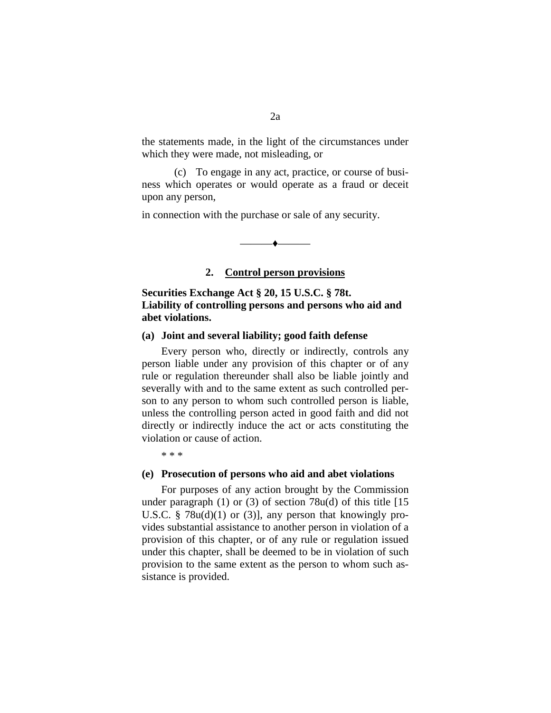the statements made, in the light of the circumstances under which they were made, not misleading, or

(c) To engage in any act, practice, or course of business which operates or would operate as a fraud or deceit upon any person,

in connection with the purchase or sale of any security.

#### **2. Control person provisions**

 $\bullet$  —————

**Securities Exchange Act § 20, 15 U.S.C. § 78t. Liability of controlling persons and persons who aid and abet violations.**

#### **(a) Joint and several liability; good faith defense**

Every person who, directly or indirectly, controls any person liable under any provision of this chapter or of any rule or regulation thereunder shall also be liable jointly and severally with and to the same extent as such controlled person to any person to whom such controlled person is liable, unless the controlling person acted in good faith and did not directly or indirectly induce the act or acts constituting the violation or cause of action.

\* \* \*

#### **(e) Prosecution of persons who aid and abet violations**

For purposes of any action brought by the Commission under paragraph  $(1)$  or  $(3)$  of section 78u(d) of this title [15] U.S.C. § 78 $u(d)(1)$  or (3)], any person that knowingly provides substantial assistance to another person in violation of a provision of this chapter, or of any rule or regulation issued under this chapter, shall be deemed to be in violation of such provision to the same extent as the person to whom such assistance is provided.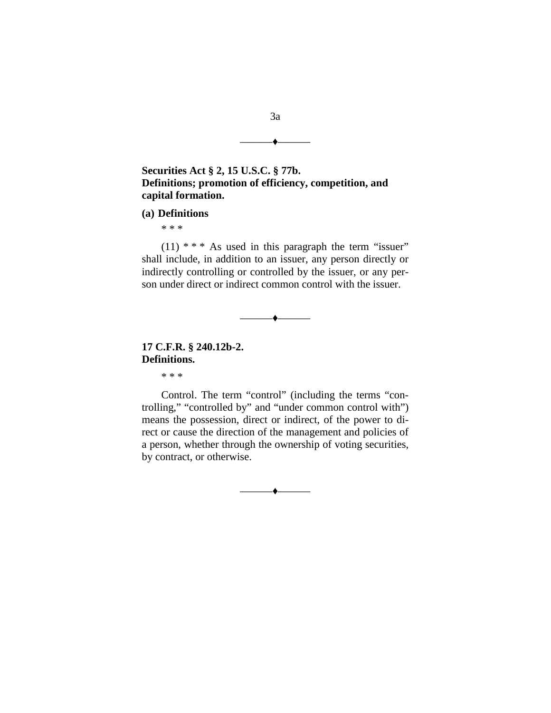

## **(a) Definitions**

\* \* \*

 $(11)$  \* \* \* As used in this paragraph the term "issuer" shall include, in addition to an issuer, any person directly or indirectly controlling or controlled by the issuer, or any person under direct or indirect common control with the issuer.

 $\longrightarrow$ 

# **17 C.F.R. § 240.12b-2. Definitions.**

\* \* \*

Control. The term "control" (including the terms "controlling," "controlled by" and "under common control with") means the possession, direct or indirect, of the power to direct or cause the direction of the management and policies of a person, whether through the ownership of voting securities, by contract, or otherwise.

———♦———

———♦———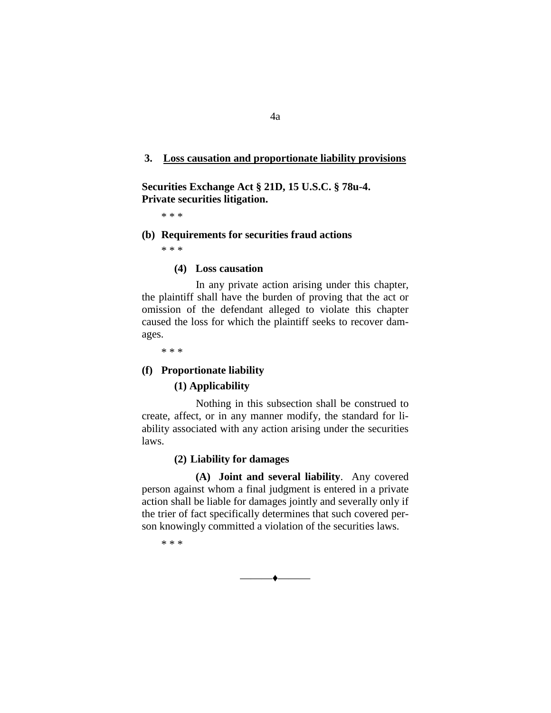#### **3. Loss causation and proportionate liability provisions**

**Securities Exchange Act § 21D, 15 U.S.C. § 78u-4. Private securities litigation.**

\* \* \*

#### **(b) Requirements for securities fraud actions**

\* \* \*

#### **(4) Loss causation**

In any private action arising under this chapter, the plaintiff shall have the burden of proving that the act or omission of the defendant alleged to violate this chapter caused the loss for which the plaintiff seeks to recover damages.

\* \* \*

#### **(f) Proportionate liability**

## **(1) Applicability**

Nothing in this subsection shall be construed to create, affect, or in any manner modify, the standard for liability associated with any action arising under the securities laws.

#### **(2) Liability for damages**

**(A) Joint and several liability**. Any covered person against whom a final judgment is entered in a private action shall be liable for damages jointly and severally only if the trier of fact specifically determines that such covered person knowingly committed a violation of the securities laws.

\* \* \*

——— $\bullet$ ———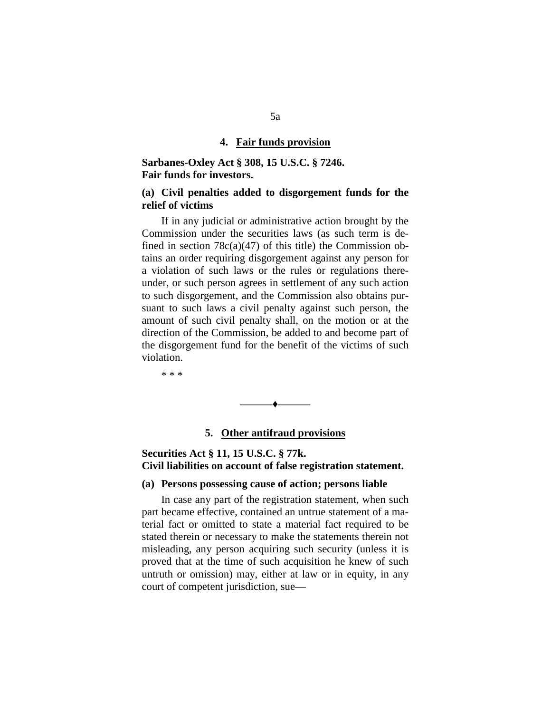#### **4. Fair funds provision**

## **Sarbanes-Oxley Act § 308, 15 U.S.C. § 7246. Fair funds for investors.**

## **(a) Civil penalties added to disgorgement funds for the relief of victims**

If in any judicial or administrative action brought by the Commission under the securities laws (as such term is defined in section  $78c(a)(47)$  of this title) the Commission obtains an order requiring disgorgement against any person for a violation of such laws or the rules or regulations thereunder, or such person agrees in settlement of any such action to such disgorgement, and the Commission also obtains pursuant to such laws a civil penalty against such person, the amount of such civil penalty shall, on the motion or at the direction of the Commission, be added to and become part of the disgorgement fund for the benefit of the victims of such violation.

\* \* \*

# ——— $\bullet$ ———

# **5. Other antifraud provisions**

## **Securities Act § 11, 15 U.S.C. § 77k. Civil liabilities on account of false registration statement.**

#### **(a) Persons possessing cause of action; persons liable**

In case any part of the registration statement, when such part became effective, contained an untrue statement of a material fact or omitted to state a material fact required to be stated therein or necessary to make the statements therein not misleading, any person acquiring such security (unless it is proved that at the time of such acquisition he knew of such untruth or omission) may, either at law or in equity, in any court of competent jurisdiction, sue—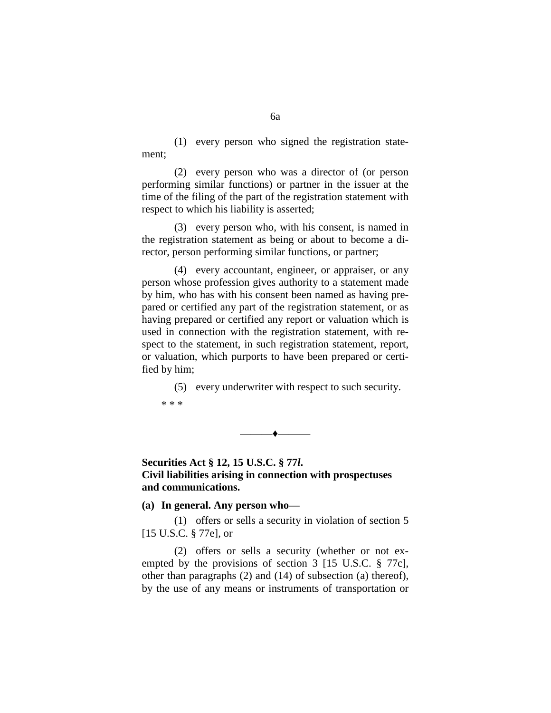(1) every person who signed the registration statement;

(2) every person who was a director of (or person performing similar functions) or partner in the issuer at the time of the filing of the part of the registration statement with respect to which his liability is asserted;

(3) every person who, with his consent, is named in the registration statement as being or about to become a director, person performing similar functions, or partner;

(4) every accountant, engineer, or appraiser, or any person whose profession gives authority to a statement made by him, who has with his consent been named as having prepared or certified any part of the registration statement, or as having prepared or certified any report or valuation which is used in connection with the registration statement, with respect to the statement, in such registration statement, report, or valuation, which purports to have been prepared or certified by him;

(5) every underwriter with respect to such security. \* \* \*

**Securities Act § 12, 15 U.S.C. § 77***l***. Civil liabilities arising in connection with prospectuses and communications.**

——— $\bullet$ ———

**(a) In general. Any person who—**

(1) offers or sells a security in violation of section 5 [15 U.S.C. § 77e], or

(2) offers or sells a security (whether or not exempted by the provisions of section 3 [15 U.S.C. § 77c], other than paragraphs (2) and (14) of subsection (a) thereof), by the use of any means or instruments of transportation or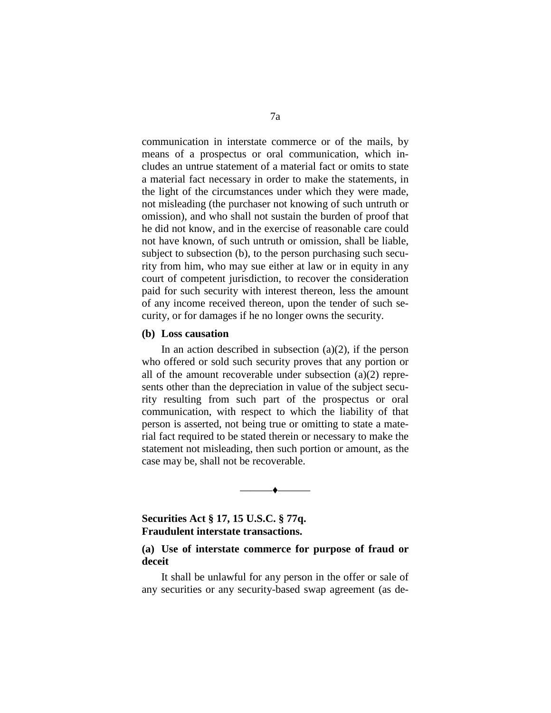communication in interstate commerce or of the mails, by means of a prospectus or oral communication, which includes an untrue statement of a material fact or omits to state a material fact necessary in order to make the statements, in the light of the circumstances under which they were made, not misleading (the purchaser not knowing of such untruth or omission), and who shall not sustain the burden of proof that he did not know, and in the exercise of reasonable care could not have known, of such untruth or omission, shall be liable, subject to subsection (b), to the person purchasing such security from him, who may sue either at law or in equity in any court of competent jurisdiction, to recover the consideration paid for such security with interest thereon, less the amount of any income received thereon, upon the tender of such security, or for damages if he no longer owns the security.

### **(b) Loss causation**

In an action described in subsection  $(a)(2)$ , if the person who offered or sold such security proves that any portion or all of the amount recoverable under subsection (a)(2) represents other than the depreciation in value of the subject security resulting from such part of the prospectus or oral communication, with respect to which the liability of that person is asserted, not being true or omitting to state a material fact required to be stated therein or necessary to make the statement not misleading, then such portion or amount, as the case may be, shall not be recoverable.

## **Securities Act § 17, 15 U.S.C. § 77q. Fraudulent interstate transactions.**

## **(a) Use of interstate commerce for purpose of fraud or deceit**

——— $\bullet$ ———

It shall be unlawful for any person in the offer or sale of any securities or any security-based swap agreement (as de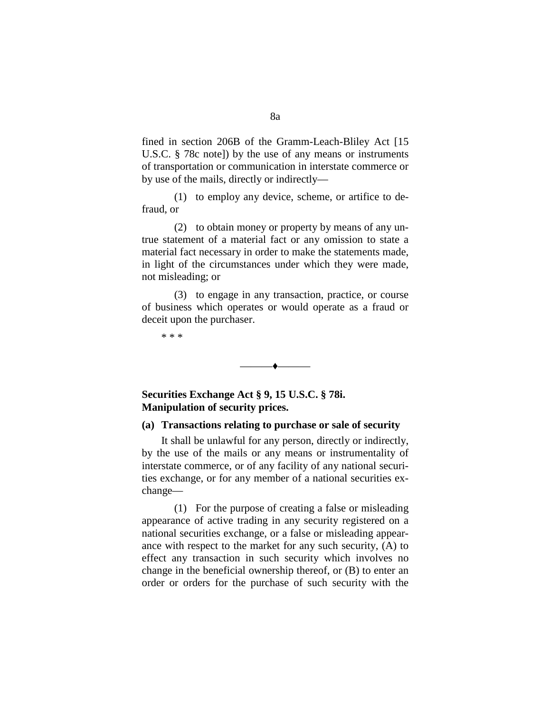fined in section 206B of the Gramm-Leach-Bliley Act [15 U.S.C. § 78c note]) by the use of any means or instruments of transportation or communication in interstate commerce or by use of the mails, directly or indirectly—

(1) to employ any device, scheme, or artifice to defraud, or

(2) to obtain money or property by means of any untrue statement of a material fact or any omission to state a material fact necessary in order to make the statements made, in light of the circumstances under which they were made, not misleading; or

(3) to engage in any transaction, practice, or course of business which operates or would operate as a fraud or deceit upon the purchaser.

——— $\bullet$ ———

\* \* \*

**Securities Exchange Act § 9, 15 U.S.C. § 78i. Manipulation of security prices.**

## **(a) Transactions relating to purchase or sale of security**

It shall be unlawful for any person, directly or indirectly, by the use of the mails or any means or instrumentality of interstate commerce, or of any facility of any national securities exchange, or for any member of a national securities exchange—

(1) For the purpose of creating a false or misleading appearance of active trading in any security registered on a national securities exchange, or a false or misleading appearance with respect to the market for any such security, (A) to effect any transaction in such security which involves no change in the beneficial ownership thereof, or (B) to enter an order or orders for the purchase of such security with the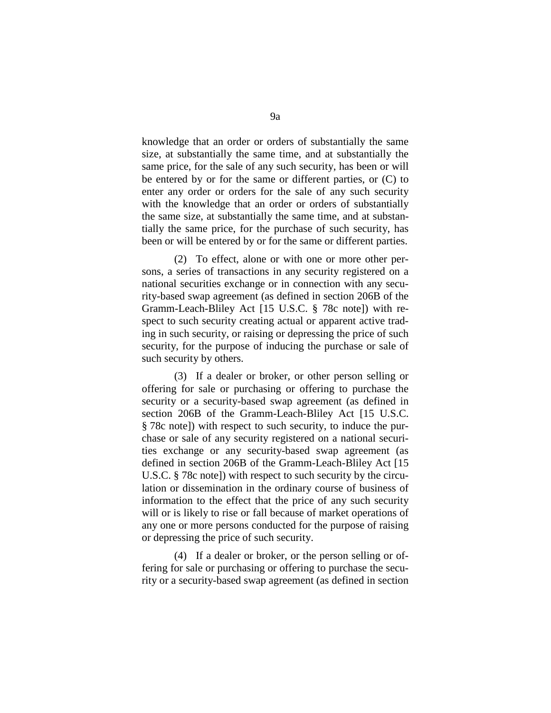knowledge that an order or orders of substantially the same size, at substantially the same time, and at substantially the same price, for the sale of any such security, has been or will be entered by or for the same or different parties, or (C) to enter any order or orders for the sale of any such security with the knowledge that an order or orders of substantially the same size, at substantially the same time, and at substantially the same price, for the purchase of such security, has been or will be entered by or for the same or different parties.

(2) To effect, alone or with one or more other persons, a series of transactions in any security registered on a national securities exchange or in connection with any security-based swap agreement (as defined in section 206B of the Gramm-Leach-Bliley Act [15 U.S.C. § 78c note]) with respect to such security creating actual or apparent active trading in such security, or raising or depressing the price of such security, for the purpose of inducing the purchase or sale of such security by others.

(3) If a dealer or broker, or other person selling or offering for sale or purchasing or offering to purchase the security or a security-based swap agreement (as defined in section 206B of the Gramm-Leach-Bliley Act [15 U.S.C. § 78c note]) with respect to such security, to induce the purchase or sale of any security registered on a national securities exchange or any security-based swap agreement (as defined in section 206B of the Gramm-Leach-Bliley Act [15 U.S.C. § 78c note]) with respect to such security by the circulation or dissemination in the ordinary course of business of information to the effect that the price of any such security will or is likely to rise or fall because of market operations of any one or more persons conducted for the purpose of raising or depressing the price of such security.

(4) If a dealer or broker, or the person selling or offering for sale or purchasing or offering to purchase the security or a security-based swap agreement (as defined in section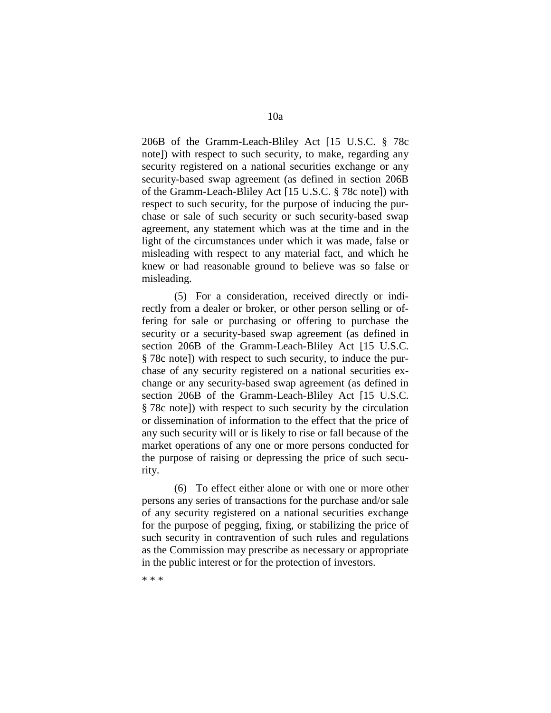206B of the Gramm-Leach-Bliley Act [15 U.S.C. § 78c note]) with respect to such security, to make, regarding any security registered on a national securities exchange or any security-based swap agreement (as defined in section 206B of the Gramm-Leach-Bliley Act [15 U.S.C. § 78c note]) with respect to such security, for the purpose of inducing the purchase or sale of such security or such security-based swap agreement, any statement which was at the time and in the light of the circumstances under which it was made, false or misleading with respect to any material fact, and which he

knew or had reasonable ground to believe was so false or

(5) For a consideration, received directly or indirectly from a dealer or broker, or other person selling or offering for sale or purchasing or offering to purchase the security or a security-based swap agreement (as defined in section 206B of the Gramm-Leach-Bliley Act [15 U.S.C. § 78c note]) with respect to such security, to induce the purchase of any security registered on a national securities exchange or any security-based swap agreement (as defined in section 206B of the Gramm-Leach-Bliley Act [15 U.S.C. § 78c note]) with respect to such security by the circulation or dissemination of information to the effect that the price of any such security will or is likely to rise or fall because of the market operations of any one or more persons conducted for the purpose of raising or depressing the price of such security.

(6) To effect either alone or with one or more other persons any series of transactions for the purchase and/or sale of any security registered on a national securities exchange for the purpose of pegging, fixing, or stabilizing the price of such security in contravention of such rules and regulations as the Commission may prescribe as necessary or appropriate in the public interest or for the protection of investors.

\* \* \*

misleading.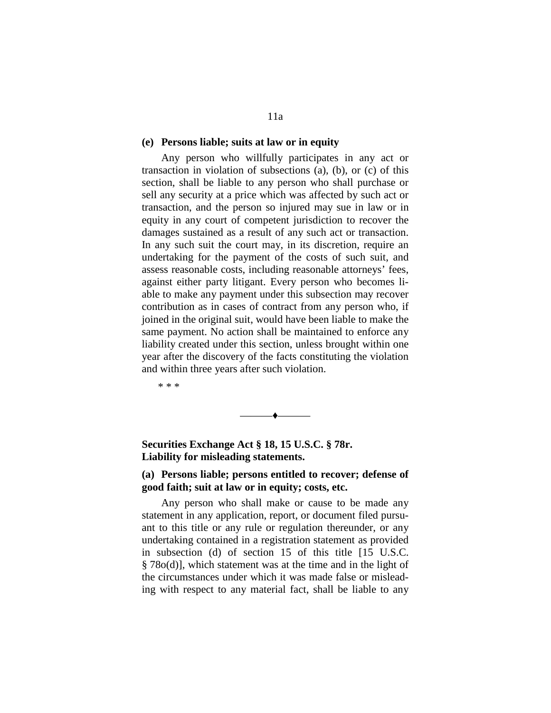#### **(e) Persons liable; suits at law or in equity**

Any person who willfully participates in any act or transaction in violation of subsections (a), (b), or (c) of this section, shall be liable to any person who shall purchase or sell any security at a price which was affected by such act or transaction, and the person so injured may sue in law or in equity in any court of competent jurisdiction to recover the damages sustained as a result of any such act or transaction. In any such suit the court may, in its discretion, require an undertaking for the payment of the costs of such suit, and assess reasonable costs, including reasonable attorneys' fees, against either party litigant. Every person who becomes liable to make any payment under this subsection may recover contribution as in cases of contract from any person who, if joined in the original suit, would have been liable to make the same payment. No action shall be maintained to enforce any liability created under this section, unless brought within one year after the discovery of the facts constituting the violation and within three years after such violation.

\* \* \*

**Securities Exchange Act § 18, 15 U.S.C. § 78r. Liability for misleading statements.**

# **(a) Persons liable; persons entitled to recover; defense of good faith; suit at law or in equity; costs, etc.**

——— $\bullet$ ———

Any person who shall make or cause to be made any statement in any application, report, or document filed pursuant to this title or any rule or regulation thereunder, or any undertaking contained in a registration statement as provided in subsection (d) of section 15 of this title [15 U.S.C. § 78o(d)], which statement was at the time and in the light of the circumstances under which it was made false or misleading with respect to any material fact, shall be liable to any